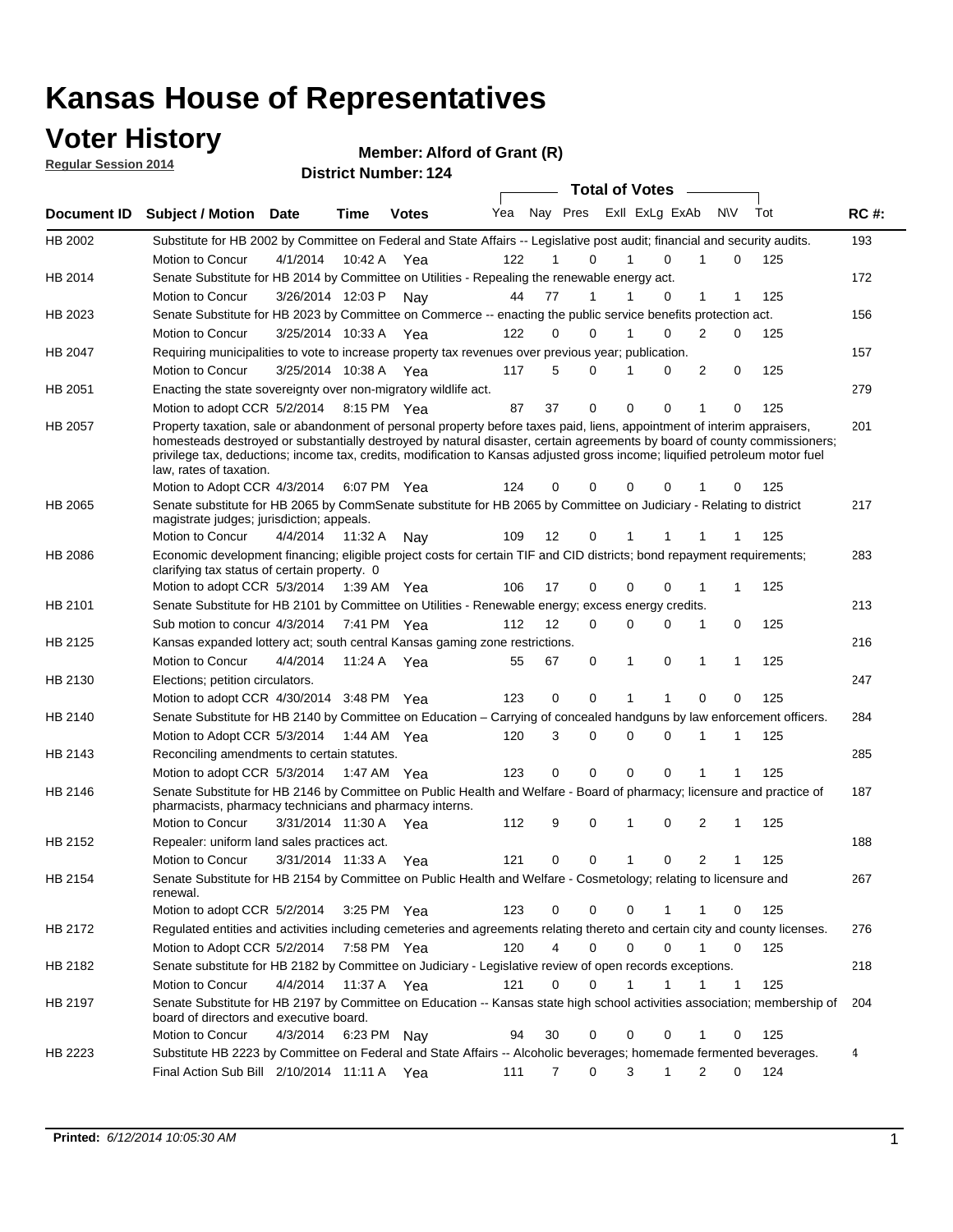## **Voter History**

**Regular Session 2014**

**Member: Alford of Grant (R)** 

|                |                                                                                                                                                                                                                                                                                                                                                                                                                  |                       |             |              |     |                |                         |              | <b>Total of Votes</b> |                |          |     |             |
|----------------|------------------------------------------------------------------------------------------------------------------------------------------------------------------------------------------------------------------------------------------------------------------------------------------------------------------------------------------------------------------------------------------------------------------|-----------------------|-------------|--------------|-----|----------------|-------------------------|--------------|-----------------------|----------------|----------|-----|-------------|
| Document ID    | <b>Subject / Motion Date</b>                                                                                                                                                                                                                                                                                                                                                                                     |                       | Time        | <b>Votes</b> | Yea |                | Nay Pres Exll ExLg ExAb |              |                       |                | N\V      | Tot | <b>RC#:</b> |
| HB 2002        | Substitute for HB 2002 by Committee on Federal and State Affairs -- Legislative post audit; financial and security audits.                                                                                                                                                                                                                                                                                       |                       |             |              |     |                |                         |              |                       |                |          |     | 193         |
|                | <b>Motion to Concur</b>                                                                                                                                                                                                                                                                                                                                                                                          | 4/1/2014              | 10:42 A     | Yea          | 122 |                | 0                       | 1            | $\Omega$              | 1              | 0        | 125 |             |
| HB 2014        | Senate Substitute for HB 2014 by Committee on Utilities - Repealing the renewable energy act.                                                                                                                                                                                                                                                                                                                    |                       |             |              |     |                |                         |              |                       |                |          |     | 172         |
|                | Motion to Concur                                                                                                                                                                                                                                                                                                                                                                                                 | 3/26/2014 12:03 P     |             | Nay          | 44  | 77             | 1                       | 1            | 0                     | 1              | 1        | 125 |             |
| HB 2023        | Senate Substitute for HB 2023 by Committee on Commerce -- enacting the public service benefits protection act.                                                                                                                                                                                                                                                                                                   |                       |             |              |     |                |                         |              |                       |                |          |     | 156         |
|                | Motion to Concur                                                                                                                                                                                                                                                                                                                                                                                                 | 3/25/2014 10:33 A     |             | Yea          | 122 | 0              | $\Omega$                | 1            | 0                     | 2              | 0        | 125 |             |
| HB 2047        | Requiring municipalities to vote to increase property tax revenues over previous year; publication.                                                                                                                                                                                                                                                                                                              |                       |             |              |     |                |                         |              |                       |                |          |     | 157         |
|                | Motion to Concur                                                                                                                                                                                                                                                                                                                                                                                                 | 3/25/2014 10:38 A     |             | Yea          | 117 | 5              | $\Omega$                | 1            | 0                     | 2              | 0        | 125 |             |
| HB 2051        | Enacting the state sovereignty over non-migratory wildlife act.                                                                                                                                                                                                                                                                                                                                                  |                       |             |              |     |                |                         |              |                       |                |          |     | 279         |
|                | Motion to adopt CCR 5/2/2014 8:15 PM Yea                                                                                                                                                                                                                                                                                                                                                                         |                       |             |              | 87  | 37             | $\mathbf 0$             | $\mathbf 0$  | 0                     | 1              | 0        | 125 |             |
| HB 2057        | Property taxation, sale or abandonment of personal property before taxes paid, liens, appointment of interim appraisers,<br>homesteads destroyed or substantially destroyed by natural disaster, certain agreements by board of county commissioners;<br>privilege tax, deductions; income tax, credits, modification to Kansas adjusted gross income; liquified petroleum motor fuel<br>law, rates of taxation. |                       |             |              |     |                |                         |              |                       |                |          |     | 201         |
|                | Motion to Adopt CCR 4/3/2014                                                                                                                                                                                                                                                                                                                                                                                     |                       |             | 6:07 PM Yea  | 124 | 0              | $\Omega$                | 0            | 0                     |                | 0        | 125 |             |
| HB 2065        | Senate substitute for HB 2065 by CommSenate substitute for HB 2065 by Committee on Judiciary - Relating to district<br>magistrate judges; jurisdiction; appeals.                                                                                                                                                                                                                                                 |                       |             |              |     |                |                         |              |                       |                |          |     | 217         |
|                | Motion to Concur                                                                                                                                                                                                                                                                                                                                                                                                 | 4/4/2014              | 11:32 A     | Nav          | 109 | 12             | 0                       | 1            |                       | 1              | 1        | 125 |             |
| <b>HB 2086</b> | Economic development financing; eligible project costs for certain TIF and CID districts; bond repayment requirements;<br>clarifying tax status of certain property. 0                                                                                                                                                                                                                                           |                       |             |              |     |                |                         |              |                       |                |          |     | 283         |
|                | Motion to adopt CCR 5/3/2014 1:39 AM Yea                                                                                                                                                                                                                                                                                                                                                                         |                       |             |              | 106 | 17             | $\mathbf 0$             | $\mathbf 0$  | 0                     | 1              | 1        | 125 |             |
| HB 2101        | Senate Substitute for HB 2101 by Committee on Utilities - Renewable energy; excess energy credits.                                                                                                                                                                                                                                                                                                               |                       |             |              |     |                |                         |              |                       |                |          |     | 213         |
|                | Sub motion to concur 4/3/2014 7:41 PM Yea                                                                                                                                                                                                                                                                                                                                                                        |                       |             |              | 112 | 12             | $\Omega$                | 0            | 0                     | 1              | 0        | 125 |             |
| HB 2125        | Kansas expanded lottery act; south central Kansas gaming zone restrictions.                                                                                                                                                                                                                                                                                                                                      |                       |             |              |     |                |                         |              |                       |                |          |     | 216         |
|                | Motion to Concur                                                                                                                                                                                                                                                                                                                                                                                                 | 4/4/2014              | 11:24 A     | Yea          | 55  | 67             | 0                       | 1            | 0                     | 1              | 1        | 125 |             |
| HB 2130        | Elections; petition circulators.                                                                                                                                                                                                                                                                                                                                                                                 |                       |             |              |     |                |                         |              |                       |                |          |     | 247         |
|                | Motion to adopt CCR 4/30/2014 3:48 PM Yea                                                                                                                                                                                                                                                                                                                                                                        |                       |             |              | 123 | 0              | $\mathbf 0$             | 1            | 1                     | 0              | 0        | 125 |             |
| HB 2140        | Senate Substitute for HB 2140 by Committee on Education – Carrying of concealed handguns by law enforcement officers.                                                                                                                                                                                                                                                                                            |                       |             |              |     |                |                         |              |                       |                |          |     | 284         |
|                | Motion to Adopt CCR 5/3/2014 1:44 AM Yea                                                                                                                                                                                                                                                                                                                                                                         |                       |             |              | 120 | 3              | 0                       | $\Omega$     | $\Omega$              | 1              | 1        | 125 |             |
| HB 2143        | Reconciling amendments to certain statutes.                                                                                                                                                                                                                                                                                                                                                                      |                       |             |              |     |                |                         |              |                       |                |          |     | 285         |
|                | Motion to adopt CCR 5/3/2014 1:47 AM Yea                                                                                                                                                                                                                                                                                                                                                                         |                       |             |              | 123 | 0              | $\mathbf 0$             | $\mathbf 0$  | $\Omega$              | 1              | 1        | 125 |             |
| HB 2146        | Senate Substitute for HB 2146 by Committee on Public Health and Welfare - Board of pharmacy; licensure and practice of<br>pharmacists, pharmacy technicians and pharmacy interns.                                                                                                                                                                                                                                |                       |             |              |     |                |                         |              |                       |                |          |     | 187         |
|                | Motion to Concur                                                                                                                                                                                                                                                                                                                                                                                                 | 3/31/2014 11:30 A Yea |             |              | 112 | 9              | 0                       | 1            | 0                     | 2              | 1        | 125 |             |
| HB 2152        | Repealer: uniform land sales practices act.                                                                                                                                                                                                                                                                                                                                                                      |                       |             |              |     |                |                         |              |                       |                |          |     | 188         |
|                | Motion to Concur                                                                                                                                                                                                                                                                                                                                                                                                 | 3/31/2014 11:33 A     |             | Yea          | 121 | 0              | 0                       | $\mathbf{1}$ | 0                     | $\overline{2}$ | 1        | 125 |             |
| HB 2154        | Senate Substitute for HB 2154 by Committee on Public Health and Welfare - Cosmetology; relating to licensure and<br>renewal.                                                                                                                                                                                                                                                                                     |                       |             |              |     |                |                         |              |                       |                |          |     | 267         |
|                | Motion to adopt CCR 5/2/2014                                                                                                                                                                                                                                                                                                                                                                                     |                       |             | 3:25 PM Yea  | 123 | 0              | 0                       | 0            |                       | 1              | 0        | 125 |             |
| HB 2172        | Regulated entities and activities including cemeteries and agreements relating thereto and certain city and county licenses.                                                                                                                                                                                                                                                                                     |                       |             |              |     |                |                         |              |                       |                |          |     | 276         |
|                | Motion to Adopt CCR 5/2/2014                                                                                                                                                                                                                                                                                                                                                                                     |                       | 7:58 PM Yea |              | 120 | $\overline{4}$ | $\mathbf 0$             | $\mathbf 0$  | 0                     | $\mathbf{1}$   | 0        | 125 |             |
| HB 2182        | Senate substitute for HB 2182 by Committee on Judiciary - Legislative review of open records exceptions.                                                                                                                                                                                                                                                                                                         |                       |             |              |     |                |                         |              |                       |                |          |     | 218         |
|                | Motion to Concur                                                                                                                                                                                                                                                                                                                                                                                                 | 4/4/2014 11:37 A Yea  |             |              | 121 | 0              | $\mathbf 0$             | 1            | 1                     |                | 1        | 125 |             |
| HB 2197        | Senate Substitute for HB 2197 by Committee on Education -- Kansas state high school activities association; membership of<br>board of directors and executive board.                                                                                                                                                                                                                                             |                       |             |              |     |                |                         |              |                       |                |          |     | 204         |
|                | Motion to Concur                                                                                                                                                                                                                                                                                                                                                                                                 | 4/3/2014              |             | 6:23 PM Nay  | 94  | 30             | $\mathbf 0$             | 0            | $\Omega$              | 1              | 0        | 125 |             |
| HB 2223        | Substitute HB 2223 by Committee on Federal and State Affairs -- Alcoholic beverages; homemade fermented beverages.                                                                                                                                                                                                                                                                                               |                       |             |              |     |                |                         |              |                       |                |          |     | 4           |
|                | Final Action Sub Bill 2/10/2014 11:11 A Yea                                                                                                                                                                                                                                                                                                                                                                      |                       |             |              | 111 | 7              | 0                       | 3            | 1                     | $\overline{2}$ | $\Omega$ | 124 |             |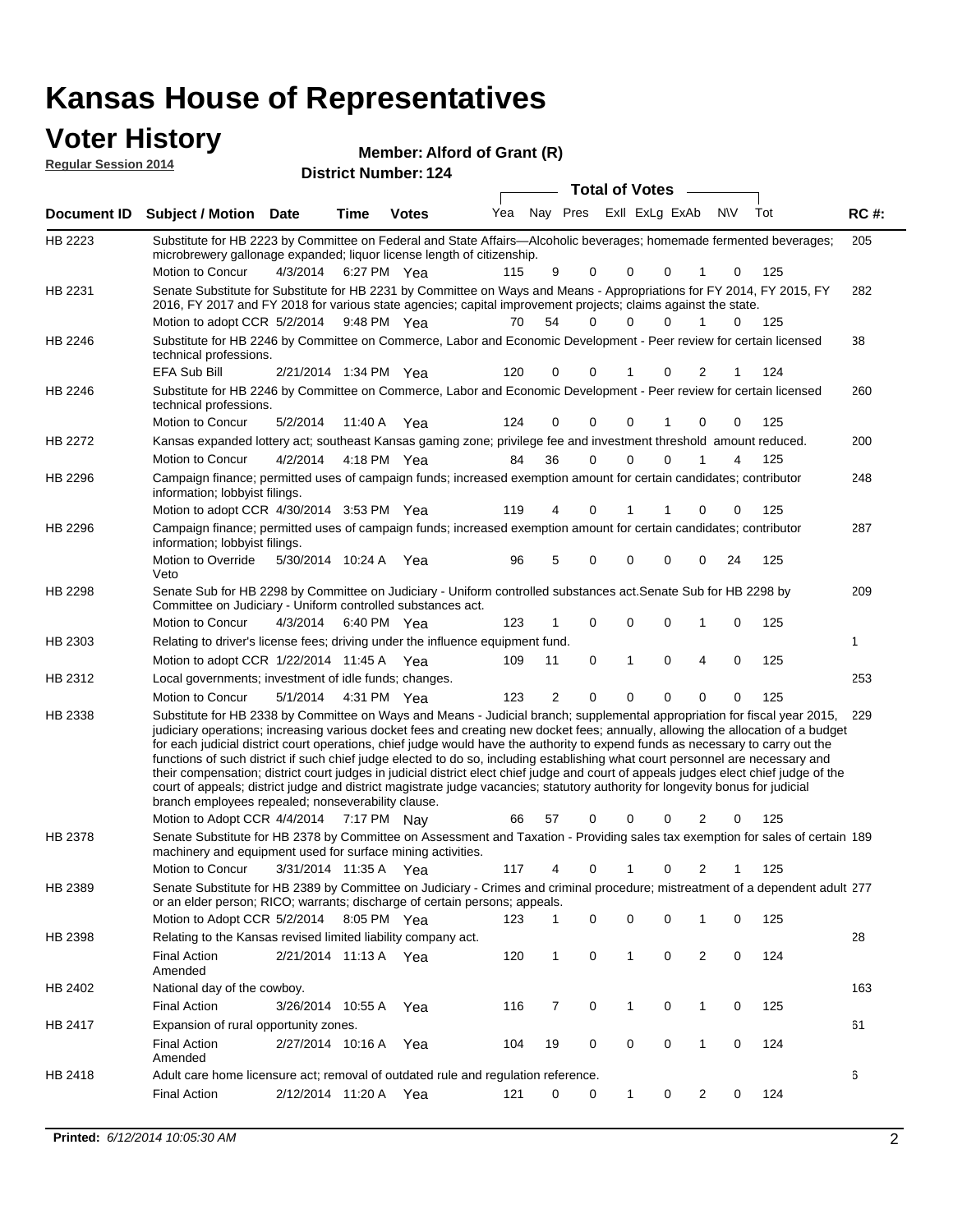#### **Voter History Regular Session 2014**

**Member: Alford of Grant (R)** 

| <b>District Number: 124</b> |  |
|-----------------------------|--|
|                             |  |

|                    |                                                                                                                                                                                                                                                                                                                                                                                                                                                                                                                                                                                                                                                                                                                                                                                                                                                                                                     |                       |             |              |     |                |             | <b>Total of Votes</b> |          |                |           |     |             |
|--------------------|-----------------------------------------------------------------------------------------------------------------------------------------------------------------------------------------------------------------------------------------------------------------------------------------------------------------------------------------------------------------------------------------------------------------------------------------------------------------------------------------------------------------------------------------------------------------------------------------------------------------------------------------------------------------------------------------------------------------------------------------------------------------------------------------------------------------------------------------------------------------------------------------------------|-----------------------|-------------|--------------|-----|----------------|-------------|-----------------------|----------|----------------|-----------|-----|-------------|
| <b>Document ID</b> | <b>Subject / Motion Date</b>                                                                                                                                                                                                                                                                                                                                                                                                                                                                                                                                                                                                                                                                                                                                                                                                                                                                        |                       | Time        | <b>Votes</b> | Yea | Nay Pres       |             | Exll ExLg ExAb        |          |                | <b>NV</b> | Tot | <b>RC#:</b> |
| HB 2223            | Substitute for HB 2223 by Committee on Federal and State Affairs—Alcoholic beverages; homemade fermented beverages;<br>microbrewery gallonage expanded; liquor license length of citizenship.                                                                                                                                                                                                                                                                                                                                                                                                                                                                                                                                                                                                                                                                                                       |                       |             |              |     |                |             |                       |          |                |           |     | 205         |
|                    | Motion to Concur                                                                                                                                                                                                                                                                                                                                                                                                                                                                                                                                                                                                                                                                                                                                                                                                                                                                                    | 4/3/2014              |             | 6:27 PM Yea  | 115 | 9              | 0           | 0                     | 0        |                | 0         | 125 |             |
| HB 2231            | Senate Substitute for Substitute for HB 2231 by Committee on Ways and Means - Appropriations for FY 2014, FY 2015, FY<br>2016, FY 2017 and FY 2018 for various state agencies; capital improvement projects; claims against the state.                                                                                                                                                                                                                                                                                                                                                                                                                                                                                                                                                                                                                                                              |                       |             |              |     |                |             |                       |          |                |           |     | 282         |
|                    | Motion to adopt CCR 5/2/2014 9:48 PM Yea                                                                                                                                                                                                                                                                                                                                                                                                                                                                                                                                                                                                                                                                                                                                                                                                                                                            |                       |             |              | 70  | 54             | 0           | 0                     | $\Omega$ | 1              | $\Omega$  | 125 |             |
| HB 2246            | Substitute for HB 2246 by Committee on Commerce, Labor and Economic Development - Peer review for certain licensed<br>technical professions.                                                                                                                                                                                                                                                                                                                                                                                                                                                                                                                                                                                                                                                                                                                                                        |                       |             |              |     |                |             |                       |          |                |           |     | 38          |
|                    | EFA Sub Bill                                                                                                                                                                                                                                                                                                                                                                                                                                                                                                                                                                                                                                                                                                                                                                                                                                                                                        | 2/21/2014 1:34 PM Yea |             |              | 120 | 0              | 0           |                       | 0        | 2              |           | 124 |             |
| HB 2246            | Substitute for HB 2246 by Committee on Commerce, Labor and Economic Development - Peer review for certain licensed<br>technical professions.                                                                                                                                                                                                                                                                                                                                                                                                                                                                                                                                                                                                                                                                                                                                                        |                       |             |              |     |                |             |                       |          |                |           |     | 260         |
|                    | Motion to Concur                                                                                                                                                                                                                                                                                                                                                                                                                                                                                                                                                                                                                                                                                                                                                                                                                                                                                    | 5/2/2014              | 11:40 A Yea |              | 124 | 0              | 0           | $\mathbf 0$           |          | 0              | 0         | 125 |             |
| HB 2272            | Kansas expanded lottery act; southeast Kansas gaming zone; privilege fee and investment threshold amount reduced.                                                                                                                                                                                                                                                                                                                                                                                                                                                                                                                                                                                                                                                                                                                                                                                   |                       |             |              |     |                |             |                       |          |                |           |     | 200         |
|                    | Motion to Concur                                                                                                                                                                                                                                                                                                                                                                                                                                                                                                                                                                                                                                                                                                                                                                                                                                                                                    | 4/2/2014              |             | 4:18 PM Yea  | 84  | 36             | $\mathbf 0$ | $\mathbf 0$           | $\Omega$ | 1              | 4         | 125 |             |
| HB 2296            | Campaign finance; permitted uses of campaign funds; increased exemption amount for certain candidates; contributor<br>information; lobbyist filings.                                                                                                                                                                                                                                                                                                                                                                                                                                                                                                                                                                                                                                                                                                                                                |                       |             |              |     |                |             |                       |          |                |           |     | 248         |
|                    | Motion to adopt CCR 4/30/2014 3:53 PM Yea                                                                                                                                                                                                                                                                                                                                                                                                                                                                                                                                                                                                                                                                                                                                                                                                                                                           |                       |             |              | 119 | 4              | 0           | 1                     |          | 0              | 0         | 125 |             |
| HB 2296            | Campaign finance; permitted uses of campaign funds; increased exemption amount for certain candidates; contributor<br>information; lobbyist filings.                                                                                                                                                                                                                                                                                                                                                                                                                                                                                                                                                                                                                                                                                                                                                |                       |             |              |     |                |             |                       |          |                |           |     | 287         |
|                    | Motion to Override<br>Veto                                                                                                                                                                                                                                                                                                                                                                                                                                                                                                                                                                                                                                                                                                                                                                                                                                                                          | 5/30/2014 10:24 A     |             | Yea          | 96  | 5              | 0           | 0                     | 0        | 0              | 24        | 125 |             |
| HB 2298            | Senate Sub for HB 2298 by Committee on Judiciary - Uniform controlled substances act. Senate Sub for HB 2298 by<br>Committee on Judiciary - Uniform controlled substances act.                                                                                                                                                                                                                                                                                                                                                                                                                                                                                                                                                                                                                                                                                                                      |                       |             |              |     |                |             |                       |          |                |           |     | 209         |
|                    | Motion to Concur                                                                                                                                                                                                                                                                                                                                                                                                                                                                                                                                                                                                                                                                                                                                                                                                                                                                                    | 4/3/2014              |             | 6:40 PM Yea  | 123 |                | 0           | $\mathbf 0$           | 0        | 1              | 0         | 125 |             |
| HB 2303            | Relating to driver's license fees; driving under the influence equipment fund.                                                                                                                                                                                                                                                                                                                                                                                                                                                                                                                                                                                                                                                                                                                                                                                                                      |                       |             |              |     |                |             |                       |          |                |           |     | 1           |
|                    | Motion to adopt CCR 1/22/2014 11:45 A Yea                                                                                                                                                                                                                                                                                                                                                                                                                                                                                                                                                                                                                                                                                                                                                                                                                                                           |                       |             |              | 109 | 11             | 0           | 1                     | 0        | 4              | 0         | 125 |             |
| HB 2312            | Local governments; investment of idle funds; changes.                                                                                                                                                                                                                                                                                                                                                                                                                                                                                                                                                                                                                                                                                                                                                                                                                                               |                       |             |              |     |                |             |                       |          |                |           |     | 253         |
|                    | Motion to Concur                                                                                                                                                                                                                                                                                                                                                                                                                                                                                                                                                                                                                                                                                                                                                                                                                                                                                    | 5/1/2014              | 4:31 PM Yea |              | 123 | $\overline{2}$ | $\mathbf 0$ | 0                     | $\Omega$ | 0              | $\Omega$  | 125 |             |
| HB 2338            | Substitute for HB 2338 by Committee on Ways and Means - Judicial branch; supplemental appropriation for fiscal year 2015,<br>judiciary operations; increasing various docket fees and creating new docket fees; annually, allowing the allocation of a budget<br>for each judicial district court operations, chief judge would have the authority to expend funds as necessary to carry out the<br>functions of such district if such chief judge elected to do so, including establishing what court personnel are necessary and<br>their compensation; district court judges in judicial district elect chief judge and court of appeals judges elect chief judge of the<br>court of appeals; district judge and district magistrate judge vacancies; statutory authority for longevity bonus for judicial<br>branch employees repealed; nonseverability clause.<br>Motion to Adopt CCR 4/4/2014 |                       | 7:17 PM Nay |              | 66  | 57             | 0           | 0                     | 0        | 2              | 0         | 125 | 229         |
| HB 2378            | Senate Substitute for HB 2378 by Committee on Assessment and Taxation - Providing sales tax exemption for sales of certain 189                                                                                                                                                                                                                                                                                                                                                                                                                                                                                                                                                                                                                                                                                                                                                                      |                       |             |              |     |                |             |                       |          |                |           |     |             |
|                    | machinery and equipment used for surface mining activities.<br>Motion to Concur                                                                                                                                                                                                                                                                                                                                                                                                                                                                                                                                                                                                                                                                                                                                                                                                                     | 3/31/2014 11:35 A     |             | Yea          | 117 | 4              | 0           | 1                     | 0        | 2              | 1         | 125 |             |
| HB 2389            | Senate Substitute for HB 2389 by Committee on Judiciary - Crimes and criminal procedure; mistreatment of a dependent adult 277                                                                                                                                                                                                                                                                                                                                                                                                                                                                                                                                                                                                                                                                                                                                                                      |                       |             |              |     |                |             |                       |          |                |           |     |             |
|                    | or an elder person; RICO; warrants; discharge of certain persons; appeals.<br>Motion to Adopt CCR 5/2/2014                                                                                                                                                                                                                                                                                                                                                                                                                                                                                                                                                                                                                                                                                                                                                                                          |                       | 8:05 PM Yea |              | 123 | 1              | 0           | 0                     | 0        | 1              | 0         | 125 |             |
| HB 2398            | Relating to the Kansas revised limited liability company act.                                                                                                                                                                                                                                                                                                                                                                                                                                                                                                                                                                                                                                                                                                                                                                                                                                       |                       |             |              |     |                |             |                       |          |                |           |     | 28          |
|                    | Final Action<br>Amended                                                                                                                                                                                                                                                                                                                                                                                                                                                                                                                                                                                                                                                                                                                                                                                                                                                                             | 2/21/2014 11:13 A Yea |             |              | 120 | $\mathbf{1}$   | 0           | 1                     | 0        | $\overline{c}$ | 0         | 124 |             |
| HB 2402            | National day of the cowboy.                                                                                                                                                                                                                                                                                                                                                                                                                                                                                                                                                                                                                                                                                                                                                                                                                                                                         |                       |             |              |     |                |             |                       |          |                |           |     | 163         |
|                    | <b>Final Action</b>                                                                                                                                                                                                                                                                                                                                                                                                                                                                                                                                                                                                                                                                                                                                                                                                                                                                                 | 3/26/2014 10:55 A     |             | Yea          | 116 | 7              | 0           | 1                     | 0        | 1              | 0         | 125 |             |
| HB 2417            | Expansion of rural opportunity zones.                                                                                                                                                                                                                                                                                                                                                                                                                                                                                                                                                                                                                                                                                                                                                                                                                                                               |                       |             |              |     |                |             |                       |          |                |           |     | 61          |
|                    | <b>Final Action</b>                                                                                                                                                                                                                                                                                                                                                                                                                                                                                                                                                                                                                                                                                                                                                                                                                                                                                 | 2/27/2014 10:16 A Yea |             |              | 104 | 19             | 0           | 0                     | 0        | 1              | 0         | 124 |             |
|                    | Amended                                                                                                                                                                                                                                                                                                                                                                                                                                                                                                                                                                                                                                                                                                                                                                                                                                                                                             |                       |             |              |     |                |             |                       |          |                |           |     |             |
| HB 2418            | Adult care home licensure act; removal of outdated rule and regulation reference.                                                                                                                                                                                                                                                                                                                                                                                                                                                                                                                                                                                                                                                                                                                                                                                                                   |                       |             |              |     |                |             |                       |          |                |           |     | 6           |
|                    | <b>Final Action</b>                                                                                                                                                                                                                                                                                                                                                                                                                                                                                                                                                                                                                                                                                                                                                                                                                                                                                 | 2/12/2014 11:20 A     |             | Yea          | 121 | 0              | 0           | 1                     | 0        | $\overline{2}$ | 0         | 124 |             |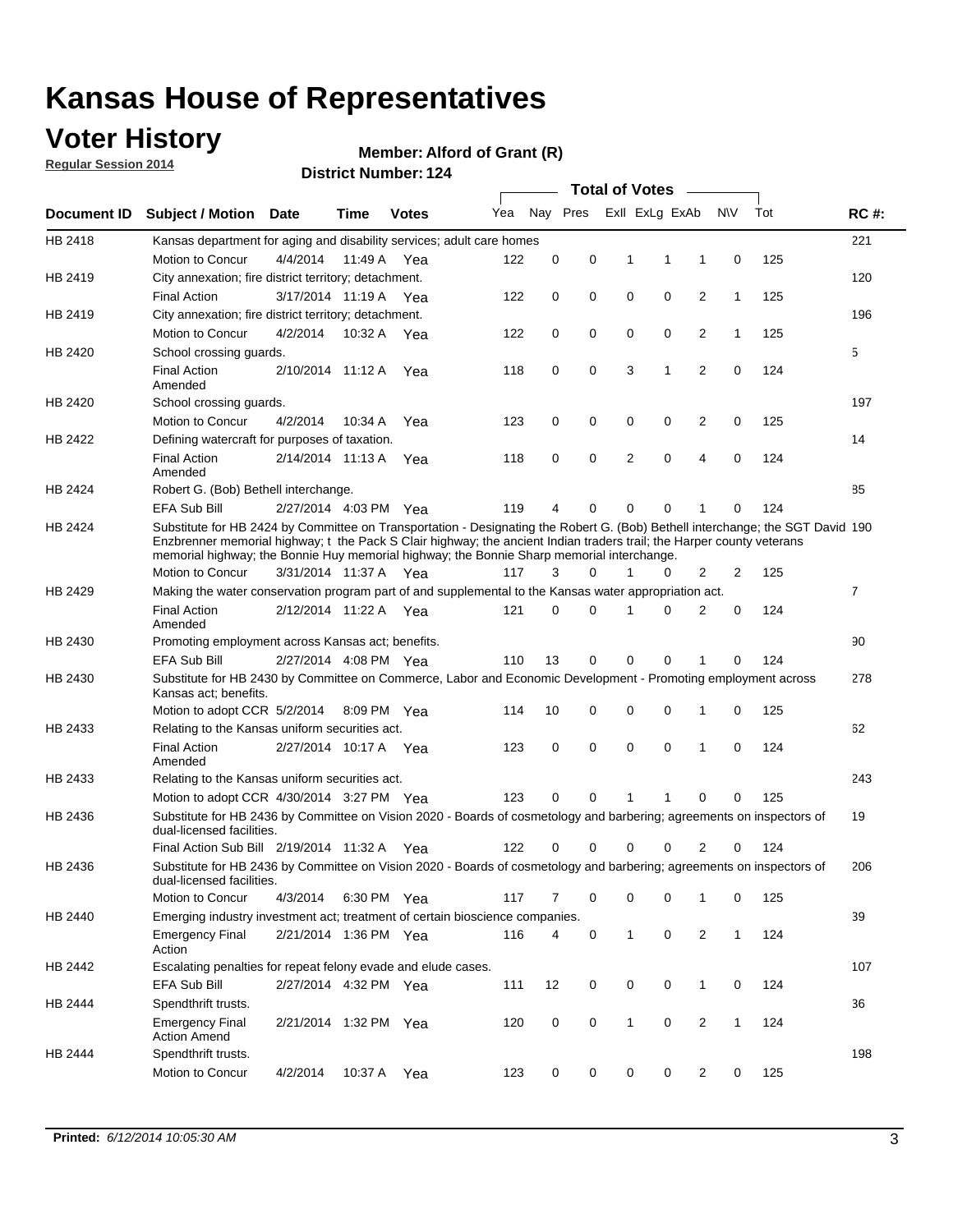## **Voter History**

**Regular Session 2014**

#### **Member: Alford of Grant (R)**

|                    |                                                                                                                                                                                                                                                                                                                                                      |                       |             | DISTICT MAILING 124 |     |          |          |   | <b>Total of Votes</b> | $\sim$         |              |     |                |
|--------------------|------------------------------------------------------------------------------------------------------------------------------------------------------------------------------------------------------------------------------------------------------------------------------------------------------------------------------------------------------|-----------------------|-------------|---------------------|-----|----------|----------|---|-----------------------|----------------|--------------|-----|----------------|
| <b>Document ID</b> | <b>Subject / Motion</b>                                                                                                                                                                                                                                                                                                                              | Date                  | Time        | <b>Votes</b>        | Yea |          | Nay Pres |   | Exll ExLg ExAb        |                | <b>NV</b>    | Tot | <b>RC#:</b>    |
| HB 2418            | Kansas department for aging and disability services; adult care homes                                                                                                                                                                                                                                                                                |                       |             |                     |     |          |          |   |                       |                |              |     | 221            |
|                    | Motion to Concur                                                                                                                                                                                                                                                                                                                                     | 4/4/2014              | 11:49 A     | Yea                 | 122 | 0        | 0        | 1 | 1                     | 1              | 0            | 125 |                |
| HB 2419            | City annexation; fire district territory; detachment.                                                                                                                                                                                                                                                                                                |                       |             |                     |     |          |          |   |                       |                |              |     | 120            |
|                    | <b>Final Action</b>                                                                                                                                                                                                                                                                                                                                  | 3/17/2014 11:19 A Yea |             |                     | 122 | 0        | 0        | 0 | 0                     | 2              | $\mathbf{1}$ | 125 |                |
| HB 2419            | City annexation; fire district territory; detachment.                                                                                                                                                                                                                                                                                                |                       |             |                     |     |          |          |   |                       |                |              |     | 196            |
|                    | Motion to Concur                                                                                                                                                                                                                                                                                                                                     | 4/2/2014              | 10:32 A Yea |                     | 122 | 0        | 0        | 0 | 0                     | 2              | $\mathbf{1}$ | 125 |                |
| HB 2420            | School crossing guards.                                                                                                                                                                                                                                                                                                                              |                       |             |                     |     |          |          |   |                       |                |              |     | 5              |
|                    | <b>Final Action</b><br>Amended                                                                                                                                                                                                                                                                                                                       | 2/10/2014 11:12 A     |             | Yea                 | 118 | 0        | 0        | 3 | 1                     | $\overline{2}$ | 0            | 124 |                |
| HB 2420            | School crossing guards.                                                                                                                                                                                                                                                                                                                              |                       |             |                     |     |          |          |   |                       |                |              |     | 197            |
|                    | Motion to Concur                                                                                                                                                                                                                                                                                                                                     | 4/2/2014              | 10:34 A     | Yea                 | 123 | 0        | 0        | 0 | 0                     | 2              | 0            | 125 |                |
| HB 2422            | Defining watercraft for purposes of taxation.                                                                                                                                                                                                                                                                                                        |                       |             |                     |     |          |          |   |                       |                |              |     | 14             |
|                    | <b>Final Action</b><br>Amended                                                                                                                                                                                                                                                                                                                       | 2/14/2014 11:13 A     |             | Yea                 | 118 | 0        | 0        | 2 | $\mathbf 0$           | 4              | 0            | 124 |                |
| HB 2424            | Robert G. (Bob) Bethell interchange.                                                                                                                                                                                                                                                                                                                 |                       |             |                     |     |          |          |   |                       |                |              |     | 85             |
|                    | <b>EFA Sub Bill</b>                                                                                                                                                                                                                                                                                                                                  | 2/27/2014 4:03 PM Yea |             |                     | 119 | 4        | 0        | 0 | $\mathbf 0$           | 1              | 0            | 124 |                |
| HB 2424            | Substitute for HB 2424 by Committee on Transportation - Designating the Robert G. (Bob) Bethell interchange; the SGT David 190<br>Enzbrenner memorial highway; t the Pack S Clair highway; the ancient Indian traders trail; the Harper county veterans<br>memorial highway; the Bonnie Huy memorial highway; the Bonnie Sharp memorial interchange. |                       |             |                     |     |          |          |   |                       |                |              |     |                |
|                    | Motion to Concur                                                                                                                                                                                                                                                                                                                                     | 3/31/2014 11:37 A Yea |             |                     | 117 | 3        | $\Omega$ | 1 | 0                     | 2              | 2            | 125 |                |
| HB 2429            | Making the water conservation program part of and supplemental to the Kansas water appropriation act.                                                                                                                                                                                                                                                |                       |             |                     |     |          |          |   |                       |                |              |     | $\overline{7}$ |
|                    | <b>Final Action</b><br>Amended                                                                                                                                                                                                                                                                                                                       | 2/12/2014 11:22 A Yea |             |                     | 121 | $\Omega$ | 0        | 1 | $\Omega$              | 2              | 0            | 124 |                |
| HB 2430            | Promoting employment across Kansas act; benefits.                                                                                                                                                                                                                                                                                                    |                       |             |                     |     |          |          |   |                       |                |              |     | 90             |
|                    | <b>EFA Sub Bill</b>                                                                                                                                                                                                                                                                                                                                  | 2/27/2014 4:08 PM Yea |             |                     | 110 | 13       | 0        | 0 | 0                     | 1              | 0            | 124 |                |
| HB 2430            | Substitute for HB 2430 by Committee on Commerce, Labor and Economic Development - Promoting employment across<br>Kansas act; benefits.                                                                                                                                                                                                               |                       |             |                     |     |          |          |   |                       |                |              |     | 278            |
|                    | Motion to adopt CCR 5/2/2014                                                                                                                                                                                                                                                                                                                         |                       | 8:09 PM Yea |                     | 114 | 10       | 0        | 0 | 0                     | 1              | 0            | 125 |                |
| HB 2433            | Relating to the Kansas uniform securities act.                                                                                                                                                                                                                                                                                                       |                       |             |                     |     |          |          |   |                       |                |              |     | 62             |
|                    | <b>Final Action</b><br>Amended                                                                                                                                                                                                                                                                                                                       | 2/27/2014 10:17 A Yea |             |                     | 123 | 0        | 0        | 0 | $\mathbf 0$           | 1              | 0            | 124 |                |
| HB 2433            | Relating to the Kansas uniform securities act.                                                                                                                                                                                                                                                                                                       |                       |             |                     |     |          |          |   |                       |                |              |     | 243            |
|                    | Motion to adopt CCR 4/30/2014 3:27 PM Yea                                                                                                                                                                                                                                                                                                            |                       |             |                     | 123 | $\Omega$ | 0        | 1 | 1                     | 0              | 0            | 125 |                |
| HB 2436            | Substitute for HB 2436 by Committee on Vision 2020 - Boards of cosmetology and barbering; agreements on inspectors of<br>dual-licensed facilities.                                                                                                                                                                                                   |                       |             |                     |     |          |          |   |                       |                |              |     | 19             |
|                    | Final Action Sub Bill 2/19/2014 11:32 A                                                                                                                                                                                                                                                                                                              |                       |             | Yea                 | 122 | O        | 0        | 0 | 0                     | 2              | 0            | 124 |                |
| HB 2436            | Substitute for HB 2436 by Committee on Vision 2020 - Boards of cosmetology and barbering; agreements on inspectors of<br>dual-licensed facilities.                                                                                                                                                                                                   |                       |             |                     |     |          |          |   |                       |                |              |     | 206            |
|                    | Motion to Concur                                                                                                                                                                                                                                                                                                                                     | 4/3/2014              | 6:30 PM Yea |                     | 117 | 7        | 0        | 0 | 0                     | 1              | 0            | 125 |                |
| HB 2440            | Emerging industry investment act; treatment of certain bioscience companies.                                                                                                                                                                                                                                                                         |                       |             |                     |     |          |          |   |                       |                |              |     | 39             |
|                    | <b>Emergency Final</b><br>Action                                                                                                                                                                                                                                                                                                                     | 2/21/2014 1:36 PM Yea |             |                     | 116 | 4        | 0        | 1 | 0                     | 2              | $\mathbf{1}$ | 124 |                |
| HB 2442            | Escalating penalties for repeat felony evade and elude cases.                                                                                                                                                                                                                                                                                        |                       |             |                     |     |          |          |   |                       |                |              |     | 107            |
|                    | EFA Sub Bill                                                                                                                                                                                                                                                                                                                                         | 2/27/2014 4:32 PM Yea |             |                     | 111 | 12       | 0        | 0 | 0                     | $\mathbf{1}$   | 0            | 124 |                |
| HB 2444            | Spendthrift trusts.                                                                                                                                                                                                                                                                                                                                  |                       |             |                     |     |          |          |   |                       |                |              |     | 36             |
|                    | <b>Emergency Final</b><br><b>Action Amend</b>                                                                                                                                                                                                                                                                                                        | 2/21/2014 1:32 PM Yea |             |                     | 120 | 0        | 0        | 1 | 0                     | $\overline{2}$ | $\mathbf{1}$ | 124 |                |
| HB 2444            | Spendthrift trusts.<br>Motion to Concur                                                                                                                                                                                                                                                                                                              | 4/2/2014              | 10:37 A Yea |                     | 123 | 0        | 0        | 0 | 0                     | 2              | 0            | 125 | 198            |
|                    |                                                                                                                                                                                                                                                                                                                                                      |                       |             |                     |     |          |          |   |                       |                |              |     |                |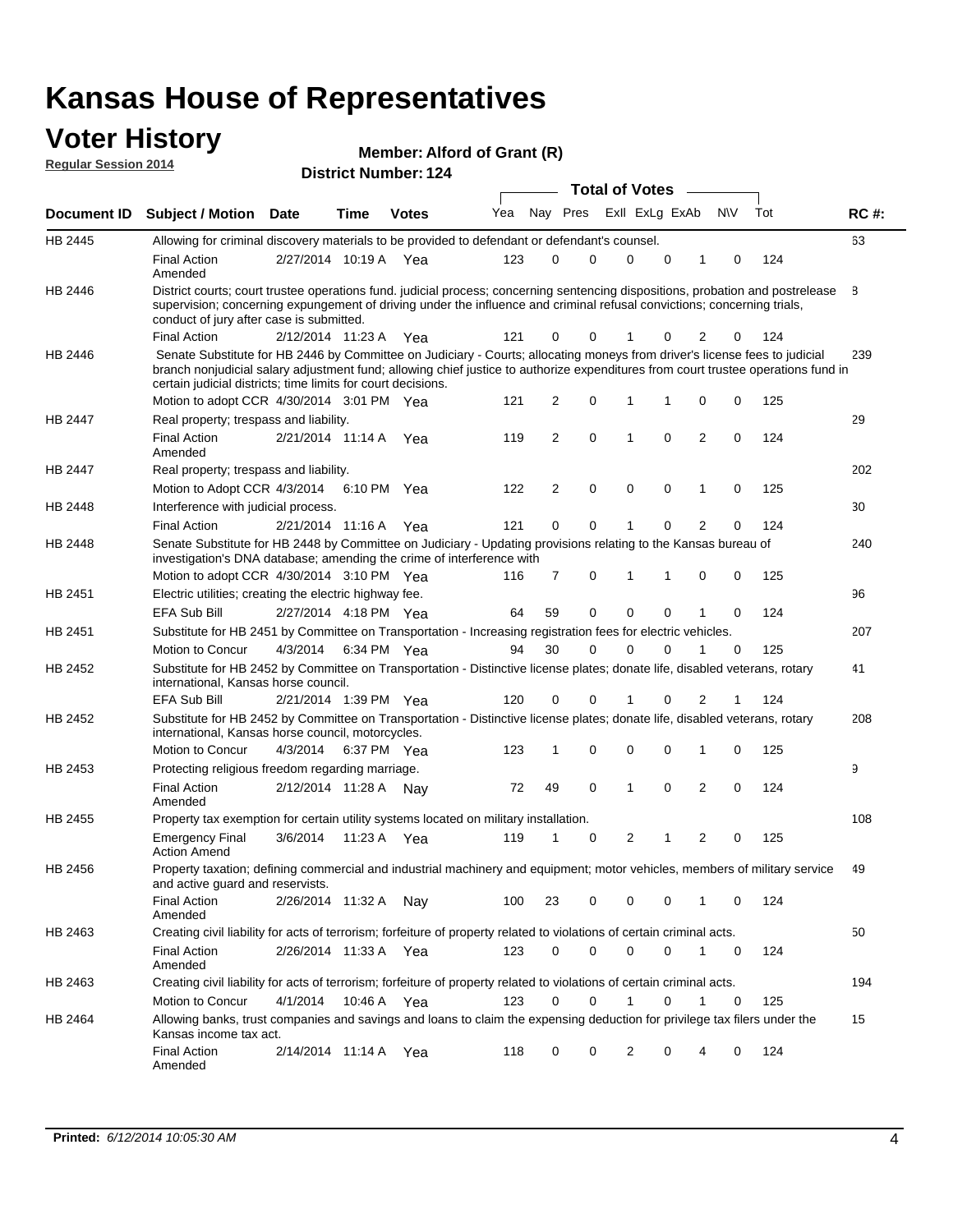#### **Voter History Regular Session 2014**

**Member: Alford of Grant (R)** 

| <b>District Number: 124</b> |  |
|-----------------------------|--|
|                             |  |

|                    |                                                                                                                                                                                                                                                                                                                                 |                       |      |              |     |    |             | <b>Total of Votes</b> |             |                |             |     |             |
|--------------------|---------------------------------------------------------------------------------------------------------------------------------------------------------------------------------------------------------------------------------------------------------------------------------------------------------------------------------|-----------------------|------|--------------|-----|----|-------------|-----------------------|-------------|----------------|-------------|-----|-------------|
| <b>Document ID</b> | <b>Subject / Motion Date</b>                                                                                                                                                                                                                                                                                                    |                       | Time | <b>Votes</b> | Yea |    | Nay Pres    | Exll ExLg ExAb        |             |                | N\V         | Tot | <b>RC#:</b> |
| HB 2445            | Allowing for criminal discovery materials to be provided to defendant or defendant's counsel.                                                                                                                                                                                                                                   |                       |      |              |     |    |             |                       |             |                |             |     | 63          |
|                    | <b>Final Action</b><br>Amended                                                                                                                                                                                                                                                                                                  | 2/27/2014 10:19 A Yea |      |              | 123 | 0  | 0           | 0                     | 0           | 1              | 0           | 124 |             |
| HB 2446            | District courts; court trustee operations fund. judicial process; concerning sentencing dispositions, probation and postrelease<br>supervision; concerning expungement of driving under the influence and criminal refusal convictions; concerning trials,<br>conduct of jury after case is submitted.                          |                       |      |              |     |    |             |                       |             |                |             |     | 8           |
|                    | <b>Final Action</b>                                                                                                                                                                                                                                                                                                             | 2/12/2014 11:23 A Yea |      |              | 121 | 0  | 0           |                       | 0           | 2              | 0           | 124 |             |
| HB 2446            | Senate Substitute for HB 2446 by Committee on Judiciary - Courts; allocating moneys from driver's license fees to judicial<br>branch nonjudicial salary adjustment fund; allowing chief justice to authorize expenditures from court trustee operations fund in<br>certain judicial districts; time limits for court decisions. |                       |      |              |     |    |             |                       |             |                |             |     | 239         |
|                    | Motion to adopt CCR 4/30/2014 3:01 PM Yea                                                                                                                                                                                                                                                                                       |                       |      |              | 121 | 2  | 0           | 1                     | 1           | 0              | 0           | 125 |             |
| <b>HB 2447</b>     | Real property; trespass and liability.                                                                                                                                                                                                                                                                                          |                       |      |              |     |    |             |                       |             |                |             |     | 29          |
|                    | <b>Final Action</b><br>Amended                                                                                                                                                                                                                                                                                                  | 2/21/2014 11:14 A Yea |      |              | 119 | 2  | $\mathbf 0$ | $\mathbf{1}$          | $\mathbf 0$ | 2              | $\mathbf 0$ | 124 |             |
| HB 2447            | Real property; trespass and liability.                                                                                                                                                                                                                                                                                          |                       |      |              |     |    |             |                       |             |                |             |     | 202         |
|                    | Motion to Adopt CCR 4/3/2014                                                                                                                                                                                                                                                                                                    |                       |      | 6:10 PM Yea  | 122 | 2  | 0           | 0                     | 0           | 1              | 0           | 125 |             |
| HB 2448            | Interference with judicial process.                                                                                                                                                                                                                                                                                             |                       |      |              |     |    |             |                       |             |                |             |     | 30          |
|                    | <b>Final Action</b>                                                                                                                                                                                                                                                                                                             | 2/21/2014 11:16 A Yea |      |              | 121 | 0  | 0           | 1                     | 0           | 2              | 0           | 124 |             |
| HB 2448            | Senate Substitute for HB 2448 by Committee on Judiciary - Updating provisions relating to the Kansas bureau of<br>investigation's DNA database; amending the crime of interference with                                                                                                                                         |                       |      |              |     |    |             |                       |             |                |             |     | 240         |
|                    | Motion to adopt CCR 4/30/2014 3:10 PM Yea                                                                                                                                                                                                                                                                                       |                       |      |              | 116 | 7  | 0           | $\mathbf{1}$          | 1           | 0              | 0           | 125 |             |
| HB 2451            | Electric utilities; creating the electric highway fee.                                                                                                                                                                                                                                                                          |                       |      |              |     |    |             |                       |             |                |             |     | 96          |
|                    | EFA Sub Bill                                                                                                                                                                                                                                                                                                                    | 2/27/2014 4:18 PM Yea |      |              | 64  | 59 | 0           | 0                     | 0           | 1              | 0           | 124 |             |
| HB 2451            | Substitute for HB 2451 by Committee on Transportation - Increasing registration fees for electric vehicles.                                                                                                                                                                                                                     |                       |      |              |     |    |             |                       |             |                |             |     | 207         |
|                    | Motion to Concur                                                                                                                                                                                                                                                                                                                | 4/3/2014              |      | 6:34 PM Yea  | 94  | 30 | 0           | $\Omega$              | 0           | 1              | 0           | 125 |             |
| HB 2452            | Substitute for HB 2452 by Committee on Transportation - Distinctive license plates; donate life, disabled veterans, rotary<br>international, Kansas horse council.                                                                                                                                                              |                       |      |              |     |    |             |                       |             |                |             |     | 41          |
|                    | <b>EFA Sub Bill</b>                                                                                                                                                                                                                                                                                                             | 2/21/2014 1:39 PM Yea |      |              | 120 | 0  | 0           |                       | 0           | 2              | 1           | 124 |             |
| HB 2452            | Substitute for HB 2452 by Committee on Transportation - Distinctive license plates; donate life, disabled veterans, rotary<br>international, Kansas horse council, motorcycles.                                                                                                                                                 |                       |      |              |     |    |             |                       |             |                |             |     | 208         |
|                    | Motion to Concur                                                                                                                                                                                                                                                                                                                | 4/3/2014              |      | 6:37 PM Yea  | 123 | 1  | 0           | $\mathbf 0$           | 0           | 1              | 0           | 125 |             |
| HB 2453            | Protecting religious freedom regarding marriage.                                                                                                                                                                                                                                                                                |                       |      |              |     |    |             |                       |             |                |             |     | 9           |
|                    | <b>Final Action</b><br>Amended                                                                                                                                                                                                                                                                                                  | 2/12/2014 11:28 A Nay |      |              | 72  | 49 | 0           | 1                     | 0           | 2              | 0           | 124 |             |
| HB 2455            | Property tax exemption for certain utility systems located on military installation.                                                                                                                                                                                                                                            |                       |      |              |     |    |             |                       |             |                |             |     | 108         |
|                    | <b>Emergency Final</b><br><b>Action Amend</b>                                                                                                                                                                                                                                                                                   | 3/6/2014              |      | 11:23 A Yea  | 119 | 1  | 0           | 2                     | 1           | $\overline{c}$ | 0           | 125 |             |
| HB 2456            | Property taxation; defining commercial and industrial machinery and equipment; motor vehicles, members of military service<br>and active guard and reservists.                                                                                                                                                                  |                       |      |              |     |    |             |                       |             |                |             |     | 49          |
|                    | <b>Final Action</b><br>Amended                                                                                                                                                                                                                                                                                                  | 2/26/2014 11:32 A Nay |      |              | 100 | 23 | 0           | 0                     | 0           | 1              | 0           | 124 |             |
| HB 2463            | Creating civil liability for acts of terrorism; forfeiture of property related to violations of certain criminal acts.                                                                                                                                                                                                          |                       |      |              |     |    |             |                       |             |                |             |     | 50          |
|                    | <b>Final Action</b><br>Amended                                                                                                                                                                                                                                                                                                  | 2/26/2014 11:33 A Yea |      |              | 123 | 0  | 0           | 0                     | 0           | $\mathbf{1}$   | 0           | 124 |             |
| HB 2463            | Creating civil liability for acts of terrorism; forfeiture of property related to violations of certain criminal acts.                                                                                                                                                                                                          |                       |      |              |     |    |             |                       |             |                |             |     | 194         |
|                    | Motion to Concur                                                                                                                                                                                                                                                                                                                | 4/1/2014              |      | 10:46 A Yea  | 123 | 0  | $\mathbf 0$ | 1                     | 0           | 1              | 0           | 125 |             |
| HB 2464            | Allowing banks, trust companies and savings and loans to claim the expensing deduction for privilege tax filers under the<br>Kansas income tax act.                                                                                                                                                                             |                       |      |              |     |    |             |                       |             |                |             |     | 15          |
|                    | Final Action<br>Amended                                                                                                                                                                                                                                                                                                         | 2/14/2014 11:14 A Yea |      |              | 118 | 0  | 0           | 2                     | 0           | 4              | 0           | 124 |             |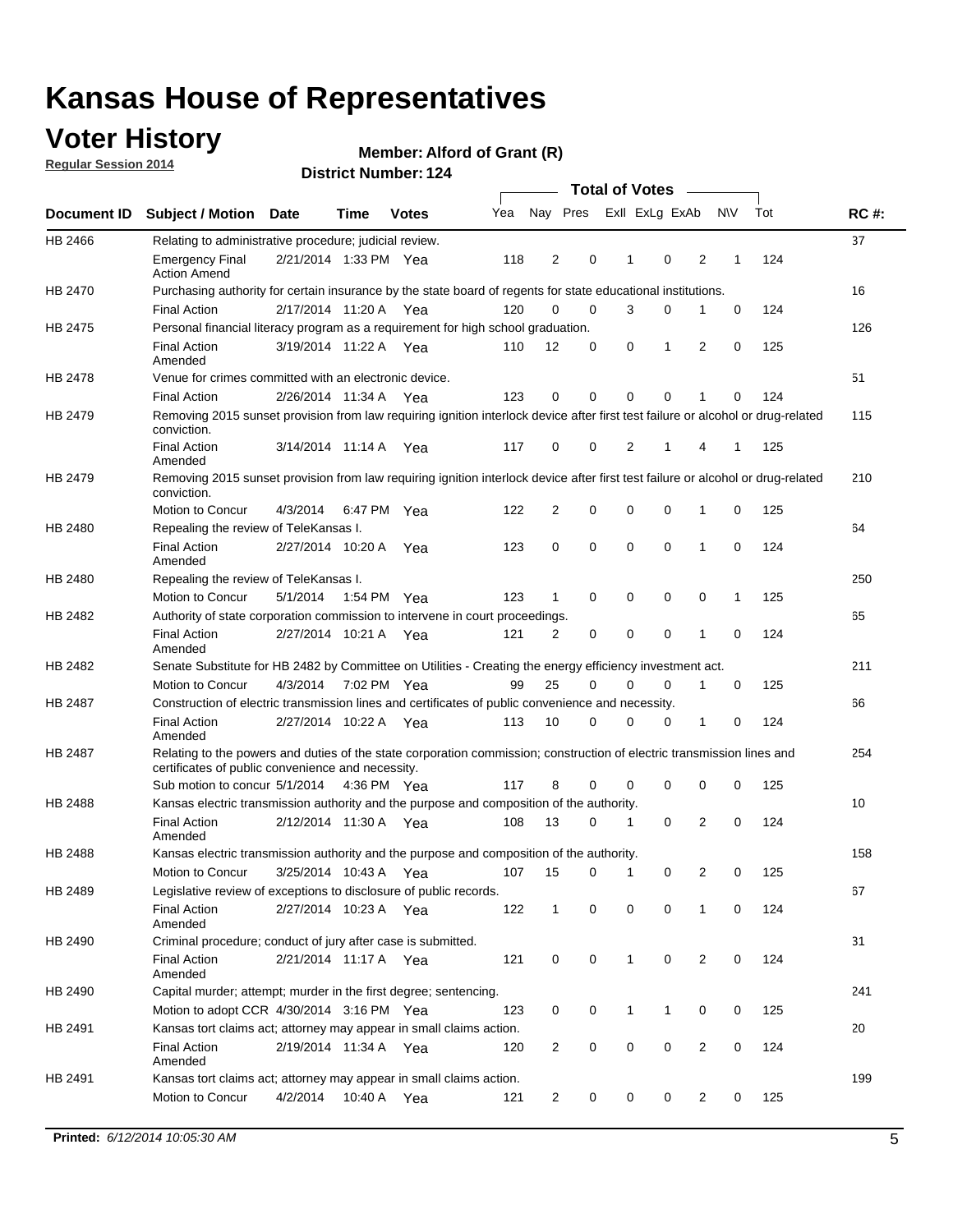## **Voter History**

**Regular Session 2014**

#### **Member: Alford of Grant (R)**

|                |                                                                                                                                                                             |                       |             |              |     |                |             |              | <b>Total of Votes</b> |                |             |     |             |
|----------------|-----------------------------------------------------------------------------------------------------------------------------------------------------------------------------|-----------------------|-------------|--------------|-----|----------------|-------------|--------------|-----------------------|----------------|-------------|-----|-------------|
|                | Document ID Subject / Motion Date                                                                                                                                           |                       | Time        | <b>Votes</b> | Yea | Nay Pres       |             |              | Exll ExLg ExAb        |                | <b>NV</b>   | Tot | <b>RC#:</b> |
| HB 2466        | Relating to administrative procedure; judicial review.                                                                                                                      |                       |             |              |     |                |             |              |                       |                |             |     | 37          |
|                | <b>Emergency Final</b><br><b>Action Amend</b>                                                                                                                               | 2/21/2014 1:33 PM Yea |             |              | 118 | 2              | 0           | 1            | $\mathbf 0$           | $\overline{2}$ | 1           | 124 |             |
| HB 2470        | Purchasing authority for certain insurance by the state board of regents for state educational institutions.                                                                |                       |             |              |     |                |             |              |                       |                |             |     | 16          |
|                | <b>Final Action</b>                                                                                                                                                         | 2/17/2014 11:20 A Yea |             |              | 120 | $\Omega$       | $\mathbf 0$ | 3            | 0                     | 1              | 0           | 124 |             |
| HB 2475        | Personal financial literacy program as a requirement for high school graduation.                                                                                            |                       |             |              |     |                |             |              |                       |                |             |     | 126         |
|                | <b>Final Action</b><br>Amended                                                                                                                                              | 3/19/2014 11:22 A Yea |             |              | 110 | 12             | $\mathbf 0$ | 0            | 1                     | 2              | 0           | 125 |             |
| HB 2478        | Venue for crimes committed with an electronic device.                                                                                                                       |                       |             |              |     |                |             |              |                       |                |             |     | 51          |
|                | <b>Final Action</b>                                                                                                                                                         | 2/26/2014 11:34 A     |             | Yea          | 123 | $\mathbf 0$    | 0           | $\Omega$     | $\mathbf 0$           | 1              | 0           | 124 |             |
| HB 2479        | Removing 2015 sunset provision from law requiring ignition interlock device after first test failure or alcohol or drug-related<br>conviction.                              |                       |             |              |     |                |             |              |                       |                |             |     | 115         |
|                | <b>Final Action</b><br>Amended                                                                                                                                              | 3/14/2014 11:14 A     |             | Yea          | 117 | 0              | 0           | 2            | 1                     | 4              | 1           | 125 |             |
| HB 2479        | Removing 2015 sunset provision from law requiring ignition interlock device after first test failure or alcohol or drug-related<br>conviction.                              |                       |             |              |     |                |             |              |                       |                |             |     | 210         |
|                | Motion to Concur                                                                                                                                                            | 4/3/2014              |             | 6:47 PM Yea  | 122 | $\overline{2}$ | 0           | $\mathbf 0$  | $\mathbf 0$           | 1              | 0           | 125 |             |
| HB 2480        | Repealing the review of TeleKansas I.                                                                                                                                       |                       |             |              |     |                |             |              |                       |                |             |     | 64          |
|                | <b>Final Action</b><br>Amended                                                                                                                                              | 2/27/2014 10:20 A Yea |             |              | 123 | 0              | 0           | 0            | $\mathbf 0$           | 1              | 0           | 124 |             |
| HB 2480        | Repealing the review of TeleKansas I.                                                                                                                                       |                       |             |              |     |                |             |              |                       |                |             |     | 250         |
|                | Motion to Concur                                                                                                                                                            | 5/1/2014              | 1:54 PM Yea |              | 123 | $\mathbf{1}$   | $\mathbf 0$ | $\mathbf 0$  | $\mathbf 0$           | 0              | 1           | 125 |             |
| HB 2482        | Authority of state corporation commission to intervene in court proceedings.                                                                                                |                       |             |              |     |                |             |              |                       |                |             |     | 65          |
|                | <b>Final Action</b><br>Amended                                                                                                                                              | 2/27/2014 10:21 A     |             | Yea          | 121 | 2              | 0           | $\mathbf 0$  | $\mathbf 0$           | 1              | $\mathbf 0$ | 124 |             |
| HB 2482        | Senate Substitute for HB 2482 by Committee on Utilities - Creating the energy efficiency investment act.                                                                    |                       |             |              |     |                |             |              |                       |                |             |     | 211         |
|                | Motion to Concur                                                                                                                                                            | 4/3/2014 7:02 PM Yea  |             |              | 99  | 25             | $\Omega$    | 0            | 0                     | 1              | 0           | 125 |             |
| HB 2487        | Construction of electric transmission lines and certificates of public convenience and necessity.                                                                           |                       |             |              |     |                |             |              |                       |                |             |     | 66          |
|                | <b>Final Action</b><br>Amended                                                                                                                                              | 2/27/2014 10:22 A Yea |             |              | 113 | 10             | 0           | $\mathbf 0$  | 0                     | 1              | 0           | 124 |             |
| HB 2487        | Relating to the powers and duties of the state corporation commission; construction of electric transmission lines and<br>certificates of public convenience and necessity. |                       |             |              |     |                |             |              |                       |                |             |     | 254         |
|                | Sub motion to concur 5/1/2014 4:36 PM Yea                                                                                                                                   |                       |             |              | 117 | 8              | 0           | $\Omega$     | $\mathbf 0$           | 0              | 0           | 125 |             |
| <b>HB 2488</b> | Kansas electric transmission authority and the purpose and composition of the authority.                                                                                    |                       |             |              |     |                |             |              |                       |                |             |     | 10          |
|                | <b>Final Action</b><br>Amended                                                                                                                                              | 2/12/2014 11:30 A Yea |             |              | 108 | 13             | 0           | 1            | 0                     | $\overline{2}$ | 0           | 124 |             |
| HB 2488        | Kansas electric transmission authority and the purpose and composition of the authority.                                                                                    |                       |             |              |     |                |             |              |                       |                |             |     | 158         |
|                | <b>Motion to Concur</b>                                                                                                                                                     | 3/25/2014 10:43 A     |             | Yea          | 107 | 15             | 0           | 1            | 0                     | 2              | 0           | 125 |             |
| HB 2489        | Legislative review of exceptions to disclosure of public records.                                                                                                           |                       |             |              |     |                |             |              |                       |                |             |     | 67          |
|                | <b>Final Action</b><br>Amended                                                                                                                                              | 2/27/2014 10:23 A Yea |             |              | 122 | $\mathbf{1}$   | 0           | 0            | $\mathbf 0$           | $\mathbf{1}$   | 0           | 124 |             |
| HB 2490        | Criminal procedure; conduct of jury after case is submitted.                                                                                                                |                       |             |              |     |                |             |              |                       |                |             |     | 31          |
|                | <b>Final Action</b><br>Amended                                                                                                                                              | 2/21/2014 11:17 A Yea |             |              | 121 | 0              | 0           | $\mathbf{1}$ | $\mathbf 0$           | 2              | 0           | 124 |             |
| HB 2490        | Capital murder; attempt; murder in the first degree; sentencing.                                                                                                            |                       |             |              |     |                |             |              |                       |                |             |     | 241         |
|                | Motion to adopt CCR 4/30/2014 3:16 PM Yea                                                                                                                                   |                       |             |              | 123 | 0              | 0           | 1            | 1                     | 0              | 0           | 125 |             |
| HB 2491        | Kansas tort claims act; attorney may appear in small claims action.                                                                                                         |                       |             |              |     |                |             |              |                       |                |             |     | 20          |
|                | <b>Final Action</b><br>Amended                                                                                                                                              | 2/19/2014 11:34 A Yea |             |              | 120 | 2              | 0           | 0            | 0                     | 2              | 0           | 124 |             |
| HB 2491        | Kansas tort claims act; attorney may appear in small claims action.                                                                                                         |                       |             |              |     |                |             |              |                       |                |             |     | 199         |
|                | Motion to Concur                                                                                                                                                            | 4/2/2014              |             | 10:40 A Yea  | 121 | 2              | 0           | 0            | 0                     | 2              | 0           | 125 |             |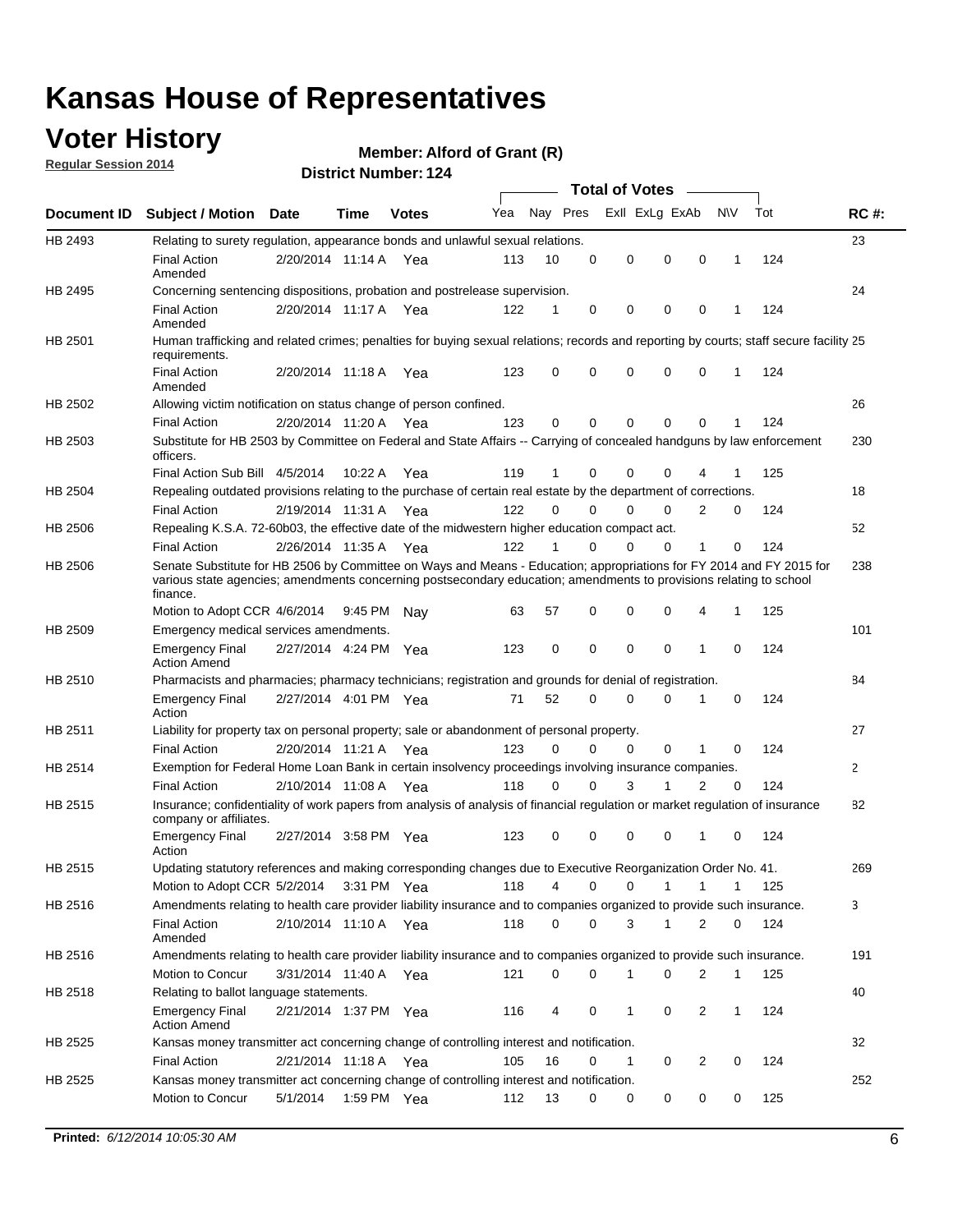## **Voter History**

**Regular Session 2014**

#### **Member: Alford of Grant (R)**

|         |                                                                                                                                                                                                                                                        |                       |         |              |     |          |          | <b>Total of Votes</b> |              |                |              |     |             |
|---------|--------------------------------------------------------------------------------------------------------------------------------------------------------------------------------------------------------------------------------------------------------|-----------------------|---------|--------------|-----|----------|----------|-----------------------|--------------|----------------|--------------|-----|-------------|
|         | Document ID Subject / Motion Date                                                                                                                                                                                                                      |                       | Time    | <b>Votes</b> | Yea | Nay Pres |          | Exll ExLg ExAb        |              |                | <b>NV</b>    | Tot | <b>RC#:</b> |
| HB 2493 | Relating to surety regulation, appearance bonds and unlawful sexual relations.                                                                                                                                                                         |                       |         |              |     |          |          |                       |              |                |              |     | 23          |
|         | <b>Final Action</b><br>Amended                                                                                                                                                                                                                         | 2/20/2014 11:14 A     |         | Yea          | 113 | 10       | 0        | 0                     | 0            | $\mathbf 0$    | 1            | 124 |             |
| HB 2495 | Concerning sentencing dispositions, probation and postrelease supervision.                                                                                                                                                                             |                       |         |              |     |          |          |                       |              |                |              |     | 24          |
|         | <b>Final Action</b><br>Amended                                                                                                                                                                                                                         | 2/20/2014 11:17 A Yea |         |              | 122 |          | 0        | 0                     | 0            | 0              |              | 124 |             |
| HB 2501 | Human trafficking and related crimes; penalties for buying sexual relations; records and reporting by courts; staff secure facility 25<br>requirements.                                                                                                |                       |         |              |     |          |          |                       |              |                |              |     |             |
|         | <b>Final Action</b><br>Amended                                                                                                                                                                                                                         | 2/20/2014 11:18 A Yea |         |              | 123 | 0        | 0        | 0                     | 0            | $\mathbf 0$    | 1            | 124 |             |
| HB 2502 | Allowing victim notification on status change of person confined.                                                                                                                                                                                      |                       |         |              |     |          |          |                       |              |                |              |     | 26          |
|         | <b>Final Action</b>                                                                                                                                                                                                                                    | 2/20/2014 11:20 A Yea |         |              | 123 | 0        | 0        | 0                     | 0            | $\Omega$       |              | 124 |             |
| HB 2503 | Substitute for HB 2503 by Committee on Federal and State Affairs -- Carrying of concealed handguns by law enforcement<br>officers.                                                                                                                     |                       |         |              |     |          |          |                       |              |                |              |     | 230         |
|         | Final Action Sub Bill 4/5/2014                                                                                                                                                                                                                         |                       | 10:22 A | Yea          | 119 |          | 0        | 0                     | 0            | 4              |              | 125 |             |
| HB 2504 | Repealing outdated provisions relating to the purchase of certain real estate by the department of corrections.                                                                                                                                        |                       |         |              |     |          |          |                       |              |                |              |     | 18          |
|         | <b>Final Action</b>                                                                                                                                                                                                                                    | 2/19/2014 11:31 A Yea |         |              | 122 | 0        | 0        | 0                     | 0            | 2              | 0            | 124 |             |
| HB 2506 | Repealing K.S.A. 72-60b03, the effective date of the midwestern higher education compact act.                                                                                                                                                          |                       |         |              |     |          |          |                       |              |                |              |     | 52          |
|         | <b>Final Action</b>                                                                                                                                                                                                                                    | 2/26/2014 11:35 A Yea |         |              | 122 |          | 0        | 0                     | 0            | 1              | 0            | 124 |             |
| HB 2506 | Senate Substitute for HB 2506 by Committee on Ways and Means - Education; appropriations for FY 2014 and FY 2015 for<br>various state agencies; amendments concerning postsecondary education; amendments to provisions relating to school<br>finance. |                       |         |              |     |          |          |                       |              |                |              |     | 238         |
|         | Motion to Adopt CCR 4/6/2014                                                                                                                                                                                                                           |                       | 9:45 PM | Nav          | 63  | 57       | 0        | 0                     | 0            | 4              | -1           | 125 |             |
| HB 2509 | Emergency medical services amendments.                                                                                                                                                                                                                 |                       |         |              |     |          |          |                       |              |                |              |     | 101         |
|         | <b>Emergency Final</b><br><b>Action Amend</b>                                                                                                                                                                                                          | 2/27/2014 4:24 PM Yea |         |              | 123 | 0        | 0        | 0                     | 0            | 1              | 0            | 124 |             |
| HB 2510 | Pharmacists and pharmacies; pharmacy technicians; registration and grounds for denial of registration.                                                                                                                                                 |                       |         |              |     |          |          |                       |              |                |              |     | 84          |
|         | <b>Emergency Final</b><br>Action                                                                                                                                                                                                                       | 2/27/2014 4:01 PM Yea |         |              | 71  | 52       | 0        | 0                     | 0            | 1              | 0            | 124 |             |
| HB 2511 | Liability for property tax on personal property; sale or abandonment of personal property.                                                                                                                                                             |                       |         |              |     |          |          |                       |              |                |              |     | 27          |
|         | <b>Final Action</b>                                                                                                                                                                                                                                    | 2/20/2014 11:21 A     |         | Yea          | 123 | 0        | $\Omega$ | 0                     | 0            | 1              | 0            | 124 |             |
| HB 2514 | Exemption for Federal Home Loan Bank in certain insolvency proceedings involving insurance companies.                                                                                                                                                  |                       |         |              |     |          |          |                       |              |                |              |     | 2           |
|         | <b>Final Action</b>                                                                                                                                                                                                                                    | 2/10/2014 11:08 A     |         | Yea          | 118 | 0        | $\Omega$ | 3                     | 1            | $\overline{2}$ | $\mathbf 0$  | 124 |             |
| HB 2515 | Insurance; confidentiality of work papers from analysis of analysis of financial regulation or market regulation of insurance<br>company or affiliates.                                                                                                |                       |         |              |     |          |          |                       |              |                |              |     | 82          |
|         | <b>Emergency Final</b><br>Action                                                                                                                                                                                                                       | 2/27/2014 3:58 PM Yea |         |              | 123 | 0        | 0        | 0                     | 0            | 1              | 0            | 124 |             |
| HB 2515 | Updating statutory references and making corresponding changes due to Executive Reorganization Order No. 41.                                                                                                                                           |                       |         |              |     |          |          |                       |              |                |              |     | 269         |
|         | Motion to Adopt CCR 5/2/2014                                                                                                                                                                                                                           |                       |         | 3:31 PM Yea  | 118 | 4        | 0        | 0                     | 1            | $\mathbf{1}$   | $\mathbf{1}$ | 125 |             |
| HB 2516 | Amendments relating to health care provider liability insurance and to companies organized to provide such insurance.                                                                                                                                  |                       |         |              |     |          |          |                       |              |                |              |     | 3           |
|         | <b>Final Action</b><br>Amended                                                                                                                                                                                                                         | 2/10/2014 11:10 A Yea |         |              | 118 | 0        | 0        | 3                     | $\mathbf{1}$ | 2              | 0            | 124 |             |
| HB 2516 | Amendments relating to health care provider liability insurance and to companies organized to provide such insurance.                                                                                                                                  |                       |         |              |     |          |          |                       |              |                |              |     | 191         |
|         | Motion to Concur                                                                                                                                                                                                                                       | 3/31/2014 11:40 A Yea |         |              | 121 | 0        | 0        | 1                     | 0            | 2              | 1            | 125 |             |
| HB 2518 | Relating to ballot language statements.                                                                                                                                                                                                                |                       |         |              |     |          |          |                       |              |                |              |     | 40          |
|         | <b>Emergency Final</b><br><b>Action Amend</b>                                                                                                                                                                                                          | 2/21/2014 1:37 PM Yea |         |              | 116 | 4        | 0        | 1                     | 0            | 2              | $\mathbf{1}$ | 124 |             |
| HB 2525 | Kansas money transmitter act concerning change of controlling interest and notification.                                                                                                                                                               |                       |         |              |     |          |          |                       |              |                |              |     | 32          |
|         | <b>Final Action</b>                                                                                                                                                                                                                                    | 2/21/2014 11:18 A Yea |         |              | 105 | 16       | 0        | 1                     | 0            | 2              | 0            | 124 |             |
| HB 2525 | Kansas money transmitter act concerning change of controlling interest and notification.                                                                                                                                                               |                       |         |              |     |          |          |                       |              |                |              |     | 252         |
|         | Motion to Concur                                                                                                                                                                                                                                       | 5/1/2014              |         | 1:59 PM Yea  | 112 | 13       | 0        | 0                     | 0            | 0              | 0            | 125 |             |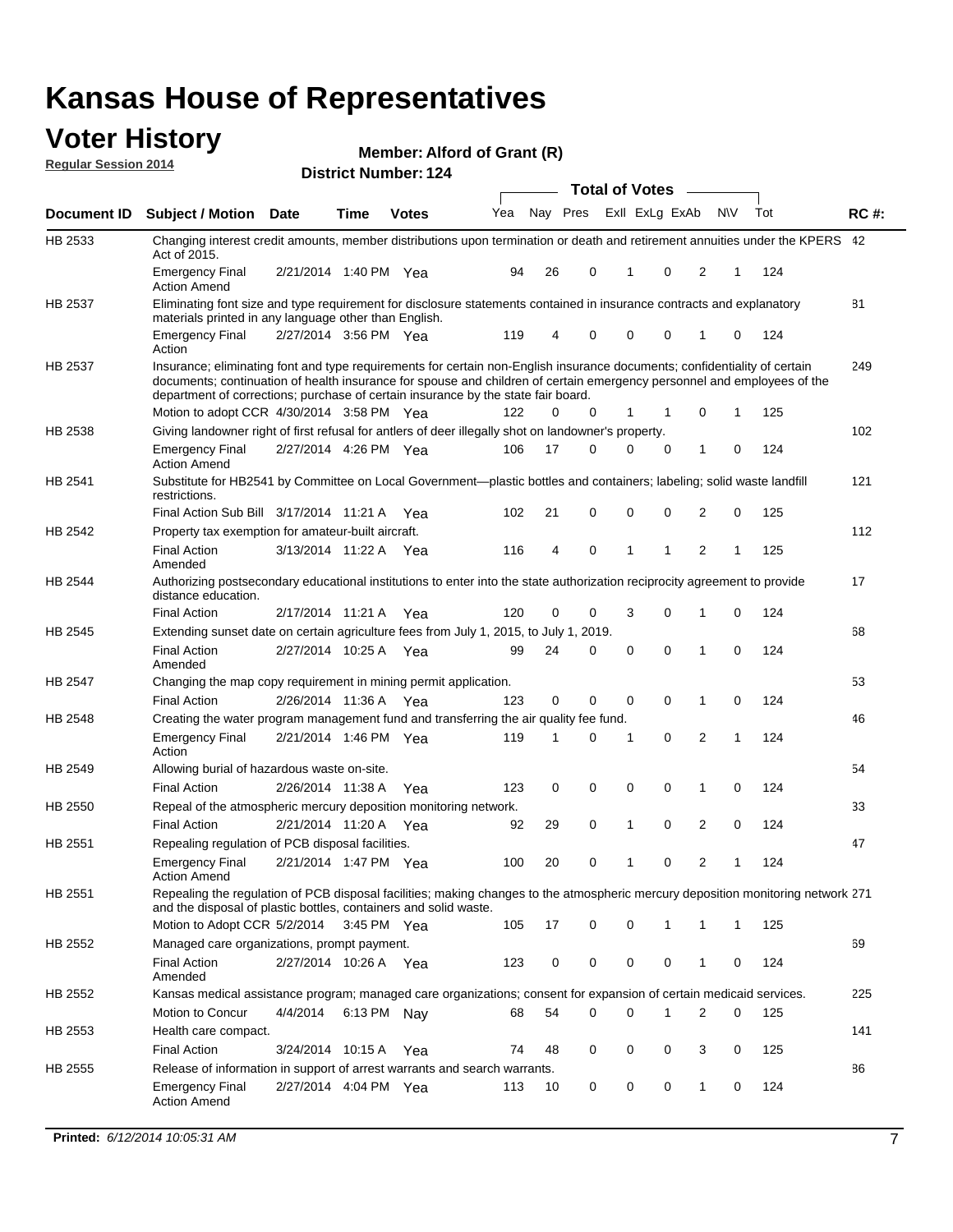#### **Voter History Regular Session 2014**

**Member: Alford of Grant (R)** 

|                |                                                                                                                                                                                                                                                                                                                                           |                       |             | PISUIVLINUIIINGI. IZ <del>T</del> |     |    |                         | <b>Total of Votes</b> |              |              |          |     |             |
|----------------|-------------------------------------------------------------------------------------------------------------------------------------------------------------------------------------------------------------------------------------------------------------------------------------------------------------------------------------------|-----------------------|-------------|-----------------------------------|-----|----|-------------------------|-----------------------|--------------|--------------|----------|-----|-------------|
| Document ID    | <b>Subject / Motion Date</b>                                                                                                                                                                                                                                                                                                              |                       | Time        | <b>Votes</b>                      | Yea |    | Nay Pres Exll ExLg ExAb |                       |              | <b>NV</b>    |          | Tot | <b>RC#:</b> |
| HB 2533        | Changing interest credit amounts, member distributions upon termination or death and retirement annuities under the KPERS 42<br>Act of 2015.                                                                                                                                                                                              |                       |             |                                   |     |    |                         |                       |              |              |          |     |             |
|                | <b>Emergency Final</b><br><b>Action Amend</b>                                                                                                                                                                                                                                                                                             | 2/21/2014 1:40 PM Yea |             |                                   | 94  | 26 | 0                       | 1                     | 0            | 2            | 1        | 124 |             |
| HB 2537        | Eliminating font size and type requirement for disclosure statements contained in insurance contracts and explanatory<br>materials printed in any language other than English.                                                                                                                                                            |                       |             |                                   |     |    |                         |                       |              |              |          |     | 81          |
|                | <b>Emergency Final</b><br>Action                                                                                                                                                                                                                                                                                                          | 2/27/2014 3:56 PM Yea |             |                                   | 119 | 4  | 0                       | 0                     | 0            | 1            | 0        | 124 |             |
| HB 2537        | Insurance; eliminating font and type requirements for certain non-English insurance documents; confidentiality of certain<br>documents; continuation of health insurance for spouse and children of certain emergency personnel and employees of the<br>department of corrections; purchase of certain insurance by the state fair board. |                       |             |                                   |     |    |                         |                       |              |              |          |     | 249         |
|                | Motion to adopt CCR 4/30/2014 3:58 PM Yea                                                                                                                                                                                                                                                                                                 |                       |             |                                   | 122 | 0  | 0                       | 1                     | -1           | 0            | 1        | 125 |             |
| HB 2538        | Giving landowner right of first refusal for antlers of deer illegally shot on landowner's property.                                                                                                                                                                                                                                       |                       |             |                                   |     |    |                         |                       |              |              |          |     | 102         |
|                | <b>Emergency Final</b><br><b>Action Amend</b>                                                                                                                                                                                                                                                                                             | 2/27/2014 4:26 PM Yea |             |                                   | 106 | 17 | 0                       | 0                     | 0            | 1            | 0        | 124 |             |
| HB 2541        | Substitute for HB2541 by Committee on Local Government—plastic bottles and containers; labeling; solid waste landfill<br>restrictions.                                                                                                                                                                                                    |                       |             |                                   |     |    |                         |                       |              |              |          |     | 121         |
|                | Final Action Sub Bill 3/17/2014 11:21 A Yea                                                                                                                                                                                                                                                                                               |                       |             |                                   | 102 | 21 | 0                       | $\mathbf 0$           | 0            | 2            | 0        | 125 |             |
| HB 2542        | Property tax exemption for amateur-built aircraft.                                                                                                                                                                                                                                                                                        |                       |             |                                   |     |    |                         |                       |              |              |          |     | 112         |
|                | <b>Final Action</b><br>Amended                                                                                                                                                                                                                                                                                                            | 3/13/2014 11:22 A Yea |             |                                   | 116 | 4  | 0                       | 1                     | $\mathbf{1}$ | 2            | 1        | 125 |             |
| HB 2544        | Authorizing postsecondary educational institutions to enter into the state authorization reciprocity agreement to provide<br>distance education.                                                                                                                                                                                          |                       |             |                                   |     |    |                         |                       |              |              |          |     | 17          |
|                | <b>Final Action</b>                                                                                                                                                                                                                                                                                                                       | 2/17/2014 11:21 A Yea |             |                                   | 120 | 0  | 0                       | 3                     | 0            | 1            | 0        | 124 |             |
| HB 2545        | Extending sunset date on certain agriculture fees from July 1, 2015, to July 1, 2019.                                                                                                                                                                                                                                                     |                       |             |                                   |     |    |                         |                       |              |              |          |     | 68          |
|                | <b>Final Action</b><br>Amended                                                                                                                                                                                                                                                                                                            | 2/27/2014 10:25 A Yea |             |                                   | 99  | 24 | 0                       | $\mathbf 0$           | $\Omega$     | 1            | $\Omega$ | 124 |             |
| <b>HB 2547</b> | Changing the map copy requirement in mining permit application.                                                                                                                                                                                                                                                                           |                       |             |                                   |     |    |                         |                       |              |              |          |     | 53          |
|                | <b>Final Action</b>                                                                                                                                                                                                                                                                                                                       | 2/26/2014 11:36 A     |             | Yea                               | 123 | 0  | 0                       | 0                     | 0            | 1            | 0        | 124 |             |
| HB 2548        | Creating the water program management fund and transferring the air quality fee fund.                                                                                                                                                                                                                                                     |                       |             |                                   |     |    |                         |                       |              |              |          |     | 46          |
|                | <b>Emergency Final</b><br>Action                                                                                                                                                                                                                                                                                                          | 2/21/2014 1:46 PM Yea |             |                                   | 119 | 1  | 0                       | 1                     | 0            | 2            | 1        | 124 |             |
| HB 2549        | Allowing burial of hazardous waste on-site.                                                                                                                                                                                                                                                                                               |                       |             |                                   |     |    |                         |                       |              |              |          |     | 54          |
|                | <b>Final Action</b>                                                                                                                                                                                                                                                                                                                       | 2/26/2014 11:38 A     |             | Yea                               | 123 | 0  | 0                       | 0                     | 0            | 1            | 0        | 124 |             |
| HB 2550        | Repeal of the atmospheric mercury deposition monitoring network.                                                                                                                                                                                                                                                                          |                       |             |                                   |     |    |                         |                       |              |              |          |     | 33          |
|                | <b>Final Action</b>                                                                                                                                                                                                                                                                                                                       | 2/21/2014 11:20 A     |             | Yea                               | 92  | 29 | 0                       | 1                     | 0            | 2            | 0        | 124 |             |
| HB 2551        | Repealing regulation of PCB disposal facilities.                                                                                                                                                                                                                                                                                          |                       |             |                                   |     |    |                         |                       |              |              |          |     | 47          |
|                | <b>Emergency Final</b><br>Action Amend                                                                                                                                                                                                                                                                                                    | 2/21/2014 1:47 PM Yea |             |                                   | 100 | 20 | 0                       | 1                     | 0            | 2            | 1        | 124 |             |
| HB 2551        | Repealing the regulation of PCB disposal facilities; making changes to the atmospheric mercury deposition monitoring network 271<br>and the disposal of plastic bottles, containers and solid waste.                                                                                                                                      |                       |             |                                   |     |    |                         |                       |              |              |          |     |             |
|                | Motion to Adopt CCR 5/2/2014                                                                                                                                                                                                                                                                                                              |                       | 3:45 PM Yea |                                   | 105 | 17 | 0                       | $\mathbf 0$           | 1            | 1            | 1        | 125 |             |
| HB 2552        | Managed care organizations, prompt payment.                                                                                                                                                                                                                                                                                               |                       |             |                                   |     |    |                         |                       |              |              |          |     | 69          |
|                | <b>Final Action</b><br>Amended                                                                                                                                                                                                                                                                                                            | 2/27/2014 10:26 A Yea |             |                                   | 123 | 0  | 0                       | 0                     | 0            | 1            | 0        | 124 |             |
| HB 2552        | Kansas medical assistance program; managed care organizations; consent for expansion of certain medicaid services.                                                                                                                                                                                                                        |                       |             |                                   |     |    |                         |                       |              |              |          |     | 225         |
|                | Motion to Concur                                                                                                                                                                                                                                                                                                                          | 4/4/2014              | 6:13 PM Nay |                                   | 68  | 54 | 0                       | $\mathbf 0$           | 1            | 2            | 0        | 125 |             |
| HB 2553        | Health care compact.                                                                                                                                                                                                                                                                                                                      |                       |             |                                   |     |    |                         |                       |              |              |          |     | 141         |
|                | <b>Final Action</b>                                                                                                                                                                                                                                                                                                                       | 3/24/2014 10:15 A Yea |             |                                   | 74  | 48 | 0                       | 0                     | 0            | 3            | 0        | 125 |             |
| HB 2555        | Release of information in support of arrest warrants and search warrants.                                                                                                                                                                                                                                                                 |                       |             |                                   |     |    |                         |                       |              |              |          |     | 86          |
|                | <b>Emergency Final</b><br><b>Action Amend</b>                                                                                                                                                                                                                                                                                             | 2/27/2014 4:04 PM Yea |             |                                   | 113 | 10 | 0                       | 0                     | 0            | $\mathbf{1}$ | 0        | 124 |             |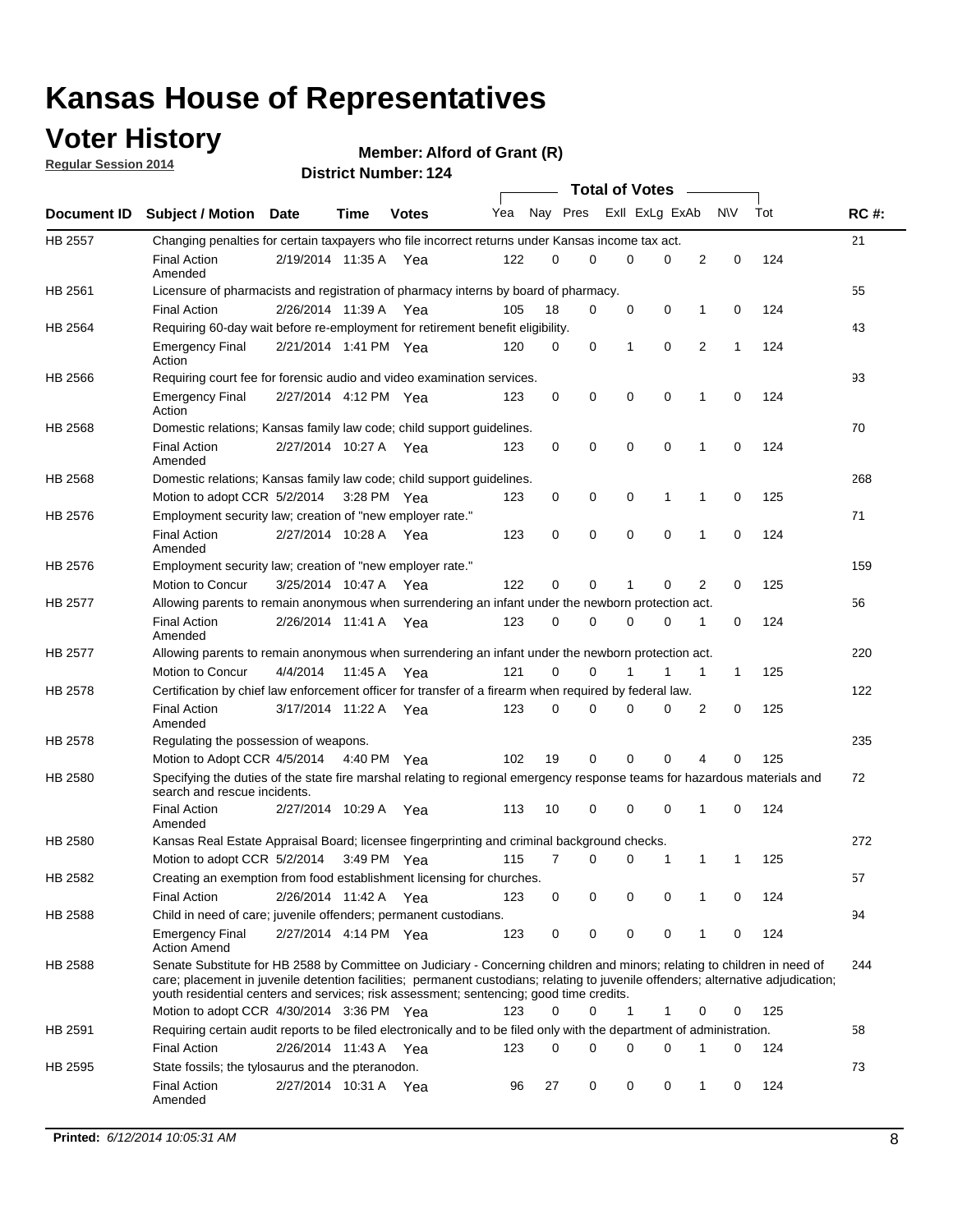## **Voter History**

**Regular Session 2014**

**Member: Alford of Grant (R)** 

|                |                                                                                                                                                                                                                                                                                                                                                           |                       |             |              |     |          |   | <b>Total of Votes</b> |             |              |              |     |             |
|----------------|-----------------------------------------------------------------------------------------------------------------------------------------------------------------------------------------------------------------------------------------------------------------------------------------------------------------------------------------------------------|-----------------------|-------------|--------------|-----|----------|---|-----------------------|-------------|--------------|--------------|-----|-------------|
|                | Document ID Subject / Motion Date                                                                                                                                                                                                                                                                                                                         |                       | Time        | <b>Votes</b> | Yea | Nay Pres |   | Exll ExLg ExAb        |             |              | <b>NV</b>    | Tot | <b>RC#:</b> |
| <b>HB 2557</b> | Changing penalties for certain taxpayers who file incorrect returns under Kansas income tax act.                                                                                                                                                                                                                                                          |                       |             |              |     |          |   |                       |             |              |              |     | 21          |
|                | <b>Final Action</b><br>Amended                                                                                                                                                                                                                                                                                                                            | 2/19/2014 11:35 A     |             | Yea          | 122 | 0        | 0 | 0                     | 0           | 2            | 0            | 124 |             |
| HB 2561        | Licensure of pharmacists and registration of pharmacy interns by board of pharmacy.                                                                                                                                                                                                                                                                       |                       |             |              |     |          |   |                       |             |              |              |     | 55          |
|                | <b>Final Action</b>                                                                                                                                                                                                                                                                                                                                       | 2/26/2014 11:39 A Yea |             |              | 105 | 18       | 0 | 0                     | 0           | 1            | 0            | 124 |             |
| HB 2564        | Requiring 60-day wait before re-employment for retirement benefit eligibility.                                                                                                                                                                                                                                                                            |                       |             |              |     |          |   |                       |             |              |              |     | 43          |
|                | <b>Emergency Final</b><br>Action                                                                                                                                                                                                                                                                                                                          | 2/21/2014 1:41 PM Yea |             |              | 120 | 0        | 0 | 1                     | 0           | 2            | 1            | 124 |             |
| HB 2566        | Requiring court fee for forensic audio and video examination services.                                                                                                                                                                                                                                                                                    |                       |             |              |     |          |   |                       |             |              |              |     | 93          |
|                | <b>Emergency Final</b><br>Action                                                                                                                                                                                                                                                                                                                          | 2/27/2014 4:12 PM Yea |             |              | 123 | 0        | 0 | 0                     | $\mathbf 0$ | 1            | $\mathbf 0$  | 124 |             |
| HB 2568        | Domestic relations; Kansas family law code; child support guidelines.                                                                                                                                                                                                                                                                                     |                       |             |              |     |          |   |                       |             |              |              |     | 70          |
|                | <b>Final Action</b><br>Amended                                                                                                                                                                                                                                                                                                                            | 2/27/2014 10:27 A     |             | Yea          | 123 | 0        | 0 | 0                     | 0           | 1            | 0            | 124 |             |
| HB 2568        | Domestic relations; Kansas family law code; child support guidelines.                                                                                                                                                                                                                                                                                     |                       |             |              |     |          |   |                       |             |              |              |     | 268         |
|                | Motion to adopt CCR 5/2/2014                                                                                                                                                                                                                                                                                                                              |                       | 3:28 PM Yea |              | 123 | 0        | 0 | 0                     | 1           | 1            | 0            | 125 |             |
| HB 2576        | Employment security law; creation of "new employer rate."                                                                                                                                                                                                                                                                                                 |                       |             |              |     |          |   |                       |             |              |              |     | 71          |
|                | <b>Final Action</b><br>Amended                                                                                                                                                                                                                                                                                                                            | 2/27/2014 10:28 A     |             | Yea          | 123 | 0        | 0 | 0                     | $\mathbf 0$ | 1            | 0            | 124 |             |
| HB 2576        | Employment security law; creation of "new employer rate."                                                                                                                                                                                                                                                                                                 |                       |             |              |     |          |   |                       |             |              |              |     | 159         |
|                | Motion to Concur                                                                                                                                                                                                                                                                                                                                          | 3/25/2014 10:47 A     |             | Yea          | 122 | 0        | 0 | 1                     | 0           | 2            | 0            | 125 |             |
| HB 2577        | Allowing parents to remain anonymous when surrendering an infant under the newborn protection act.                                                                                                                                                                                                                                                        |                       |             |              |     |          |   |                       |             |              |              |     | 56          |
|                | <b>Final Action</b><br>Amended                                                                                                                                                                                                                                                                                                                            | 2/26/2014 11:41 A Yea |             |              | 123 | 0        | 0 | 0                     | $\Omega$    | 1            | 0            | 124 |             |
| HB 2577        | Allowing parents to remain anonymous when surrendering an infant under the newborn protection act.                                                                                                                                                                                                                                                        |                       |             |              |     |          |   |                       |             |              |              |     | 220         |
|                | Motion to Concur                                                                                                                                                                                                                                                                                                                                          | 4/4/2014              | 11:45 A     | Yea          | 121 | $\Omega$ | 0 |                       | 1           | $\mathbf{1}$ | $\mathbf{1}$ | 125 |             |
| HB 2578        | Certification by chief law enforcement officer for transfer of a firearm when required by federal law.                                                                                                                                                                                                                                                    |                       |             |              |     |          |   |                       |             |              |              |     | 122         |
|                | <b>Final Action</b><br>Amended                                                                                                                                                                                                                                                                                                                            | 3/17/2014 11:22 A     |             | Yea          | 123 | $\Omega$ | 0 | 0                     | $\Omega$    | 2            | 0            | 125 |             |
| HB 2578        | Regulating the possession of weapons.                                                                                                                                                                                                                                                                                                                     |                       |             |              |     |          |   |                       |             |              |              |     | 235         |
|                | Motion to Adopt CCR 4/5/2014 4:40 PM Yea                                                                                                                                                                                                                                                                                                                  |                       |             |              | 102 | 19       | 0 | 0                     | 0           | 4            | $\Omega$     | 125 |             |
| HB 2580        | Specifying the duties of the state fire marshal relating to regional emergency response teams for hazardous materials and<br>search and rescue incidents.                                                                                                                                                                                                 |                       |             |              |     |          |   |                       |             |              |              |     | 72          |
|                | <b>Final Action</b><br>Amended                                                                                                                                                                                                                                                                                                                            | 2/27/2014 10:29 A     |             | Yea          | 113 | 10       | 0 | 0                     | 0           | 1            | 0            | 124 |             |
| HB 2580        | Kansas Real Estate Appraisal Board; licensee fingerprinting and criminal background checks.                                                                                                                                                                                                                                                               |                       |             |              |     |          |   |                       |             |              |              |     | 272         |
|                | Motion to adopt CCR 5/2/2014                                                                                                                                                                                                                                                                                                                              |                       |             | 3:49 PM Yea  | 115 | 7        | 0 | 0                     | 1           | 1            | -1           | 125 |             |
| HB 2582        | Creating an exemption from food establishment licensing for churches.                                                                                                                                                                                                                                                                                     |                       |             |              |     |          |   |                       |             |              |              |     | 57          |
|                | <b>Final Action</b>                                                                                                                                                                                                                                                                                                                                       | 2/26/2014 11:42 A Yea |             |              | 123 | 0        | 0 | 0                     | 0           | 1            | 0            | 124 |             |
| HB 2588        | Child in need of care; juvenile offenders; permanent custodians.                                                                                                                                                                                                                                                                                          |                       |             |              |     |          |   |                       |             |              |              |     | 94          |
|                | <b>Emergency Final</b><br><b>Action Amend</b>                                                                                                                                                                                                                                                                                                             | 2/27/2014 4:14 PM Yea |             |              | 123 | 0        | 0 | 0                     | 0           | 1            | 0            | 124 |             |
| HB 2588        | Senate Substitute for HB 2588 by Committee on Judiciary - Concerning children and minors; relating to children in need of<br>care; placement in juvenile detention facilities; permanent custodians; relating to juvenile offenders; alternative adjudication;<br>youth residential centers and services; risk assessment; sentencing; good time credits. |                       |             |              |     |          |   |                       |             |              |              |     | 244         |
|                | Motion to adopt CCR 4/30/2014 3:36 PM Yea                                                                                                                                                                                                                                                                                                                 |                       |             |              | 123 | 0        | 0 | 1                     | 1           | 0            | 0            | 125 |             |
| HB 2591        | Requiring certain audit reports to be filed electronically and to be filed only with the department of administration.                                                                                                                                                                                                                                    |                       |             |              |     |          |   |                       |             |              |              |     | 58          |
|                | <b>Final Action</b>                                                                                                                                                                                                                                                                                                                                       | 2/26/2014 11:43 A Yea |             |              | 123 | 0        | 0 | 0                     | 0           | 1            | 0            | 124 |             |
| HB 2595        | State fossils; the tylosaurus and the pteranodon.                                                                                                                                                                                                                                                                                                         |                       |             |              |     |          |   |                       |             |              |              |     | 73          |
|                | <b>Final Action</b><br>Amended                                                                                                                                                                                                                                                                                                                            | 2/27/2014 10:31 A Yea |             |              | 96  | 27       | 0 | 0                     | 0           | 1            | 0            | 124 |             |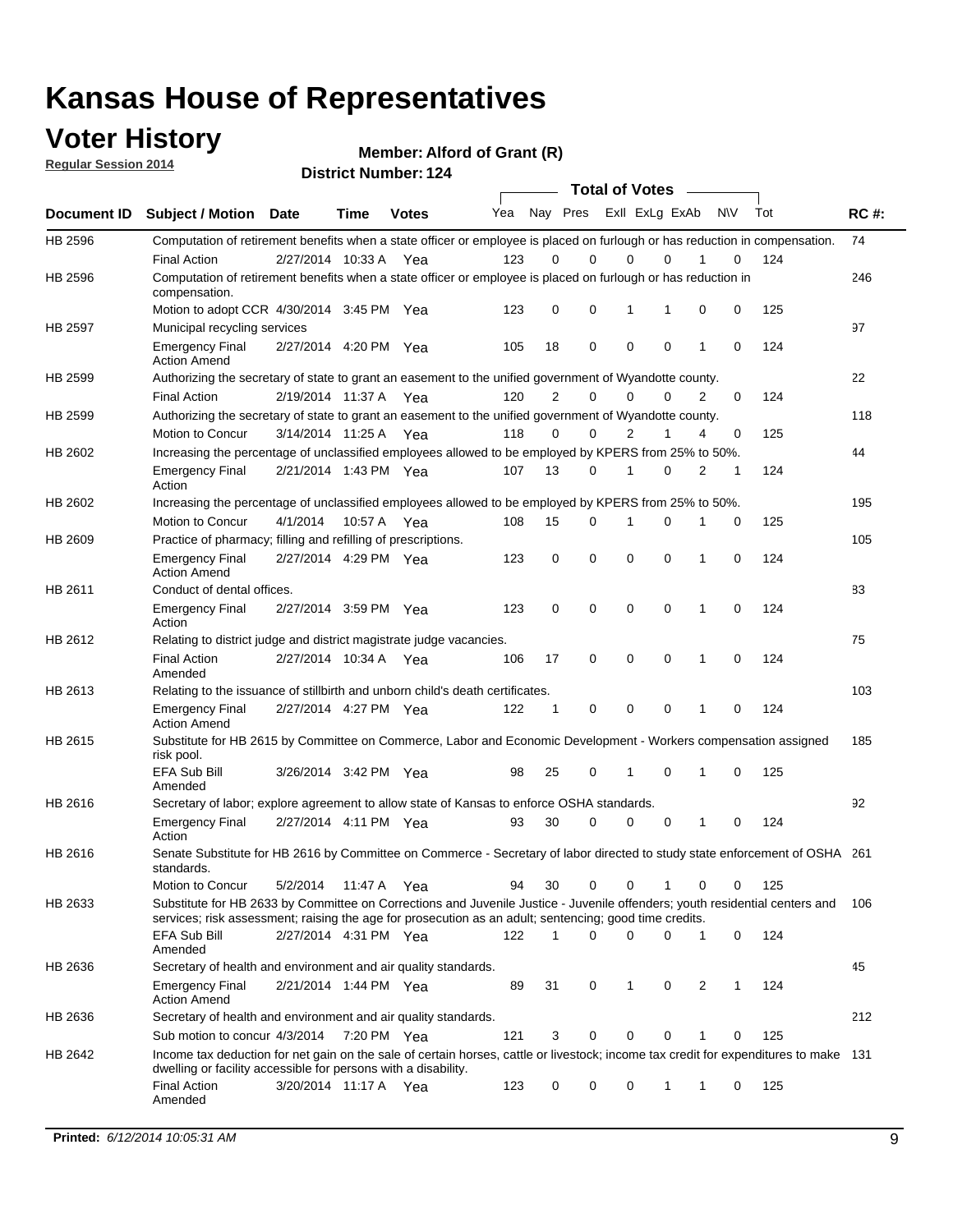## **Voter History**

**Regular Session 2014**

**Member: Alford of Grant (R)** 

|             |                                                                                                                                                                                                                                       |                       |             |       |     |              | <b>Total of Votes</b> |                |             |              |           |     |             |
|-------------|---------------------------------------------------------------------------------------------------------------------------------------------------------------------------------------------------------------------------------------|-----------------------|-------------|-------|-----|--------------|-----------------------|----------------|-------------|--------------|-----------|-----|-------------|
| Document ID | <b>Subject / Motion</b>                                                                                                                                                                                                               | <b>Date</b>           | Time        | Votes | Yea | Nay Pres     |                       | Exll ExLg ExAb |             |              | <b>NV</b> | Tot | <b>RC#:</b> |
| HB 2596     | Computation of retirement benefits when a state officer or employee is placed on furlough or has reduction in compensation.                                                                                                           |                       |             |       |     |              |                       |                |             |              |           |     | 74          |
| HB 2596     | <b>Final Action</b><br>Computation of retirement benefits when a state officer or employee is placed on furlough or has reduction in                                                                                                  | 2/27/2014 10:33 A     |             | Yea   | 123 | 0            | 0                     | 0              | 0           |              | 0         | 124 | 246         |
|             | compensation.<br>Motion to adopt CCR 4/30/2014 3:45 PM Yea                                                                                                                                                                            |                       |             |       | 123 | 0            | 0                     | 1              | 1           | 0            | 0         | 125 |             |
| HB 2597     | Municipal recycling services                                                                                                                                                                                                          |                       |             |       |     |              |                       |                |             |              |           |     | 97          |
|             | <b>Emergency Final</b><br><b>Action Amend</b>                                                                                                                                                                                         | 2/27/2014 4:20 PM Yea |             |       | 105 | 18           | 0                     | $\mathbf 0$    | 0           | $\mathbf{1}$ | 0         | 124 |             |
| HB 2599     | Authorizing the secretary of state to grant an easement to the unified government of Wyandotte county.                                                                                                                                |                       |             |       |     |              |                       |                |             |              |           |     | 22          |
|             | Final Action                                                                                                                                                                                                                          | 2/19/2014 11:37 A     |             | Yea   | 120 | 2            | 0                     | 0              | 0           | 2            | 0         | 124 |             |
| HB 2599     | Authorizing the secretary of state to grant an easement to the unified government of Wyandotte county.                                                                                                                                |                       |             |       |     |              |                       |                |             |              |           |     | 118         |
|             | Motion to Concur                                                                                                                                                                                                                      | 3/14/2014 11:25 A     |             | Yea   | 118 | 0            | 0                     | 2              | 1           | 4            | 0         | 125 |             |
| HB 2602     | Increasing the percentage of unclassified employees allowed to be employed by KPERS from 25% to 50%.                                                                                                                                  |                       |             |       |     |              |                       |                |             |              |           |     | 44          |
|             | <b>Emergency Final</b><br>Action                                                                                                                                                                                                      | 2/21/2014 1:43 PM Yea |             |       | 107 | 13           | 0                     | 1              | 0           | 2            | 1         | 124 |             |
| HB 2602     | Increasing the percentage of unclassified employees allowed to be employed by KPERS from 25% to 50%.                                                                                                                                  |                       |             |       |     |              |                       |                |             |              |           |     | 195         |
|             | Motion to Concur                                                                                                                                                                                                                      | 4/1/2014              | 10:57 A Yea |       | 108 | 15           | 0                     | 1              | $\mathbf 0$ | 1            | 0         | 125 |             |
| HB 2609     | Practice of pharmacy; filling and refilling of prescriptions.                                                                                                                                                                         |                       |             |       |     |              |                       |                |             |              |           |     | 105         |
|             | <b>Emergency Final</b><br><b>Action Amend</b>                                                                                                                                                                                         | 2/27/2014 4:29 PM Yea |             |       | 123 | 0            | $\mathbf 0$           | $\mathbf 0$    | 0           | $\mathbf{1}$ | $\Omega$  | 124 |             |
| HB 2611     | Conduct of dental offices.                                                                                                                                                                                                            |                       |             |       |     |              |                       |                |             |              |           |     | 83          |
|             | <b>Emergency Final</b><br>Action                                                                                                                                                                                                      | 2/27/2014 3:59 PM Yea |             |       | 123 | 0            | 0                     | $\mathbf 0$    | 0           | 1            | 0         | 124 |             |
| HB 2612     | Relating to district judge and district magistrate judge vacancies.                                                                                                                                                                   |                       |             |       |     |              |                       |                |             |              |           |     | 75          |
|             | <b>Final Action</b><br>Amended                                                                                                                                                                                                        | 2/27/2014 10:34 A     |             | Yea   | 106 | 17           | 0                     | $\mathbf 0$    | 0           | 1            | 0         | 124 |             |
| HB 2613     | Relating to the issuance of stillbirth and unborn child's death certificates.                                                                                                                                                         |                       |             |       |     |              |                       |                |             |              |           |     | 103         |
|             | <b>Emergency Final</b><br><b>Action Amend</b>                                                                                                                                                                                         | 2/27/2014 4:27 PM Yea |             |       | 122 | $\mathbf{1}$ | 0                     | $\mathbf 0$    | 0           | 1            | 0         | 124 |             |
| HB 2615     | Substitute for HB 2615 by Committee on Commerce, Labor and Economic Development - Workers compensation assigned<br>risk pool.                                                                                                         |                       |             |       |     |              |                       |                |             |              |           |     | 185         |
|             | <b>EFA Sub Bill</b><br>Amended                                                                                                                                                                                                        | 3/26/2014 3:42 PM Yea |             |       | 98  | 25           | 0                     | 1              | 0           | 1            | 0         | 125 |             |
| HB 2616     | Secretary of labor; explore agreement to allow state of Kansas to enforce OSHA standards.                                                                                                                                             |                       |             |       |     |              |                       |                |             |              |           |     | 92          |
|             | <b>Emergency Final</b><br>Action                                                                                                                                                                                                      | 2/27/2014 4:11 PM Yea |             |       | 93  | 30           | $\Omega$              | 0              | 0           | 1            | 0         | 124 |             |
| HB 2616     | Senate Substitute for HB 2616 by Committee on Commerce - Secretary of labor directed to study state enforcement of OSHA 261<br>standards.                                                                                             |                       |             |       |     |              |                       |                |             |              |           |     |             |
|             | Motion to Concur                                                                                                                                                                                                                      | 5/2/2014 11:47 A Yea  |             |       | 94  | 30           | 0                     | $\mathbf 0$    | 1           | 0            | 0         | 125 |             |
| HB 2633     | Substitute for HB 2633 by Committee on Corrections and Juvenile Justice - Juvenile offenders; youth residential centers and<br>services; risk assessment; raising the age for prosecution as an adult; sentencing; good time credits. |                       |             |       |     |              |                       |                |             |              |           |     | - 106       |
|             | <b>EFA Sub Bill</b><br>Amended                                                                                                                                                                                                        | 2/27/2014 4:31 PM Yea |             |       | 122 | 1            | 0                     | 0              | 0           | 1            | 0         | 124 |             |
| HB 2636     | Secretary of health and environment and air quality standards.                                                                                                                                                                        |                       |             |       |     |              |                       |                |             |              |           |     | 45          |
|             | <b>Emergency Final</b><br><b>Action Amend</b>                                                                                                                                                                                         | 2/21/2014 1:44 PM Yea |             |       | 89  | 31           | 0                     | 1              | 0           | 2            | 1         | 124 |             |
| HB 2636     | Secretary of health and environment and air quality standards.                                                                                                                                                                        |                       |             |       |     |              |                       |                |             |              |           |     | 212         |
|             | Sub motion to concur 4/3/2014 7:20 PM Yea                                                                                                                                                                                             |                       |             |       | 121 | 3            | 0                     | 0              | 0           | 1            | 0         | 125 |             |
| HB 2642     | Income tax deduction for net gain on the sale of certain horses, cattle or livestock; income tax credit for expenditures to make 131<br>dwelling or facility accessible for persons with a disability.                                |                       |             |       |     |              |                       |                |             |              |           |     |             |
|             | <b>Final Action</b><br>Amended                                                                                                                                                                                                        | 3/20/2014 11:17 A Yea |             |       | 123 | 0            | 0                     | 0              | 1           | 1            | 0         | 125 |             |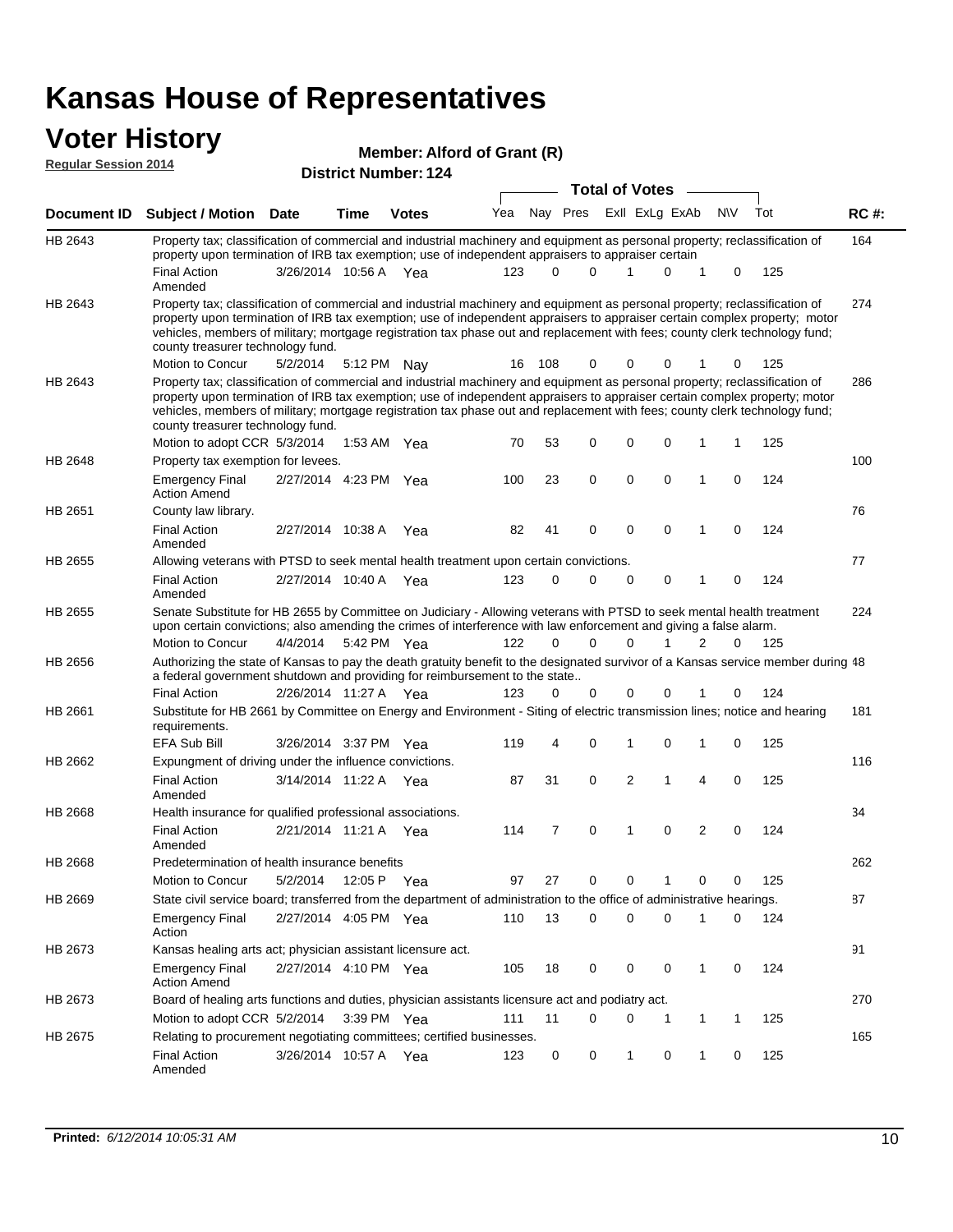#### **Voter History Regular Session 2014**

**Member: Alford of Grant (R)** 

| noguiai ocoolori zu in |                                                                                                                                                                                                                                                                                                                                                                                                                               |                       | <b>District Number: 124</b> |              | <b>Total of Votes</b> |          |             |  |             |                |   |     |     |             |
|------------------------|-------------------------------------------------------------------------------------------------------------------------------------------------------------------------------------------------------------------------------------------------------------------------------------------------------------------------------------------------------------------------------------------------------------------------------|-----------------------|-----------------------------|--------------|-----------------------|----------|-------------|--|-------------|----------------|---|-----|-----|-------------|
|                        |                                                                                                                                                                                                                                                                                                                                                                                                                               |                       |                             |              |                       |          |             |  |             |                |   |     |     |             |
| <b>Document ID</b>     | <b>Subject / Motion Date</b>                                                                                                                                                                                                                                                                                                                                                                                                  |                       | <b>Time</b>                 | <b>Votes</b> | Yea                   |          | Nay Pres    |  |             | Exll ExLg ExAb |   | N\V | Tot | <b>RC#:</b> |
| HB 2643                | Property tax; classification of commercial and industrial machinery and equipment as personal property; reclassification of<br>property upon termination of IRB tax exemption; use of independent appraisers to appraiser certain                                                                                                                                                                                             |                       |                             |              |                       |          |             |  |             |                |   |     |     | 164         |
|                        | <b>Final Action</b><br>Amended                                                                                                                                                                                                                                                                                                                                                                                                | 3/26/2014 10:56 A Yea |                             |              | 123                   | $\Omega$ | 0           |  | 1           | 0              | 1 | 0   | 125 |             |
| HB 2643                | Property tax; classification of commercial and industrial machinery and equipment as personal property; reclassification of<br>property upon termination of IRB tax exemption; use of independent appraisers to appraiser certain complex property; motor<br>vehicles, members of military; mortgage registration tax phase out and replacement with fees; county clerk technology fund;<br>county treasurer technology fund. |                       |                             |              |                       |          |             |  |             |                |   |     |     | 274         |
|                        | Motion to Concur                                                                                                                                                                                                                                                                                                                                                                                                              | 5/2/2014              |                             | 5:12 PM Nay  | 16                    | 108      | 0           |  | 0           | 0              |   | 0   | 125 |             |
| HB 2643                | Property tax; classification of commercial and industrial machinery and equipment as personal property; reclassification of<br>property upon termination of IRB tax exemption; use of independent appraisers to appraiser certain complex property; motor<br>vehicles, members of military; mortgage registration tax phase out and replacement with fees; county clerk technology fund;<br>county treasurer technology fund. |                       |                             |              |                       |          |             |  |             |                |   |     |     | 286         |
|                        | Motion to adopt CCR 5/3/2014                                                                                                                                                                                                                                                                                                                                                                                                  |                       |                             | 1:53 AM Yea  | 70                    | 53       | 0           |  | 0           | 0              | 1 | 1   | 125 |             |
| HB 2648                | Property tax exemption for levees.                                                                                                                                                                                                                                                                                                                                                                                            |                       |                             |              |                       |          |             |  |             |                |   |     |     | 100         |
|                        | <b>Emergency Final</b><br><b>Action Amend</b>                                                                                                                                                                                                                                                                                                                                                                                 | 2/27/2014 4:23 PM Yea |                             |              | 100                   | 23       | 0           |  | 0           | 0              | 1 | 0   | 124 |             |
| HB 2651                | County law library.                                                                                                                                                                                                                                                                                                                                                                                                           |                       |                             |              |                       |          |             |  |             |                |   |     |     | 76          |
|                        | <b>Final Action</b><br>Amended                                                                                                                                                                                                                                                                                                                                                                                                | 2/27/2014 10:38 A     |                             | Yea          | 82                    | 41       | $\mathbf 0$ |  | $\mathbf 0$ | $\mathbf 0$    | 1 | 0   | 124 |             |
| HB 2655                | Allowing veterans with PTSD to seek mental health treatment upon certain convictions.                                                                                                                                                                                                                                                                                                                                         |                       |                             |              |                       |          |             |  |             |                |   |     |     | 77          |
|                        | <b>Final Action</b><br>Amended                                                                                                                                                                                                                                                                                                                                                                                                | 2/27/2014 10:40 A     |                             | Yea          | 123                   | 0        | 0           |  | 0           | 0              | 1 | 0   | 124 |             |
| HB 2655                | Senate Substitute for HB 2655 by Committee on Judiciary - Allowing veterans with PTSD to seek mental health treatment<br>upon certain convictions; also amending the crimes of interference with law enforcement and giving a false alarm.                                                                                                                                                                                    |                       |                             |              |                       |          |             |  |             |                |   |     |     | 224         |
|                        | Motion to Concur                                                                                                                                                                                                                                                                                                                                                                                                              | 4/4/2014              |                             | 5:42 PM Yea  | 122                   | $\Omega$ | $\Omega$    |  | 0           | 1              | 2 | 0   | 125 |             |
| HB 2656                | Authorizing the state of Kansas to pay the death gratuity benefit to the designated survivor of a Kansas service member during 48<br>a federal government shutdown and providing for reimbursement to the state                                                                                                                                                                                                               |                       |                             |              |                       |          |             |  |             |                |   |     |     |             |
|                        | <b>Final Action</b>                                                                                                                                                                                                                                                                                                                                                                                                           | 2/26/2014 11:27 A Yea |                             |              | 123                   |          | 0<br>0      |  | 0           |                |   | 0   | 124 |             |
| HB 2661                | Substitute for HB 2661 by Committee on Energy and Environment - Siting of electric transmission lines; notice and hearing<br>requirements.                                                                                                                                                                                                                                                                                    |                       |                             |              |                       |          |             |  |             |                |   |     |     | 181         |
|                        | EFA Sub Bill                                                                                                                                                                                                                                                                                                                                                                                                                  | 3/26/2014 3:37 PM Yea |                             |              | 119                   | 4        | 0           |  | 1           | 0              | 1 | 0   | 125 |             |
| HB 2662                | Expungment of driving under the influence convictions.                                                                                                                                                                                                                                                                                                                                                                        |                       |                             |              |                       |          |             |  |             |                |   |     |     | 116         |
|                        | <b>Final Action</b><br>Amended                                                                                                                                                                                                                                                                                                                                                                                                | 3/14/2014 11:22 A     |                             | Yea          | 87                    | 31       | 0           |  | 2           | 1              | 4 | 0   | 125 |             |
| <b>HB 2668</b>         | Health insurance for qualified professional associations.                                                                                                                                                                                                                                                                                                                                                                     |                       |                             |              |                       |          |             |  |             |                |   |     |     | 34          |
|                        | <b>Final Action</b><br>Amended                                                                                                                                                                                                                                                                                                                                                                                                | 2/21/2014 11:21 A Yea |                             |              | 114                   | 7        | 0           |  | 1           | 0              | 2 | 0   | 124 |             |
| HB 2668                | Predetermination of health insurance benefits                                                                                                                                                                                                                                                                                                                                                                                 |                       |                             |              |                       |          |             |  |             |                |   |     |     | 262         |
|                        | Motion to Concur                                                                                                                                                                                                                                                                                                                                                                                                              | 5/2/2014 12:05 P Yea  |                             |              | 97                    | 27       | 0           |  | 0           |                | 0 | 0   | 125 |             |
| HB 2669                | State civil service board; transferred from the department of administration to the office of administrative hearings.                                                                                                                                                                                                                                                                                                        |                       |                             |              |                       |          |             |  |             |                |   |     |     | 87          |
|                        | <b>Emergency Final</b><br>Action                                                                                                                                                                                                                                                                                                                                                                                              | 2/27/2014 4:05 PM Yea |                             |              | 110                   | 13       | 0           |  | 0           | 0              |   | 0   | 124 |             |
| HB 2673                | Kansas healing arts act; physician assistant licensure act.                                                                                                                                                                                                                                                                                                                                                                   |                       |                             |              |                       |          |             |  |             |                |   |     |     | 91          |
|                        | Emergency Final<br><b>Action Amend</b>                                                                                                                                                                                                                                                                                                                                                                                        | 2/27/2014 4:10 PM Yea |                             |              | 105                   | 18       | 0           |  | 0           | 0              | 1 | 0   | 124 |             |
| HB 2673                | Board of healing arts functions and duties, physician assistants licensure act and podiatry act.                                                                                                                                                                                                                                                                                                                              |                       |                             |              |                       |          |             |  |             |                |   |     |     | 270         |
|                        | Motion to adopt CCR 5/2/2014                                                                                                                                                                                                                                                                                                                                                                                                  |                       |                             | 3:39 PM Yea  | 111                   | 11       | 0           |  | 0           | 1              | 1 | 1   | 125 |             |
| HB 2675                | Relating to procurement negotiating committees; certified businesses.                                                                                                                                                                                                                                                                                                                                                         |                       |                             |              |                       |          |             |  |             |                |   |     |     | 165         |
|                        | <b>Final Action</b><br>Amended                                                                                                                                                                                                                                                                                                                                                                                                | 3/26/2014 10:57 A Yea |                             |              | 123                   | 0        | 0           |  | 1           | 0              | 1 | 0   | 125 |             |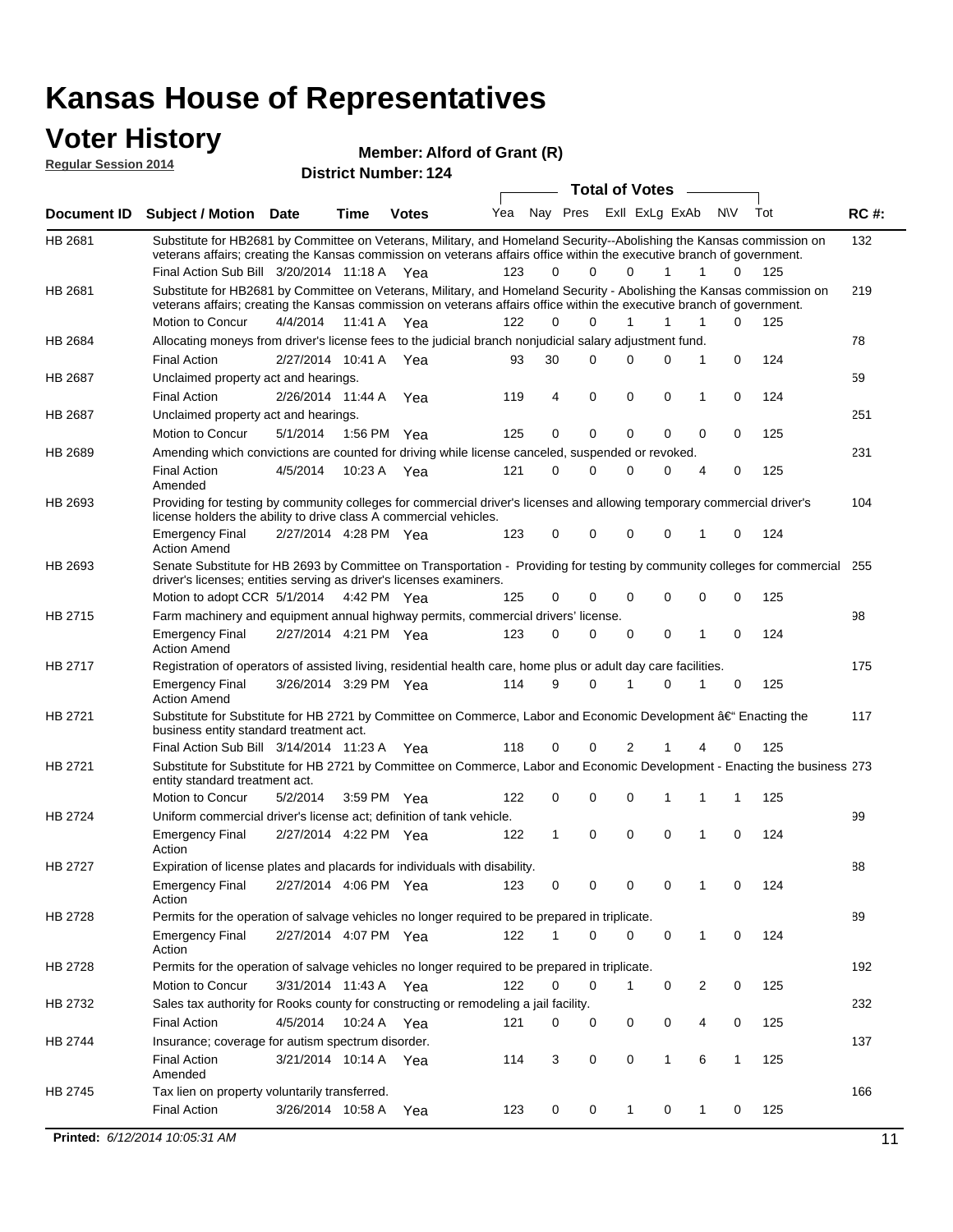#### **Voter History Regular Session 2014**

**Member: Alford of Grant (R)** 

| <b>Document ID</b><br><b>Subject / Motion Date</b><br><b>Time</b><br>HB 2681<br>Substitute for HB2681 by Committee on Veterans, Military, and Homeland Security--Abolishing the Kansas commission on<br>veterans affairs; creating the Kansas commission on veterans affairs office within the executive branch of government.<br>Final Action Sub Bill 3/20/2014 11:18 A Yea<br>Substitute for HB2681 by Committee on Veterans, Military, and Homeland Security - Abolishing the Kansas commission on<br>HB 2681<br>veterans affairs; creating the Kansas commission on veterans affairs office within the executive branch of government.<br>Motion to Concur<br>4/4/2014<br>11:41 A<br>Allocating moneys from driver's license fees to the judicial branch nonjudicial salary adjustment fund.<br>HB 2684<br><b>Final Action</b><br>2/27/2014 10:41 A<br>HB 2687<br>Unclaimed property act and hearings.<br><b>Final Action</b><br>2/26/2014 11:44 A<br>Unclaimed property act and hearings.<br>HB 2687<br>Motion to Concur<br>5/1/2014<br>1:56 PM<br>Amending which convictions are counted for driving while license canceled, suspended or revoked.<br>HB 2689<br><b>Final Action</b><br>4/5/2014<br>10:23 A<br>Amended<br>Providing for testing by community colleges for commercial driver's licenses and allowing temporary commercial driver's<br>HB 2693<br>license holders the ability to drive class A commercial vehicles.<br>2/27/2014 4:28 PM Yea<br><b>Emergency Final</b><br><b>Action Amend</b><br>Senate Substitute for HB 2693 by Committee on Transportation - Providing for testing by community colleges for commercial<br>HB 2693<br>driver's licenses; entities serving as driver's licenses examiners.<br>Motion to adopt CCR 5/1/2014 4:42 PM Yea<br>HB 2715<br>Farm machinery and equipment annual highway permits, commercial drivers' license.<br>2/27/2014 4:21 PM Yea<br><b>Emergency Final</b><br><b>Action Amend</b><br>HB 2717<br>Registration of operators of assisted living, residential health care, home plus or adult day care facilities.<br>3/26/2014 3:29 PM Yea<br><b>Emergency Final</b><br><b>Action Amend</b><br>HB 2721<br>Substitute for Substitute for HB 2721 by Committee on Commerce, Labor and Economic Development †Enacting the<br>business entity standard treatment act.<br>Final Action Sub Bill 3/14/2014 11:23 A Yea<br>HB 2721<br>Substitute for Substitute for HB 2721 by Committee on Commerce, Labor and Economic Development - Enacting the business 273<br>entity standard treatment act.<br>Motion to Concur<br>5/2/2014<br>3:59 PM Yea<br>HB 2724<br>Uniform commercial driver's license act; definition of tank vehicle.<br>2/27/2014 4:22 PM Yea<br><b>Emergency Final</b><br>Action<br>HB 2727<br>Expiration of license plates and placards for individuals with disability.<br><b>Emergency Final</b><br>2/27/2014 4:06 PM Yea<br>Action<br>Permits for the operation of salvage vehicles no longer required to be prepared in triplicate.<br>HB 2728<br>2/27/2014 4:07 PM Yea<br><b>Emergency Final</b><br>Action<br>HB 2728<br>Permits for the operation of salvage vehicles no longer required to be prepared in triplicate.<br>Motion to Concur<br>3/31/2014 11:43 A Yea<br>Sales tax authority for Rooks county for constructing or remodeling a jail facility.<br>HB 2732<br><b>Final Action</b><br>4/5/2014<br>10:24 A Yea | <b>Votes</b> | Yea | Nay Pres    |             |              | <b>Total of Votes</b> |                |                  |     |             |
|--------------------------------------------------------------------------------------------------------------------------------------------------------------------------------------------------------------------------------------------------------------------------------------------------------------------------------------------------------------------------------------------------------------------------------------------------------------------------------------------------------------------------------------------------------------------------------------------------------------------------------------------------------------------------------------------------------------------------------------------------------------------------------------------------------------------------------------------------------------------------------------------------------------------------------------------------------------------------------------------------------------------------------------------------------------------------------------------------------------------------------------------------------------------------------------------------------------------------------------------------------------------------------------------------------------------------------------------------------------------------------------------------------------------------------------------------------------------------------------------------------------------------------------------------------------------------------------------------------------------------------------------------------------------------------------------------------------------------------------------------------------------------------------------------------------------------------------------------------------------------------------------------------------------------------------------------------------------------------------------------------------------------------------------------------------------------------------------------------------------------------------------------------------------------------------------------------------------------------------------------------------------------------------------------------------------------------------------------------------------------------------------------------------------------------------------------------------------------------------------------------------------------------------------------------------------------------------------------------------------------------------------------------------------------------------------------------------------------------------------------------------------------------------------------------------------------------------------------------------------------------------------------------------------------------------------------------------------------------------------------------------------------------------------------------------------------------------------------------------------------------------------------------------------------------------------------------------------------------------------------------------------------------------------------------------------------------------------------------------------------------------------------------------|--------------|-----|-------------|-------------|--------------|-----------------------|----------------|------------------|-----|-------------|
|                                                                                                                                                                                                                                                                                                                                                                                                                                                                                                                                                                                                                                                                                                                                                                                                                                                                                                                                                                                                                                                                                                                                                                                                                                                                                                                                                                                                                                                                                                                                                                                                                                                                                                                                                                                                                                                                                                                                                                                                                                                                                                                                                                                                                                                                                                                                                                                                                                                                                                                                                                                                                                                                                                                                                                                                                                                                                                                                                                                                                                                                                                                                                                                                                                                                                                                                                                                                              |              |     |             |             |              |                       |                |                  |     |             |
|                                                                                                                                                                                                                                                                                                                                                                                                                                                                                                                                                                                                                                                                                                                                                                                                                                                                                                                                                                                                                                                                                                                                                                                                                                                                                                                                                                                                                                                                                                                                                                                                                                                                                                                                                                                                                                                                                                                                                                                                                                                                                                                                                                                                                                                                                                                                                                                                                                                                                                                                                                                                                                                                                                                                                                                                                                                                                                                                                                                                                                                                                                                                                                                                                                                                                                                                                                                                              |              |     |             |             |              |                       | ExII ExLg ExAb | N\V              | Tot | <b>RC#:</b> |
|                                                                                                                                                                                                                                                                                                                                                                                                                                                                                                                                                                                                                                                                                                                                                                                                                                                                                                                                                                                                                                                                                                                                                                                                                                                                                                                                                                                                                                                                                                                                                                                                                                                                                                                                                                                                                                                                                                                                                                                                                                                                                                                                                                                                                                                                                                                                                                                                                                                                                                                                                                                                                                                                                                                                                                                                                                                                                                                                                                                                                                                                                                                                                                                                                                                                                                                                                                                                              |              | 123 | 0           | $\Omega$    |              | 0                     | 1              | 1<br>0           | 125 | 132         |
|                                                                                                                                                                                                                                                                                                                                                                                                                                                                                                                                                                                                                                                                                                                                                                                                                                                                                                                                                                                                                                                                                                                                                                                                                                                                                                                                                                                                                                                                                                                                                                                                                                                                                                                                                                                                                                                                                                                                                                                                                                                                                                                                                                                                                                                                                                                                                                                                                                                                                                                                                                                                                                                                                                                                                                                                                                                                                                                                                                                                                                                                                                                                                                                                                                                                                                                                                                                                              |              |     |             |             |              |                       |                |                  |     |             |
|                                                                                                                                                                                                                                                                                                                                                                                                                                                                                                                                                                                                                                                                                                                                                                                                                                                                                                                                                                                                                                                                                                                                                                                                                                                                                                                                                                                                                                                                                                                                                                                                                                                                                                                                                                                                                                                                                                                                                                                                                                                                                                                                                                                                                                                                                                                                                                                                                                                                                                                                                                                                                                                                                                                                                                                                                                                                                                                                                                                                                                                                                                                                                                                                                                                                                                                                                                                                              |              |     |             |             |              |                       |                |                  |     | 219         |
|                                                                                                                                                                                                                                                                                                                                                                                                                                                                                                                                                                                                                                                                                                                                                                                                                                                                                                                                                                                                                                                                                                                                                                                                                                                                                                                                                                                                                                                                                                                                                                                                                                                                                                                                                                                                                                                                                                                                                                                                                                                                                                                                                                                                                                                                                                                                                                                                                                                                                                                                                                                                                                                                                                                                                                                                                                                                                                                                                                                                                                                                                                                                                                                                                                                                                                                                                                                                              | Yea          | 122 | $\Omega$    | 0           | $\mathbf{1}$ |                       | 1<br>1         | 0                | 125 |             |
|                                                                                                                                                                                                                                                                                                                                                                                                                                                                                                                                                                                                                                                                                                                                                                                                                                                                                                                                                                                                                                                                                                                                                                                                                                                                                                                                                                                                                                                                                                                                                                                                                                                                                                                                                                                                                                                                                                                                                                                                                                                                                                                                                                                                                                                                                                                                                                                                                                                                                                                                                                                                                                                                                                                                                                                                                                                                                                                                                                                                                                                                                                                                                                                                                                                                                                                                                                                                              |              |     |             |             |              |                       |                |                  |     | 78          |
|                                                                                                                                                                                                                                                                                                                                                                                                                                                                                                                                                                                                                                                                                                                                                                                                                                                                                                                                                                                                                                                                                                                                                                                                                                                                                                                                                                                                                                                                                                                                                                                                                                                                                                                                                                                                                                                                                                                                                                                                                                                                                                                                                                                                                                                                                                                                                                                                                                                                                                                                                                                                                                                                                                                                                                                                                                                                                                                                                                                                                                                                                                                                                                                                                                                                                                                                                                                                              | Yea          | 93  | 30          | $\Omega$    |              | $\Omega$              | 0<br>1         | 0                | 124 |             |
|                                                                                                                                                                                                                                                                                                                                                                                                                                                                                                                                                                                                                                                                                                                                                                                                                                                                                                                                                                                                                                                                                                                                                                                                                                                                                                                                                                                                                                                                                                                                                                                                                                                                                                                                                                                                                                                                                                                                                                                                                                                                                                                                                                                                                                                                                                                                                                                                                                                                                                                                                                                                                                                                                                                                                                                                                                                                                                                                                                                                                                                                                                                                                                                                                                                                                                                                                                                                              |              |     |             |             |              |                       |                |                  |     | 59          |
|                                                                                                                                                                                                                                                                                                                                                                                                                                                                                                                                                                                                                                                                                                                                                                                                                                                                                                                                                                                                                                                                                                                                                                                                                                                                                                                                                                                                                                                                                                                                                                                                                                                                                                                                                                                                                                                                                                                                                                                                                                                                                                                                                                                                                                                                                                                                                                                                                                                                                                                                                                                                                                                                                                                                                                                                                                                                                                                                                                                                                                                                                                                                                                                                                                                                                                                                                                                                              | Yea          | 119 | 4           | $\mathbf 0$ |              | 0                     | 0<br>1         | 0                | 124 |             |
|                                                                                                                                                                                                                                                                                                                                                                                                                                                                                                                                                                                                                                                                                                                                                                                                                                                                                                                                                                                                                                                                                                                                                                                                                                                                                                                                                                                                                                                                                                                                                                                                                                                                                                                                                                                                                                                                                                                                                                                                                                                                                                                                                                                                                                                                                                                                                                                                                                                                                                                                                                                                                                                                                                                                                                                                                                                                                                                                                                                                                                                                                                                                                                                                                                                                                                                                                                                                              |              |     |             |             |              |                       |                |                  |     | 251         |
|                                                                                                                                                                                                                                                                                                                                                                                                                                                                                                                                                                                                                                                                                                                                                                                                                                                                                                                                                                                                                                                                                                                                                                                                                                                                                                                                                                                                                                                                                                                                                                                                                                                                                                                                                                                                                                                                                                                                                                                                                                                                                                                                                                                                                                                                                                                                                                                                                                                                                                                                                                                                                                                                                                                                                                                                                                                                                                                                                                                                                                                                                                                                                                                                                                                                                                                                                                                                              | Yea          | 125 | 0           | $\mathbf 0$ |              | 0                     | 0              | 0<br>0           | 125 |             |
|                                                                                                                                                                                                                                                                                                                                                                                                                                                                                                                                                                                                                                                                                                                                                                                                                                                                                                                                                                                                                                                                                                                                                                                                                                                                                                                                                                                                                                                                                                                                                                                                                                                                                                                                                                                                                                                                                                                                                                                                                                                                                                                                                                                                                                                                                                                                                                                                                                                                                                                                                                                                                                                                                                                                                                                                                                                                                                                                                                                                                                                                                                                                                                                                                                                                                                                                                                                                              |              |     |             |             |              |                       |                |                  |     | 231         |
|                                                                                                                                                                                                                                                                                                                                                                                                                                                                                                                                                                                                                                                                                                                                                                                                                                                                                                                                                                                                                                                                                                                                                                                                                                                                                                                                                                                                                                                                                                                                                                                                                                                                                                                                                                                                                                                                                                                                                                                                                                                                                                                                                                                                                                                                                                                                                                                                                                                                                                                                                                                                                                                                                                                                                                                                                                                                                                                                                                                                                                                                                                                                                                                                                                                                                                                                                                                                              | Yea          | 121 | $\mathbf 0$ | $\Omega$    |              | $\Omega$              | 0              | 0<br>4           | 125 |             |
|                                                                                                                                                                                                                                                                                                                                                                                                                                                                                                                                                                                                                                                                                                                                                                                                                                                                                                                                                                                                                                                                                                                                                                                                                                                                                                                                                                                                                                                                                                                                                                                                                                                                                                                                                                                                                                                                                                                                                                                                                                                                                                                                                                                                                                                                                                                                                                                                                                                                                                                                                                                                                                                                                                                                                                                                                                                                                                                                                                                                                                                                                                                                                                                                                                                                                                                                                                                                              |              |     |             |             |              |                       |                |                  |     | 104         |
|                                                                                                                                                                                                                                                                                                                                                                                                                                                                                                                                                                                                                                                                                                                                                                                                                                                                                                                                                                                                                                                                                                                                                                                                                                                                                                                                                                                                                                                                                                                                                                                                                                                                                                                                                                                                                                                                                                                                                                                                                                                                                                                                                                                                                                                                                                                                                                                                                                                                                                                                                                                                                                                                                                                                                                                                                                                                                                                                                                                                                                                                                                                                                                                                                                                                                                                                                                                                              |              | 123 | 0           | 0           |              | $\Omega$              | 0              | $\mathbf 0$<br>1 | 124 |             |
|                                                                                                                                                                                                                                                                                                                                                                                                                                                                                                                                                                                                                                                                                                                                                                                                                                                                                                                                                                                                                                                                                                                                                                                                                                                                                                                                                                                                                                                                                                                                                                                                                                                                                                                                                                                                                                                                                                                                                                                                                                                                                                                                                                                                                                                                                                                                                                                                                                                                                                                                                                                                                                                                                                                                                                                                                                                                                                                                                                                                                                                                                                                                                                                                                                                                                                                                                                                                              |              |     |             |             |              |                       |                |                  |     | 255         |
|                                                                                                                                                                                                                                                                                                                                                                                                                                                                                                                                                                                                                                                                                                                                                                                                                                                                                                                                                                                                                                                                                                                                                                                                                                                                                                                                                                                                                                                                                                                                                                                                                                                                                                                                                                                                                                                                                                                                                                                                                                                                                                                                                                                                                                                                                                                                                                                                                                                                                                                                                                                                                                                                                                                                                                                                                                                                                                                                                                                                                                                                                                                                                                                                                                                                                                                                                                                                              |              | 125 | 0           | 0           |              | $\Omega$              | 0              | 0<br>0           | 125 |             |
|                                                                                                                                                                                                                                                                                                                                                                                                                                                                                                                                                                                                                                                                                                                                                                                                                                                                                                                                                                                                                                                                                                                                                                                                                                                                                                                                                                                                                                                                                                                                                                                                                                                                                                                                                                                                                                                                                                                                                                                                                                                                                                                                                                                                                                                                                                                                                                                                                                                                                                                                                                                                                                                                                                                                                                                                                                                                                                                                                                                                                                                                                                                                                                                                                                                                                                                                                                                                              |              |     |             |             |              |                       |                |                  |     | 98          |
|                                                                                                                                                                                                                                                                                                                                                                                                                                                                                                                                                                                                                                                                                                                                                                                                                                                                                                                                                                                                                                                                                                                                                                                                                                                                                                                                                                                                                                                                                                                                                                                                                                                                                                                                                                                                                                                                                                                                                                                                                                                                                                                                                                                                                                                                                                                                                                                                                                                                                                                                                                                                                                                                                                                                                                                                                                                                                                                                                                                                                                                                                                                                                                                                                                                                                                                                                                                                              |              | 123 | 0           | 0           |              | 0                     | 0<br>1         | 0                | 124 |             |
|                                                                                                                                                                                                                                                                                                                                                                                                                                                                                                                                                                                                                                                                                                                                                                                                                                                                                                                                                                                                                                                                                                                                                                                                                                                                                                                                                                                                                                                                                                                                                                                                                                                                                                                                                                                                                                                                                                                                                                                                                                                                                                                                                                                                                                                                                                                                                                                                                                                                                                                                                                                                                                                                                                                                                                                                                                                                                                                                                                                                                                                                                                                                                                                                                                                                                                                                                                                                              |              |     |             |             |              |                       |                |                  |     | 175         |
|                                                                                                                                                                                                                                                                                                                                                                                                                                                                                                                                                                                                                                                                                                                                                                                                                                                                                                                                                                                                                                                                                                                                                                                                                                                                                                                                                                                                                                                                                                                                                                                                                                                                                                                                                                                                                                                                                                                                                                                                                                                                                                                                                                                                                                                                                                                                                                                                                                                                                                                                                                                                                                                                                                                                                                                                                                                                                                                                                                                                                                                                                                                                                                                                                                                                                                                                                                                                              |              | 114 | 9           | 0           |              |                       | $\Omega$       | 0                | 125 |             |
|                                                                                                                                                                                                                                                                                                                                                                                                                                                                                                                                                                                                                                                                                                                                                                                                                                                                                                                                                                                                                                                                                                                                                                                                                                                                                                                                                                                                                                                                                                                                                                                                                                                                                                                                                                                                                                                                                                                                                                                                                                                                                                                                                                                                                                                                                                                                                                                                                                                                                                                                                                                                                                                                                                                                                                                                                                                                                                                                                                                                                                                                                                                                                                                                                                                                                                                                                                                                              |              |     |             |             |              |                       |                |                  |     | 117         |
|                                                                                                                                                                                                                                                                                                                                                                                                                                                                                                                                                                                                                                                                                                                                                                                                                                                                                                                                                                                                                                                                                                                                                                                                                                                                                                                                                                                                                                                                                                                                                                                                                                                                                                                                                                                                                                                                                                                                                                                                                                                                                                                                                                                                                                                                                                                                                                                                                                                                                                                                                                                                                                                                                                                                                                                                                                                                                                                                                                                                                                                                                                                                                                                                                                                                                                                                                                                                              |              | 118 | 0           | 0           |              | 2                     |                | 0<br>4           | 125 |             |
|                                                                                                                                                                                                                                                                                                                                                                                                                                                                                                                                                                                                                                                                                                                                                                                                                                                                                                                                                                                                                                                                                                                                                                                                                                                                                                                                                                                                                                                                                                                                                                                                                                                                                                                                                                                                                                                                                                                                                                                                                                                                                                                                                                                                                                                                                                                                                                                                                                                                                                                                                                                                                                                                                                                                                                                                                                                                                                                                                                                                                                                                                                                                                                                                                                                                                                                                                                                                              |              |     |             |             |              |                       |                |                  |     |             |
|                                                                                                                                                                                                                                                                                                                                                                                                                                                                                                                                                                                                                                                                                                                                                                                                                                                                                                                                                                                                                                                                                                                                                                                                                                                                                                                                                                                                                                                                                                                                                                                                                                                                                                                                                                                                                                                                                                                                                                                                                                                                                                                                                                                                                                                                                                                                                                                                                                                                                                                                                                                                                                                                                                                                                                                                                                                                                                                                                                                                                                                                                                                                                                                                                                                                                                                                                                                                              |              | 122 | 0           | 0           |              | $\Omega$              |                | 1<br>1           | 125 |             |
|                                                                                                                                                                                                                                                                                                                                                                                                                                                                                                                                                                                                                                                                                                                                                                                                                                                                                                                                                                                                                                                                                                                                                                                                                                                                                                                                                                                                                                                                                                                                                                                                                                                                                                                                                                                                                                                                                                                                                                                                                                                                                                                                                                                                                                                                                                                                                                                                                                                                                                                                                                                                                                                                                                                                                                                                                                                                                                                                                                                                                                                                                                                                                                                                                                                                                                                                                                                                              |              |     |             |             |              |                       |                |                  |     | 99          |
|                                                                                                                                                                                                                                                                                                                                                                                                                                                                                                                                                                                                                                                                                                                                                                                                                                                                                                                                                                                                                                                                                                                                                                                                                                                                                                                                                                                                                                                                                                                                                                                                                                                                                                                                                                                                                                                                                                                                                                                                                                                                                                                                                                                                                                                                                                                                                                                                                                                                                                                                                                                                                                                                                                                                                                                                                                                                                                                                                                                                                                                                                                                                                                                                                                                                                                                                                                                                              |              | 122 | 1           | 0           | 0            |                       | 0<br>1         | 0                | 124 |             |
|                                                                                                                                                                                                                                                                                                                                                                                                                                                                                                                                                                                                                                                                                                                                                                                                                                                                                                                                                                                                                                                                                                                                                                                                                                                                                                                                                                                                                                                                                                                                                                                                                                                                                                                                                                                                                                                                                                                                                                                                                                                                                                                                                                                                                                                                                                                                                                                                                                                                                                                                                                                                                                                                                                                                                                                                                                                                                                                                                                                                                                                                                                                                                                                                                                                                                                                                                                                                              |              |     |             |             |              |                       |                |                  |     | 88          |
|                                                                                                                                                                                                                                                                                                                                                                                                                                                                                                                                                                                                                                                                                                                                                                                                                                                                                                                                                                                                                                                                                                                                                                                                                                                                                                                                                                                                                                                                                                                                                                                                                                                                                                                                                                                                                                                                                                                                                                                                                                                                                                                                                                                                                                                                                                                                                                                                                                                                                                                                                                                                                                                                                                                                                                                                                                                                                                                                                                                                                                                                                                                                                                                                                                                                                                                                                                                                              |              | 123 | 0           | 0           |              | 0                     | 0              | 0                | 124 |             |
|                                                                                                                                                                                                                                                                                                                                                                                                                                                                                                                                                                                                                                                                                                                                                                                                                                                                                                                                                                                                                                                                                                                                                                                                                                                                                                                                                                                                                                                                                                                                                                                                                                                                                                                                                                                                                                                                                                                                                                                                                                                                                                                                                                                                                                                                                                                                                                                                                                                                                                                                                                                                                                                                                                                                                                                                                                                                                                                                                                                                                                                                                                                                                                                                                                                                                                                                                                                                              |              |     |             |             |              |                       |                |                  |     | 89          |
|                                                                                                                                                                                                                                                                                                                                                                                                                                                                                                                                                                                                                                                                                                                                                                                                                                                                                                                                                                                                                                                                                                                                                                                                                                                                                                                                                                                                                                                                                                                                                                                                                                                                                                                                                                                                                                                                                                                                                                                                                                                                                                                                                                                                                                                                                                                                                                                                                                                                                                                                                                                                                                                                                                                                                                                                                                                                                                                                                                                                                                                                                                                                                                                                                                                                                                                                                                                                              |              | 122 | 1           | 0           |              | $\Omega$              | 0              | 1<br>0           | 124 |             |
|                                                                                                                                                                                                                                                                                                                                                                                                                                                                                                                                                                                                                                                                                                                                                                                                                                                                                                                                                                                                                                                                                                                                                                                                                                                                                                                                                                                                                                                                                                                                                                                                                                                                                                                                                                                                                                                                                                                                                                                                                                                                                                                                                                                                                                                                                                                                                                                                                                                                                                                                                                                                                                                                                                                                                                                                                                                                                                                                                                                                                                                                                                                                                                                                                                                                                                                                                                                                              |              |     |             |             |              |                       |                |                  |     | 192         |
|                                                                                                                                                                                                                                                                                                                                                                                                                                                                                                                                                                                                                                                                                                                                                                                                                                                                                                                                                                                                                                                                                                                                                                                                                                                                                                                                                                                                                                                                                                                                                                                                                                                                                                                                                                                                                                                                                                                                                                                                                                                                                                                                                                                                                                                                                                                                                                                                                                                                                                                                                                                                                                                                                                                                                                                                                                                                                                                                                                                                                                                                                                                                                                                                                                                                                                                                                                                                              |              | 122 | 0           | 0           |              | 1                     | 0              | 2<br>0           | 125 |             |
|                                                                                                                                                                                                                                                                                                                                                                                                                                                                                                                                                                                                                                                                                                                                                                                                                                                                                                                                                                                                                                                                                                                                                                                                                                                                                                                                                                                                                                                                                                                                                                                                                                                                                                                                                                                                                                                                                                                                                                                                                                                                                                                                                                                                                                                                                                                                                                                                                                                                                                                                                                                                                                                                                                                                                                                                                                                                                                                                                                                                                                                                                                                                                                                                                                                                                                                                                                                                              |              |     |             |             |              |                       |                |                  |     | 232         |
|                                                                                                                                                                                                                                                                                                                                                                                                                                                                                                                                                                                                                                                                                                                                                                                                                                                                                                                                                                                                                                                                                                                                                                                                                                                                                                                                                                                                                                                                                                                                                                                                                                                                                                                                                                                                                                                                                                                                                                                                                                                                                                                                                                                                                                                                                                                                                                                                                                                                                                                                                                                                                                                                                                                                                                                                                                                                                                                                                                                                                                                                                                                                                                                                                                                                                                                                                                                                              |              | 121 | 0           | 0           |              | 0                     | 0              | 4<br>0           | 125 |             |
| Insurance; coverage for autism spectrum disorder.<br>HB 2744                                                                                                                                                                                                                                                                                                                                                                                                                                                                                                                                                                                                                                                                                                                                                                                                                                                                                                                                                                                                                                                                                                                                                                                                                                                                                                                                                                                                                                                                                                                                                                                                                                                                                                                                                                                                                                                                                                                                                                                                                                                                                                                                                                                                                                                                                                                                                                                                                                                                                                                                                                                                                                                                                                                                                                                                                                                                                                                                                                                                                                                                                                                                                                                                                                                                                                                                                 |              |     |             |             |              |                       |                |                  |     | 137         |
| <b>Final Action</b><br>3/21/2014 10:14 A Yea<br>Amended                                                                                                                                                                                                                                                                                                                                                                                                                                                                                                                                                                                                                                                                                                                                                                                                                                                                                                                                                                                                                                                                                                                                                                                                                                                                                                                                                                                                                                                                                                                                                                                                                                                                                                                                                                                                                                                                                                                                                                                                                                                                                                                                                                                                                                                                                                                                                                                                                                                                                                                                                                                                                                                                                                                                                                                                                                                                                                                                                                                                                                                                                                                                                                                                                                                                                                                                                      |              | 114 | 3           | 0           |              | 0                     | $\mathbf{1}$   | 6<br>1           | 125 |             |
| Tax lien on property voluntarily transferred.<br>HB 2745                                                                                                                                                                                                                                                                                                                                                                                                                                                                                                                                                                                                                                                                                                                                                                                                                                                                                                                                                                                                                                                                                                                                                                                                                                                                                                                                                                                                                                                                                                                                                                                                                                                                                                                                                                                                                                                                                                                                                                                                                                                                                                                                                                                                                                                                                                                                                                                                                                                                                                                                                                                                                                                                                                                                                                                                                                                                                                                                                                                                                                                                                                                                                                                                                                                                                                                                                     |              |     |             |             |              |                       |                |                  |     | 166         |
| <b>Final Action</b><br>3/26/2014 10:58 A                                                                                                                                                                                                                                                                                                                                                                                                                                                                                                                                                                                                                                                                                                                                                                                                                                                                                                                                                                                                                                                                                                                                                                                                                                                                                                                                                                                                                                                                                                                                                                                                                                                                                                                                                                                                                                                                                                                                                                                                                                                                                                                                                                                                                                                                                                                                                                                                                                                                                                                                                                                                                                                                                                                                                                                                                                                                                                                                                                                                                                                                                                                                                                                                                                                                                                                                                                     | Yea          | 123 | 0           | 0           | $\mathbf{1}$ |                       | 0              | 1<br>0           | 125 |             |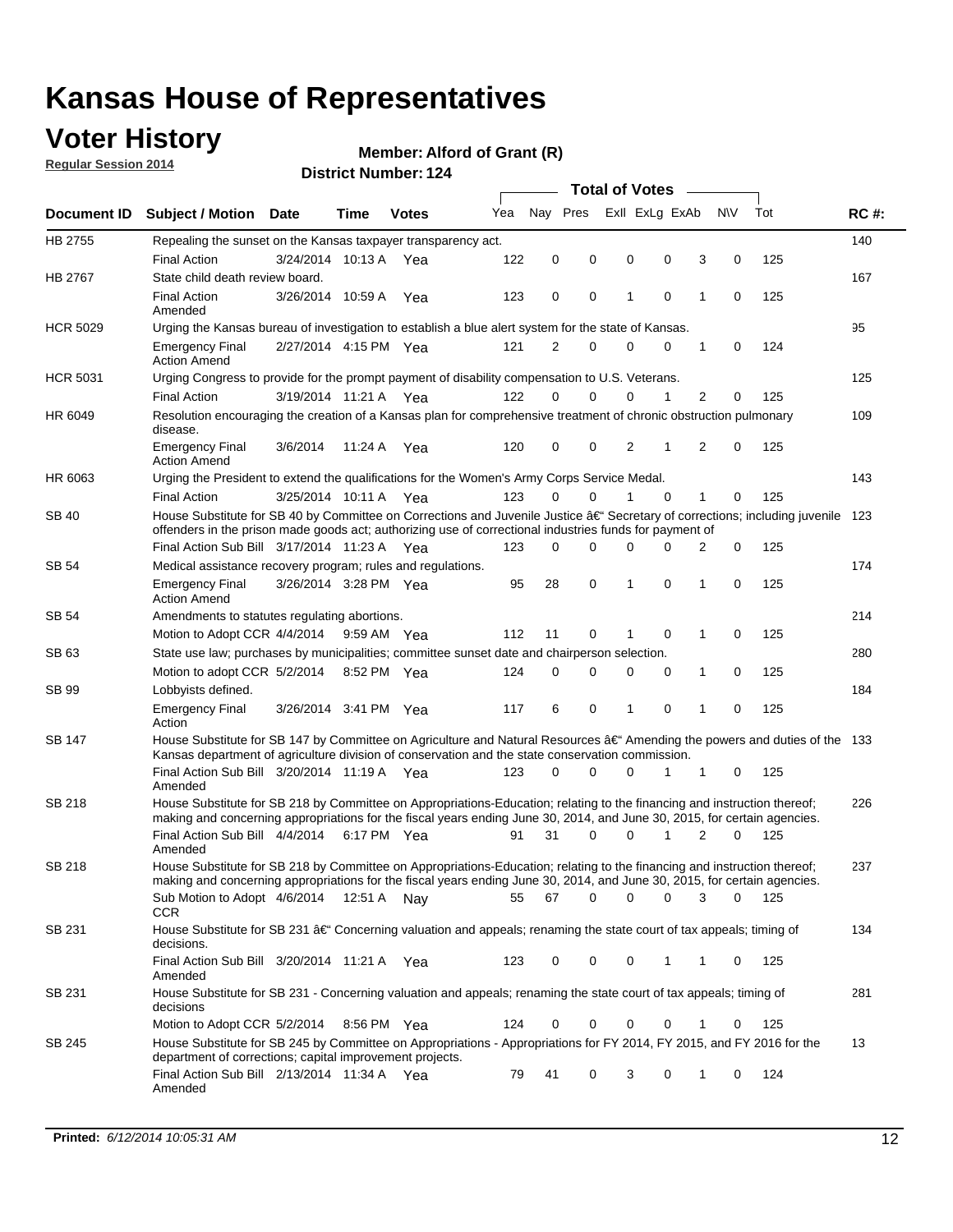## **Voter History**

**Regular Session 2014**

#### **Member: Alford of Grant (R)**

|                 |                                                                                                                                                                                                                                                      |                       |             |              |     | <b>Total of Votes</b> |          |                |          |   |             |       |             |
|-----------------|------------------------------------------------------------------------------------------------------------------------------------------------------------------------------------------------------------------------------------------------------|-----------------------|-------------|--------------|-----|-----------------------|----------|----------------|----------|---|-------------|-------|-------------|
|                 | Document ID Subject / Motion Date                                                                                                                                                                                                                    |                       | Time        | <b>Votes</b> | Yea | Nav Pres              |          | Exll ExLg ExAb |          |   | <b>NV</b>   | Tot   | <b>RC#:</b> |
| HB 2755         | Repealing the sunset on the Kansas taxpayer transparency act.                                                                                                                                                                                        |                       |             |              |     |                       |          |                |          |   |             |       | 140         |
|                 | <b>Final Action</b>                                                                                                                                                                                                                                  | 3/24/2014 10:13 A     |             | Yea          | 122 | 0                     | 0        | 0              | 0        | 3 | 0           | 125   |             |
| HB 2767         | State child death review board.                                                                                                                                                                                                                      |                       |             |              |     |                       |          |                |          |   |             |       | 167         |
|                 | <b>Final Action</b><br>Amended                                                                                                                                                                                                                       | 3/26/2014 10:59 A     |             | Yea          | 123 | 0                     | 0        | 1              | 0        | 1 | 0           | 125   |             |
| <b>HCR 5029</b> | Urging the Kansas bureau of investigation to establish a blue alert system for the state of Kansas.                                                                                                                                                  |                       |             |              |     |                       |          |                |          |   |             |       | 95          |
|                 | <b>Emergency Final</b><br><b>Action Amend</b>                                                                                                                                                                                                        | 2/27/2014 4:15 PM Yea |             |              | 121 | 2                     | 0        | 0              | 0        | 1 | 0           | 124   |             |
| <b>HCR 5031</b> | Urging Congress to provide for the prompt payment of disability compensation to U.S. Veterans.                                                                                                                                                       |                       |             |              |     |                       |          |                |          |   |             |       | 125         |
|                 | <b>Final Action</b>                                                                                                                                                                                                                                  | 3/19/2014 11:21 A Yea |             |              | 122 | $\Omega$              | $\Omega$ | 0              | 1        | 2 | 0           | 125   |             |
| HR 6049         | Resolution encouraging the creation of a Kansas plan for comprehensive treatment of chronic obstruction pulmonary<br>disease.                                                                                                                        |                       |             |              |     |                       |          |                |          |   |             |       | 109         |
|                 | <b>Emergency Final</b><br><b>Action Amend</b>                                                                                                                                                                                                        | 3/6/2014              | 11:24 A Yea |              | 120 | 0                     | 0        | 2              | 1        | 2 | $\mathbf 0$ | 125   |             |
| HR 6063         | Urging the President to extend the qualifications for the Women's Army Corps Service Medal.                                                                                                                                                          |                       |             |              |     |                       |          |                |          |   |             |       | 143         |
|                 | <b>Final Action</b>                                                                                                                                                                                                                                  | 3/25/2014 10:11 A Yea |             |              | 123 | $\Omega$              | 0        | 1              | $\Omega$ | 1 | 0           | 125   |             |
| <b>SB 40</b>    | House Substitute for SB 40 by Committee on Corrections and Juvenile Justice †Secretary of corrections; including juvenile<br>offenders in the prison made goods act; authorizing use of correctional industries funds for payment of                 |                       |             |              |     |                       |          |                |          |   |             |       | 123         |
|                 | Final Action Sub Bill 3/17/2014 11:23 A Yea                                                                                                                                                                                                          |                       |             |              | 123 | $\Omega$              | 0        | 0              | U        | 2 | 0           | 125   |             |
| SB 54           | Medical assistance recovery program; rules and regulations.                                                                                                                                                                                          |                       |             |              |     |                       |          |                |          |   |             |       | 174         |
|                 | <b>Emergency Final</b><br><b>Action Amend</b>                                                                                                                                                                                                        | 3/26/2014 3:28 PM Yea |             |              | 95  | 28                    | 0        | 1              | 0        | 1 | 0           | 125   |             |
| SB 54           | Amendments to statutes regulating abortions.                                                                                                                                                                                                         |                       |             |              |     |                       |          |                |          |   |             |       | 214         |
|                 | Motion to Adopt CCR 4/4/2014 9:59 AM Yea                                                                                                                                                                                                             |                       |             |              | 112 | 11                    | 0        | 1              | 0        | 1 | 0           | 125   |             |
| SB 63           | State use law; purchases by municipalities; committee sunset date and chairperson selection.                                                                                                                                                         |                       |             |              |     |                       |          |                |          |   |             |       | 280         |
|                 | Motion to adopt CCR 5/2/2014 8:52 PM Yea                                                                                                                                                                                                             |                       |             |              | 124 | 0                     | 0        | 0              | 0        | 1 | 0           | 125   |             |
| SB 99           | Lobbyists defined.                                                                                                                                                                                                                                   |                       |             |              |     |                       |          |                |          |   |             |       | 184         |
|                 | <b>Emergency Final</b><br>Action                                                                                                                                                                                                                     | 3/26/2014 3:41 PM Yea |             |              | 117 | 6                     | 0        | 1              | 0        | 1 | 0           | 125   |             |
| SB 147          | House Substitute for SB 147 by Committee on Agriculture and Natural Resources †Amending the powers and duties of the 133<br>Kansas department of agriculture division of conservation and the state conservation commission.                         |                       |             |              |     |                       |          |                |          |   |             |       |             |
|                 | Final Action Sub Bill 3/20/2014 11:19 A Yea<br>Amended                                                                                                                                                                                               |                       |             |              | 123 | $\Omega$              | $\Omega$ | 0              | 1        | 1 | 0           | 125   |             |
| SB 218          | House Substitute for SB 218 by Committee on Appropriations-Education; relating to the financing and instruction thereof;<br>making and concerning appropriations for the fiscal years ending June 30, 2014, and June 30, 2015, for certain agencies. |                       |             |              |     |                       |          |                |          |   |             |       | 226         |
|                 | Final Action Sub Bill 4/4/2014 6:17 PM Yea<br>Amended                                                                                                                                                                                                |                       |             |              | 91  | 31                    | $\Omega$ | 0              | 1        | 2 | $\Omega$    | 125   |             |
| SB 218          | House Substitute for SB 218 by Committee on Appropriations-Education; relating to the financing and instruction thereof;                                                                                                                             |                       |             |              |     |                       |          |                |          |   |             |       | 237         |
|                 | making and concerning appropriations for the fiscal years ending June 30, 2014, and June 30, 2015, for certain agencies.                                                                                                                             |                       |             |              |     |                       |          |                |          |   |             |       |             |
|                 | Sub Motion to Adopt 4/6/2014 12:51 A Nay<br>CCR                                                                                                                                                                                                      |                       |             |              | 55  | 67                    | 0        | 0              | 0        | 3 | 0           | - 125 |             |
| SB 231          | House Substitute for SB 231 †Concerning valuation and appeals; renaming the state court of tax appeals; timing of<br>decisions.                                                                                                                      |                       |             |              |     |                       |          |                |          |   |             |       | 134         |
|                 | Final Action Sub Bill 3/20/2014 11:21 A Yea<br>Amended                                                                                                                                                                                               |                       |             |              | 123 | 0                     | 0        | 0              | 1        | 1 | 0           | 125   |             |
| SB 231          | House Substitute for SB 231 - Concerning valuation and appeals; renaming the state court of tax appeals; timing of<br>decisions                                                                                                                      |                       |             |              |     |                       |          |                |          |   |             |       | 281         |
|                 | Motion to Adopt CCR 5/2/2014                                                                                                                                                                                                                         |                       | 8:56 PM Yea |              | 124 | 0                     | 0        | 0              | 0        | 1 | 0           | 125   |             |
| SB 245          | House Substitute for SB 245 by Committee on Appropriations - Appropriations for FY 2014, FY 2015, and FY 2016 for the<br>department of corrections; capital improvement projects.                                                                    |                       |             |              |     |                       |          |                |          |   |             |       | 13          |
|                 | Final Action Sub Bill 2/13/2014 11:34 A Yea<br>Amended                                                                                                                                                                                               |                       |             |              | 79  | 41                    | 0        | 3              | 0        | 1 | 0           | 124   |             |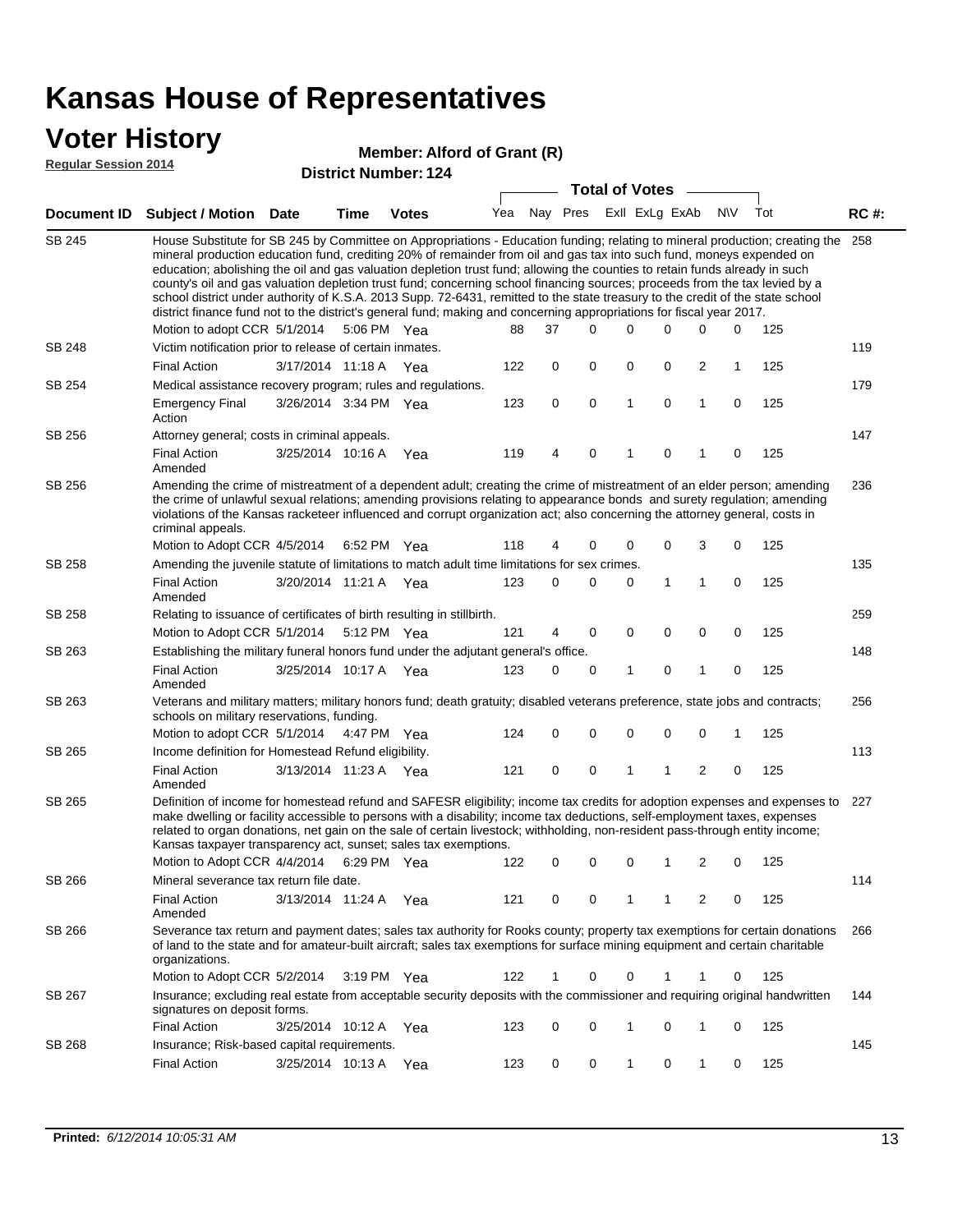### **Voter History**

#### **Member: Alford of Grant (R)**

**Regular Session 2014**

|               |                                                                                                                                                                                                                                                                                                                                                                                                                                                                                                                                                                                                                                                                                                                                                                                                               |                       |                       |              |     |          |          | <b>Total of Votes</b>   |             |                |             |     |             |
|---------------|---------------------------------------------------------------------------------------------------------------------------------------------------------------------------------------------------------------------------------------------------------------------------------------------------------------------------------------------------------------------------------------------------------------------------------------------------------------------------------------------------------------------------------------------------------------------------------------------------------------------------------------------------------------------------------------------------------------------------------------------------------------------------------------------------------------|-----------------------|-----------------------|--------------|-----|----------|----------|-------------------------|-------------|----------------|-------------|-----|-------------|
|               | Document ID Subject / Motion Date                                                                                                                                                                                                                                                                                                                                                                                                                                                                                                                                                                                                                                                                                                                                                                             |                       | <b>Time</b>           | <b>Votes</b> | Yea |          |          | Nay Pres Exll ExLg ExAb |             |                | N\V         | Tot | <b>RC#:</b> |
| <b>SB 245</b> | House Substitute for SB 245 by Committee on Appropriations - Education funding; relating to mineral production; creating the<br>mineral production education fund, crediting 20% of remainder from oil and gas tax into such fund, moneys expended on<br>education; abolishing the oil and gas valuation depletion trust fund; allowing the counties to retain funds already in such<br>county's oil and gas valuation depletion trust fund; concerning school financing sources; proceeds from the tax levied by a<br>school district under authority of K.S.A. 2013 Supp. 72-6431, remitted to the state treasury to the credit of the state school<br>district finance fund not to the district's general fund; making and concerning appropriations for fiscal year 2017.<br>Motion to adopt CCR 5/1/2014 |                       | 5:06 PM Yea           |              | 88  | 37       | $\Omega$ | 0                       | 0           | 0              | 0           | 125 | 258         |
| <b>SB 248</b> | Victim notification prior to release of certain inmates.                                                                                                                                                                                                                                                                                                                                                                                                                                                                                                                                                                                                                                                                                                                                                      |                       |                       |              |     |          |          |                         |             |                |             |     | 119         |
|               | <b>Final Action</b>                                                                                                                                                                                                                                                                                                                                                                                                                                                                                                                                                                                                                                                                                                                                                                                           | 3/17/2014 11:18 A     |                       | Yea          | 122 | 0        | 0        | 0                       | 0           | $\overline{c}$ | 1           | 125 |             |
| SB 254        | Medical assistance recovery program; rules and regulations.                                                                                                                                                                                                                                                                                                                                                                                                                                                                                                                                                                                                                                                                                                                                                   |                       |                       |              |     |          |          |                         |             |                |             |     | 179         |
|               | <b>Emergency Final</b><br>Action                                                                                                                                                                                                                                                                                                                                                                                                                                                                                                                                                                                                                                                                                                                                                                              | 3/26/2014 3:34 PM Yea |                       |              | 123 | 0        | 0        | $\mathbf{1}$            | $\mathbf 0$ | $\mathbf{1}$   | $\mathbf 0$ | 125 |             |
| SB 256        | Attorney general; costs in criminal appeals.                                                                                                                                                                                                                                                                                                                                                                                                                                                                                                                                                                                                                                                                                                                                                                  |                       |                       |              |     |          |          |                         |             |                |             |     | 147         |
|               | <b>Final Action</b><br>Amended                                                                                                                                                                                                                                                                                                                                                                                                                                                                                                                                                                                                                                                                                                                                                                                | 3/25/2014 10:16 A     |                       | Yea          | 119 | 4        | 0        | 1                       | 0           | 1              | 0           | 125 |             |
| SB 256        | Amending the crime of mistreatment of a dependent adult; creating the crime of mistreatment of an elder person; amending<br>the crime of unlawful sexual relations; amending provisions relating to appearance bonds and surety regulation; amending<br>violations of the Kansas racketeer influenced and corrupt organization act; also concerning the attorney general, costs in<br>criminal appeals.                                                                                                                                                                                                                                                                                                                                                                                                       |                       |                       |              |     |          |          |                         |             |                |             |     | 236         |
|               | Motion to Adopt CCR 4/5/2014                                                                                                                                                                                                                                                                                                                                                                                                                                                                                                                                                                                                                                                                                                                                                                                  |                       | 6:52 PM Yea           |              | 118 | 4        | 0        | 0                       | 0           | 3              | $\mathbf 0$ | 125 |             |
| <b>SB 258</b> | Amending the juvenile statute of limitations to match adult time limitations for sex crimes.                                                                                                                                                                                                                                                                                                                                                                                                                                                                                                                                                                                                                                                                                                                  |                       |                       |              |     |          |          |                         |             |                |             |     | 135         |
|               | <b>Final Action</b><br>Amended                                                                                                                                                                                                                                                                                                                                                                                                                                                                                                                                                                                                                                                                                                                                                                                | 3/20/2014 11:21 A Yea |                       |              | 123 | 0        | 0        | 0                       | 1           | 1              | 0           | 125 |             |
| SB 258        | Relating to issuance of certificates of birth resulting in stillbirth.                                                                                                                                                                                                                                                                                                                                                                                                                                                                                                                                                                                                                                                                                                                                        |                       |                       |              |     |          |          | 0                       | $\mathbf 0$ |                |             |     | 259         |
| SB 263        | Motion to Adopt CCR 5/1/2014 5:12 PM Yea<br>Establishing the military funeral honors fund under the adjutant general's office.                                                                                                                                                                                                                                                                                                                                                                                                                                                                                                                                                                                                                                                                                |                       |                       |              | 121 | 4        | 0        |                         |             | 0              | $\mathbf 0$ | 125 | 148         |
|               | <b>Final Action</b>                                                                                                                                                                                                                                                                                                                                                                                                                                                                                                                                                                                                                                                                                                                                                                                           | 3/25/2014 10:17 A Yea |                       |              | 123 | $\Omega$ | 0        | 1                       | $\mathbf 0$ | 1              | $\mathbf 0$ | 125 |             |
| SB 263        | Amended<br>Veterans and military matters; military honors fund; death gratuity; disabled veterans preference, state jobs and contracts;                                                                                                                                                                                                                                                                                                                                                                                                                                                                                                                                                                                                                                                                       |                       |                       |              |     |          |          |                         |             |                |             |     | 256         |
|               | schools on military reservations, funding.                                                                                                                                                                                                                                                                                                                                                                                                                                                                                                                                                                                                                                                                                                                                                                    |                       |                       |              |     |          |          |                         |             |                |             |     |             |
|               | Motion to adopt CCR 5/1/2014 4:47 PM Yea                                                                                                                                                                                                                                                                                                                                                                                                                                                                                                                                                                                                                                                                                                                                                                      |                       |                       |              | 124 | 0        | 0        | 0                       | 0           | 0              | 1           | 125 |             |
| SB 265        | Income definition for Homestead Refund eligibility.                                                                                                                                                                                                                                                                                                                                                                                                                                                                                                                                                                                                                                                                                                                                                           |                       |                       |              |     |          |          |                         |             |                |             |     | 113         |
|               | <b>Final Action</b>                                                                                                                                                                                                                                                                                                                                                                                                                                                                                                                                                                                                                                                                                                                                                                                           | 3/13/2014 11:23 A Yea |                       |              | 121 | 0        | 0        | 1                       | 1           | $\overline{c}$ | 0           | 125 |             |
| SB 265        | Amended<br>Definition of income for homestead refund and SAFESR eligibility; income tax credits for adoption expenses and expenses to<br>make dwelling or facility accessible to persons with a disability; income tax deductions, self-employment taxes, expenses<br>related to organ donations, net gain on the sale of certain livestock; withholding, non-resident pass-through entity income;<br>Kansas taxpayer transparency act, sunset; sales tax exemptions.<br>Motion to Adopt CCR 4/4/2014 6:29 PM Yea                                                                                                                                                                                                                                                                                             |                       |                       |              | 122 | 0        | 0        | 0                       | 1           | 2              | 0           | 125 | 227         |
| SB 266        | Mineral severance tax return file date.                                                                                                                                                                                                                                                                                                                                                                                                                                                                                                                                                                                                                                                                                                                                                                       |                       |                       |              |     |          |          |                         |             |                |             |     | 114         |
|               | <b>Final Action</b><br>Amended                                                                                                                                                                                                                                                                                                                                                                                                                                                                                                                                                                                                                                                                                                                                                                                |                       | 3/13/2014 11:24 A     | Yea          | 121 | 0        | 0        | 1                       | 1           | 2              | 0           | 125 |             |
| SB 266        | Severance tax return and payment dates; sales tax authority for Rooks county; property tax exemptions for certain donations<br>of land to the state and for amateur-built aircraft; sales tax exemptions for surface mining equipment and certain charitable<br>organizations.                                                                                                                                                                                                                                                                                                                                                                                                                                                                                                                                |                       |                       |              |     |          |          |                         |             |                |             |     | 266         |
|               | Motion to Adopt CCR 5/2/2014                                                                                                                                                                                                                                                                                                                                                                                                                                                                                                                                                                                                                                                                                                                                                                                  |                       | $3:19 \text{ PM}$ Yea |              | 122 | 1        | 0        | 0                       | 1           | 1              | 0           | 125 |             |
| SB 267        | Insurance; excluding real estate from acceptable security deposits with the commissioner and requiring original handwritten<br>signatures on deposit forms.                                                                                                                                                                                                                                                                                                                                                                                                                                                                                                                                                                                                                                                   |                       |                       |              |     |          |          |                         |             |                |             |     | 144         |
|               | <b>Final Action</b>                                                                                                                                                                                                                                                                                                                                                                                                                                                                                                                                                                                                                                                                                                                                                                                           |                       | 3/25/2014 10:12 A     | Yea          | 123 | 0        | 0        | 1                       | 0           | 1              | 0           | 125 |             |
| SB 268        | Insurance; Risk-based capital requirements.                                                                                                                                                                                                                                                                                                                                                                                                                                                                                                                                                                                                                                                                                                                                                                   |                       |                       |              |     |          |          |                         |             |                |             |     | 145         |
|               | <b>Final Action</b>                                                                                                                                                                                                                                                                                                                                                                                                                                                                                                                                                                                                                                                                                                                                                                                           | 3/25/2014 10:13 A Yea |                       |              | 123 | 0        | 0        | 1                       | 0           | 1              | 0           | 125 |             |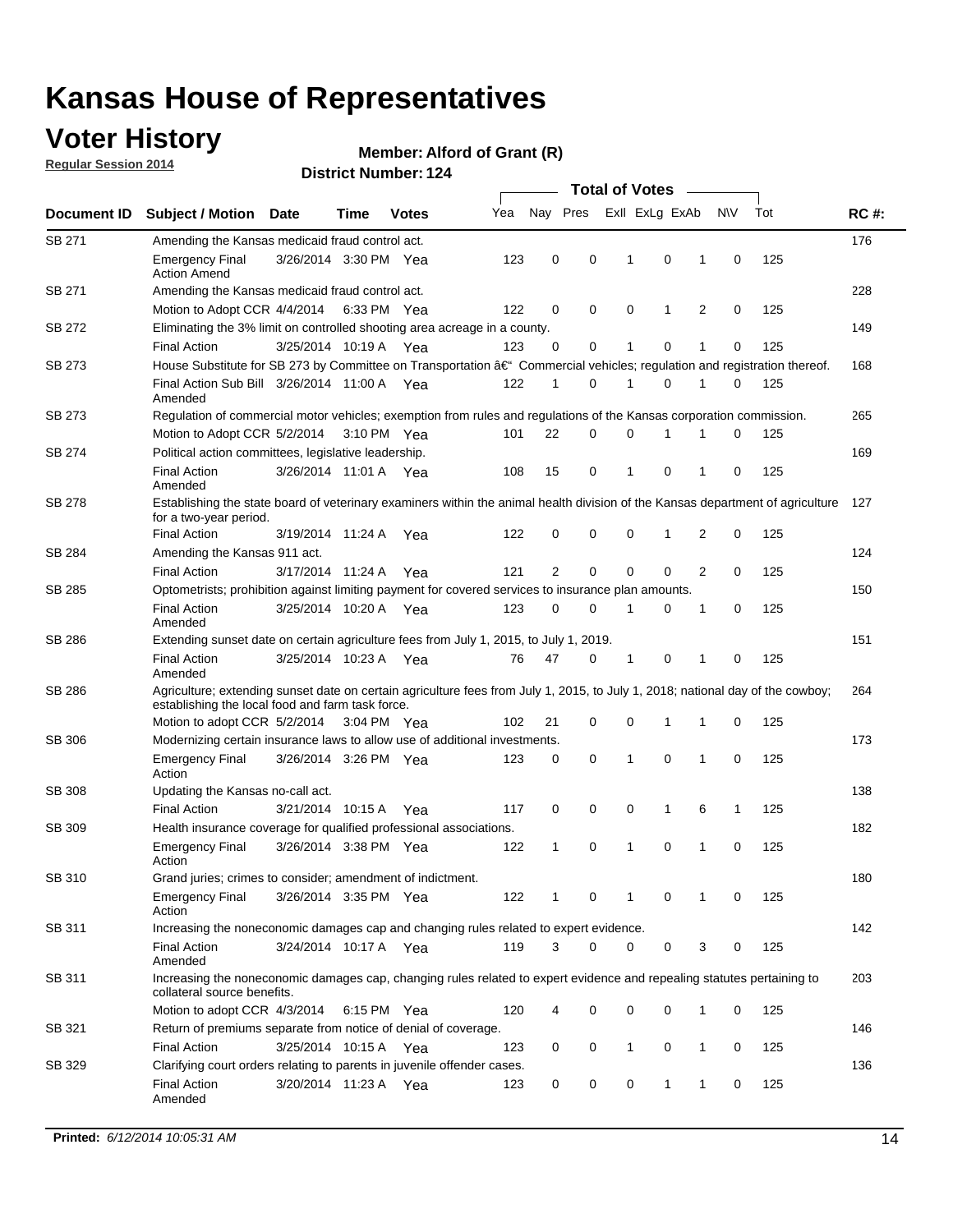## **Voter History**

**Regular Session 2014**

#### **Member: Alford of Grant (R)**

|               |                                                                                                                                                                                    |                       | <b>Total of Votes</b> |              |     |                |          |                |              |   |             |     |             |
|---------------|------------------------------------------------------------------------------------------------------------------------------------------------------------------------------------|-----------------------|-----------------------|--------------|-----|----------------|----------|----------------|--------------|---|-------------|-----|-------------|
| Document ID   | <b>Subject / Motion</b>                                                                                                                                                            | <b>Date</b>           | Time                  | <b>Votes</b> | Yea | Nay Pres       |          | Exll ExLg ExAb |              |   | N\V         | Tot | <b>RC#:</b> |
| SB 271        | Amending the Kansas medicaid fraud control act.                                                                                                                                    |                       |                       |              |     |                |          |                |              |   |             |     | 176         |
|               | <b>Emergency Final</b><br><b>Action Amend</b>                                                                                                                                      | 3/26/2014 3:30 PM Yea |                       |              | 123 | 0              | 0        | 1              | 0            | 1 | $\mathbf 0$ | 125 |             |
| SB 271        | Amending the Kansas medicaid fraud control act.                                                                                                                                    |                       |                       |              |     |                |          |                |              |   |             |     | 228         |
|               | Motion to Adopt CCR 4/4/2014 6:33 PM Yea                                                                                                                                           |                       |                       |              | 122 | 0              | 0        | $\mathbf 0$    | 1            | 2 | 0           | 125 |             |
| SB 272        | Eliminating the 3% limit on controlled shooting area acreage in a county.                                                                                                          |                       |                       |              |     |                |          |                |              |   |             |     | 149         |
|               | <b>Final Action</b>                                                                                                                                                                | 3/25/2014 10:19 A Yea |                       |              | 123 | 0              | 0        | 1              | 0            | 1 | $\mathbf 0$ | 125 |             |
| <b>SB 273</b> | House Substitute for SB 273 by Committee on Transportation †Commercial vehicles; regulation and registration thereof.                                                              |                       |                       |              |     |                |          |                |              |   |             |     | 168         |
|               | Final Action Sub Bill 3/26/2014 11:00 A Yea<br>Amended                                                                                                                             |                       |                       |              | 122 | 1              | 0        | 1              | 0            | 1 | 0           | 125 |             |
| SB 273        | Regulation of commercial motor vehicles; exemption from rules and regulations of the Kansas corporation commission.                                                                |                       |                       |              |     |                |          |                |              |   |             |     | 265         |
|               | Motion to Adopt CCR 5/2/2014 3:10 PM Yea                                                                                                                                           |                       |                       |              | 101 | 22             | 0        | 0              | 1            | 1 | 0           | 125 |             |
| SB 274        | Political action committees, legislative leadership.                                                                                                                               |                       |                       |              |     |                |          |                |              |   |             |     | 169         |
|               | <b>Final Action</b><br>Amended                                                                                                                                                     | 3/26/2014 11:01 A Yea |                       |              | 108 | 15             | 0        | 1              | 0            | 1 | 0           | 125 |             |
| <b>SB 278</b> | Establishing the state board of veterinary examiners within the animal health division of the Kansas department of agriculture<br>for a two-year period.                           |                       |                       |              |     |                |          |                |              |   |             |     | 127         |
|               | <b>Final Action</b>                                                                                                                                                                | 3/19/2014 11:24 A     |                       | Yea          | 122 | 0              | 0        | 0              | $\mathbf{1}$ | 2 | $\mathbf 0$ | 125 |             |
| SB 284        | Amending the Kansas 911 act.                                                                                                                                                       |                       |                       |              |     |                |          |                |              |   |             |     | 124         |
|               | <b>Final Action</b>                                                                                                                                                                | 3/17/2014 11:24 A     |                       | Yea          | 121 | $\overline{2}$ | 0        | 0              | 0            | 2 | 0           | 125 |             |
| SB 285        | Optometrists; prohibition against limiting payment for covered services to insurance plan amounts.                                                                                 |                       |                       |              |     |                |          |                |              |   |             |     | 150         |
|               | <b>Final Action</b><br>Amended                                                                                                                                                     | 3/25/2014 10:20 A     |                       | Yea          | 123 | 0              | 0        | 1              | 0            | 1 | 0           | 125 |             |
| SB 286        | Extending sunset date on certain agriculture fees from July 1, 2015, to July 1, 2019.                                                                                              |                       |                       |              |     |                |          |                |              | 1 |             |     | 151         |
|               | <b>Final Action</b><br>Amended                                                                                                                                                     | 3/25/2014 10:23 A Yea |                       |              | 76  | 47             | 0        | 1              | 0            |   | 0           | 125 |             |
| SB 286        | Agriculture; extending sunset date on certain agriculture fees from July 1, 2015, to July 1, 2018; national day of the cowboy;<br>establishing the local food and farm task force. |                       |                       |              |     |                |          |                |              |   |             |     | 264         |
|               | Motion to adopt CCR 5/2/2014 3:04 PM Yea                                                                                                                                           |                       |                       |              | 102 | 21             | 0        | $\mathbf 0$    | 1            | 1 | 0           | 125 |             |
| SB 306        | Modernizing certain insurance laws to allow use of additional investments.                                                                                                         |                       |                       |              |     |                |          |                |              |   |             |     | 173         |
|               | <b>Emergency Final</b><br>Action                                                                                                                                                   | 3/26/2014 3:26 PM Yea |                       |              | 123 | 0              | 0        | 1              | $\mathbf 0$  | 1 | 0           | 125 |             |
| <b>SB 308</b> | Updating the Kansas no-call act.                                                                                                                                                   |                       |                       |              |     |                |          |                |              |   |             |     | 138         |
|               | <b>Final Action</b>                                                                                                                                                                | 3/21/2014 10:15 A     |                       | Yea          | 117 | 0              | 0        | 0              | $\mathbf{1}$ | 6 | 1           | 125 |             |
| SB 309        | Health insurance coverage for qualified professional associations.                                                                                                                 |                       |                       |              |     |                |          |                |              |   |             |     | 182         |
|               | <b>Emergency Final</b><br>Action                                                                                                                                                   | 3/26/2014 3:38 PM Yea |                       |              | 122 | 1              | 0        | 1              | 0            | 1 | $\mathbf 0$ | 125 |             |
| SB 310        | Grand juries; crimes to consider; amendment of indictment.                                                                                                                         |                       |                       |              |     |                |          |                |              |   |             |     | 180         |
|               | <b>Emergency Final</b><br>Action                                                                                                                                                   | 3/26/2014 3:35 PM Yea |                       |              | 122 |                | 0        | 1              | 0            | 1 | 0           | 125 |             |
| SB 311        | Increasing the noneconomic damages cap and changing rules related to expert evidence.                                                                                              |                       |                       |              |     |                |          |                |              |   |             |     | 142         |
|               | <b>Final Action</b><br>Amended                                                                                                                                                     | 3/24/2014 10:17 A Yea |                       |              | 119 | 3              | $\Omega$ | 0              | 0            | 3 | 0           | 125 |             |
| SB 311        | Increasing the noneconomic damages cap, changing rules related to expert evidence and repealing statutes pertaining to<br>collateral source benefits.                              |                       |                       |              |     |                |          |                |              |   |             |     | 203         |
|               | Motion to adopt CCR 4/3/2014 6:15 PM Yea                                                                                                                                           |                       |                       |              | 120 | 4              | 0        | 0              | 0            | 1 | 0           | 125 |             |
| SB 321        | Return of premiums separate from notice of denial of coverage.                                                                                                                     |                       |                       |              |     |                |          |                |              |   |             |     | 146         |
|               | <b>Final Action</b>                                                                                                                                                                | 3/25/2014 10:15 A Yea |                       |              | 123 | 0              | 0        | 1              | 0            | 1 | 0           | 125 |             |
| SB 329        | Clarifying court orders relating to parents in juvenile offender cases.<br><b>Final Action</b>                                                                                     | 3/20/2014 11:23 A Yea |                       |              | 123 | 0              | 0        | 0              | $\mathbf{1}$ | 1 | 0           | 125 | 136         |
|               | Amended                                                                                                                                                                            |                       |                       |              |     |                |          |                |              |   |             |     |             |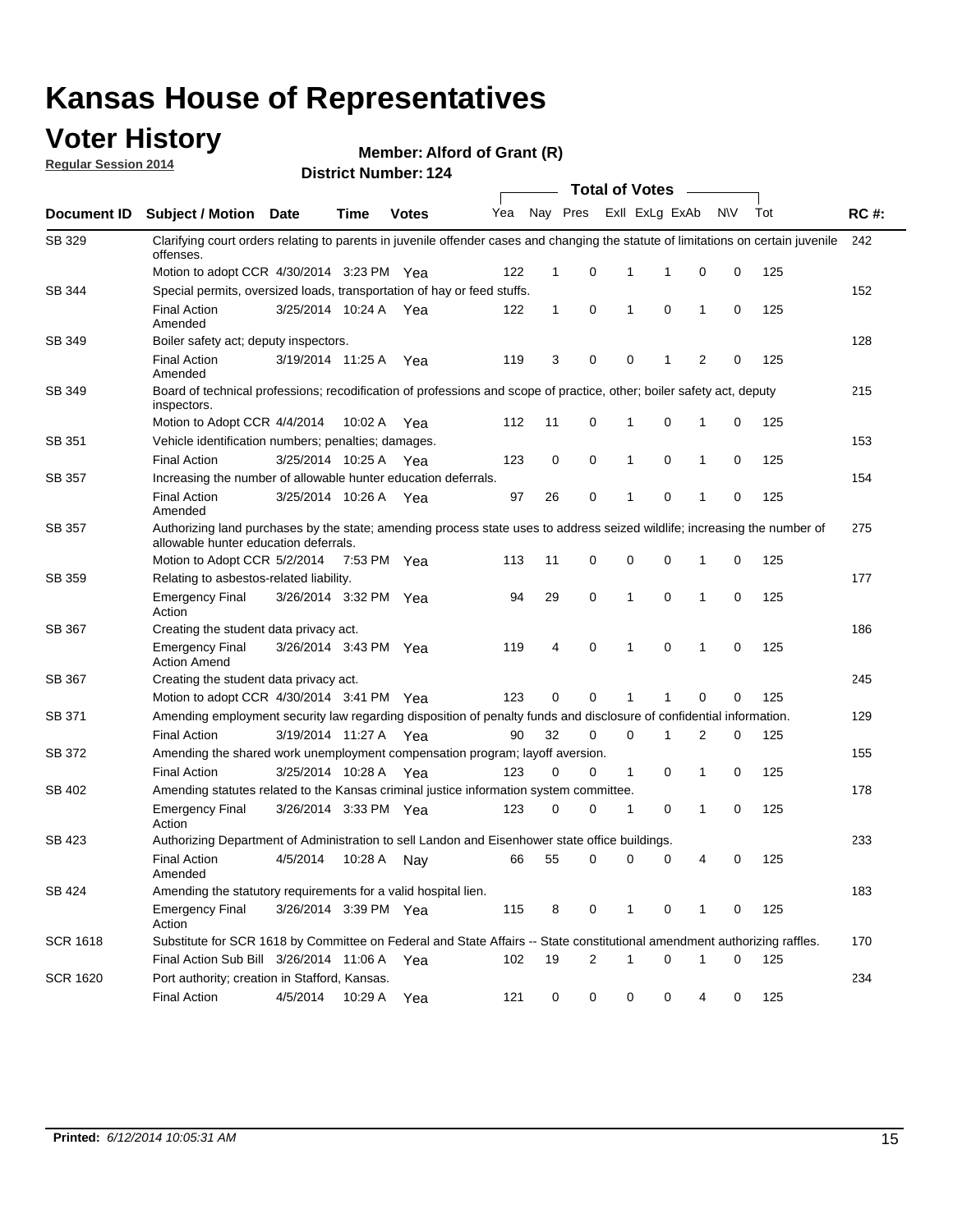### **Voter History**

**Regular Session 2014**

**Member: Alford of Grant (R)** 

|                    | <b>Total of Votes</b>                                                                                                                                              |                       |             |              |     |              |                         |              |                |              |           |     |             |  |
|--------------------|--------------------------------------------------------------------------------------------------------------------------------------------------------------------|-----------------------|-------------|--------------|-----|--------------|-------------------------|--------------|----------------|--------------|-----------|-----|-------------|--|
| <b>Document ID</b> | <b>Subject / Motion Date</b>                                                                                                                                       |                       | Time        | <b>Votes</b> | Yea |              | Nay Pres                |              | Exll ExLg ExAb |              | <b>NV</b> | Tot | <b>RC#:</b> |  |
| SB 329             | Clarifying court orders relating to parents in juvenile offender cases and changing the statute of limitations on certain juvenile<br>offenses.                    |                       |             |              |     |              |                         |              |                |              |           |     | 242         |  |
|                    | Motion to adopt CCR 4/30/2014 3:23 PM Yea                                                                                                                          |                       |             |              | 122 | $\mathbf 1$  | 0                       | 1            | -1             | 0            | 0         | 125 |             |  |
| SB 344             | Special permits, oversized loads, transportation of hay or feed stuffs.                                                                                            |                       |             |              |     |              |                         |              |                |              |           |     | 152         |  |
|                    | <b>Final Action</b><br>Amended                                                                                                                                     | 3/25/2014 10:24 A     |             | Yea          | 122 | $\mathbf{1}$ | 0                       | $\mathbf{1}$ | 0              | $\mathbf{1}$ | 0         | 125 |             |  |
| <b>SB 349</b>      | Boiler safety act; deputy inspectors.                                                                                                                              |                       |             |              |     |              |                         |              |                |              |           |     | 128         |  |
|                    | <b>Final Action</b><br>Amended                                                                                                                                     | 3/19/2014 11:25 A     |             | Yea          | 119 | 3            | 0                       | 0            | 1              | 2            | 0         | 125 |             |  |
| SB 349             | Board of technical professions; recodification of professions and scope of practice, other; boiler safety act, deputy<br>inspectors.                               |                       |             |              |     |              |                         |              |                |              |           |     | 215         |  |
|                    | Motion to Adopt CCR 4/4/2014                                                                                                                                       |                       | 10:02 A     | Yea          | 112 | 11           | 0                       | 1            | 0              | 1            | 0         | 125 |             |  |
| SB 351             | Vehicle identification numbers; penalties; damages.                                                                                                                |                       |             |              |     |              |                         |              |                |              |           |     | 153         |  |
|                    | <b>Final Action</b>                                                                                                                                                | 3/25/2014 10:25 A     |             | Yea          | 123 | 0            | 0                       | 1            | 0              | 1            | 0         | 125 |             |  |
| SB 357             | Increasing the number of allowable hunter education deferrals.                                                                                                     |                       |             |              |     |              |                         |              |                |              |           |     | 154         |  |
|                    | <b>Final Action</b><br>Amended                                                                                                                                     | 3/25/2014 10:26 A     |             | Yea          | 97  | 26           | 0                       | $\mathbf{1}$ | 0              | 1            | 0         | 125 |             |  |
| SB 357             | Authorizing land purchases by the state; amending process state uses to address seized wildlife; increasing the number of<br>allowable hunter education deferrals. |                       |             |              |     |              |                         |              |                |              |           |     | 275         |  |
|                    | Motion to Adopt CCR 5/2/2014                                                                                                                                       |                       | 7:53 PM Yea |              | 113 | 11           | 0                       | 0            | $\mathbf 0$    | 1            | 0         | 125 |             |  |
| SB 359             | Relating to asbestos-related liability.                                                                                                                            |                       |             |              |     |              |                         |              |                |              |           | 177 |             |  |
|                    | <b>Emergency Final</b><br>Action                                                                                                                                   | 3/26/2014 3:32 PM Yea |             |              | 94  | 29           | 0                       | 1            | $\Omega$       | 1            | 0         | 125 |             |  |
| <b>SB 367</b>      | Creating the student data privacy act.                                                                                                                             |                       |             |              |     |              |                         |              |                |              |           |     |             |  |
|                    | <b>Emergency Final</b><br><b>Action Amend</b>                                                                                                                      | 3/26/2014 3:43 PM Yea |             |              | 119 | 4            | 0                       | $\mathbf{1}$ | 0              | 1            | 0         | 125 |             |  |
| SB 367             | Creating the student data privacy act.                                                                                                                             |                       |             |              |     |              |                         |              |                |              |           |     | 245         |  |
|                    | Motion to adopt CCR 4/30/2014 3:41 PM Yea                                                                                                                          |                       |             |              | 123 | 0            | 0                       | 1            | 1              | 0            | 0         | 125 |             |  |
| SB 371             | Amending employment security law regarding disposition of penalty funds and disclosure of confidential information.                                                |                       |             |              |     |              |                         |              |                |              |           |     | 129         |  |
|                    | <b>Final Action</b>                                                                                                                                                | 3/19/2014 11:27 A     |             | Yea          | 90  | 32           | 0                       | $\mathbf 0$  | 1              | 2            | 0         | 125 |             |  |
| SB 372             | Amending the shared work unemployment compensation program; layoff aversion.                                                                                       |                       |             |              |     |              |                         |              |                |              |           |     | 155         |  |
|                    | <b>Final Action</b>                                                                                                                                                | 3/25/2014 10:28 A     |             | Yea          | 123 | 0            | 0                       | 1            | 0              | 1            | 0         | 125 |             |  |
| SB 402             | Amending statutes related to the Kansas criminal justice information system committee.                                                                             |                       |             |              |     |              |                         |              |                |              |           |     | 178         |  |
|                    | <b>Emergency Final</b><br>Action                                                                                                                                   | 3/26/2014 3:33 PM Yea |             |              | 123 | 0            | 0                       | 1            | 0              | $\mathbf{1}$ | 0         | 125 |             |  |
| SB 423             | Authorizing Department of Administration to sell Landon and Eisenhower state office buildings.                                                                     |                       |             |              |     |              |                         |              |                |              |           |     |             |  |
|                    | <b>Final Action</b><br>Amended                                                                                                                                     | 4/5/2014              | 10:28 A     | Nay          | 66  | 55           | 0                       | 0            | 0              | 4            | 0         | 125 |             |  |
| SB 424             | Amending the statutory requirements for a valid hospital lien.                                                                                                     |                       |             |              |     |              |                         |              |                |              |           |     | 183         |  |
|                    | <b>Emergency Final</b><br>Action                                                                                                                                   | 3/26/2014 3:39 PM Yea |             |              | 115 | 8            | 0                       | 1            | 0              | 1            | 0         | 125 |             |  |
| <b>SCR 1618</b>    | Substitute for SCR 1618 by Committee on Federal and State Affairs -- State constitutional amendment authorizing raffles.                                           |                       |             |              |     |              |                         |              |                |              |           |     | 170         |  |
|                    | Final Action Sub Bill 3/26/2014 11:06 A Yea                                                                                                                        |                       |             |              | 102 | 19           | $\overline{\mathbf{c}}$ | 1            | 0              | 1            | 0         | 125 |             |  |
| <b>SCR 1620</b>    | Port authority; creation in Stafford, Kansas.                                                                                                                      |                       |             |              |     |              |                         |              |                |              |           |     | 234         |  |
|                    | <b>Final Action</b>                                                                                                                                                | 4/5/2014              | 10:29 A     | Yea          | 121 | 0            | 0                       | 0            | 0              | 4            | 0         | 125 |             |  |